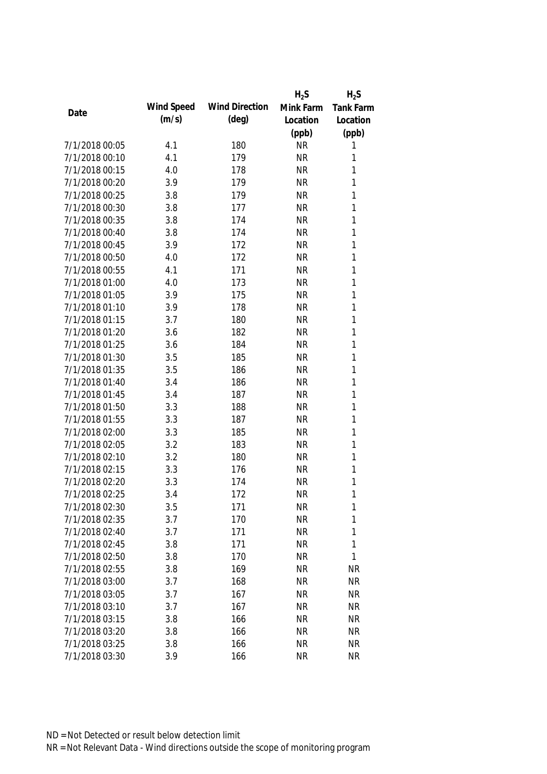|                |            |                       | $H_2S$    | $H_2S$    |
|----------------|------------|-----------------------|-----------|-----------|
|                | Wind Speed | <b>Wind Direction</b> | Mink Farm | Tank Farm |
| Date           | (m/s)      | $(\text{deg})$        | Location  | Location  |
|                |            |                       | (ppb)     | (ppb)     |
| 7/1/2018 00:05 | 4.1        | 180                   | <b>NR</b> | 1         |
| 7/1/2018 00:10 | 4.1        | 179                   | <b>NR</b> | 1         |
| 7/1/2018 00:15 | 4.0        | 178                   | <b>NR</b> | 1         |
| 7/1/2018 00:20 | 3.9        | 179                   | <b>NR</b> | 1         |
| 7/1/2018 00:25 | 3.8        | 179                   | <b>NR</b> | 1         |
| 7/1/2018 00:30 | 3.8        | 177                   | <b>NR</b> | 1         |
| 7/1/2018 00:35 | 3.8        | 174                   | <b>NR</b> | 1         |
| 7/1/2018 00:40 | 3.8        | 174                   | <b>NR</b> | 1         |
| 7/1/2018 00:45 | 3.9        | 172                   | <b>NR</b> | 1         |
| 7/1/2018 00:50 | 4.0        | 172                   | <b>NR</b> | 1         |
| 7/1/2018 00:55 | 4.1        | 171                   | <b>NR</b> | 1         |
| 7/1/2018 01:00 | 4.0        | 173                   | <b>NR</b> | 1         |
| 7/1/2018 01:05 | 3.9        | 175                   | <b>NR</b> | 1         |
| 7/1/2018 01:10 | 3.9        | 178                   | <b>NR</b> | 1         |
| 7/1/2018 01:15 | 3.7        | 180                   | <b>NR</b> | 1         |
| 7/1/2018 01:20 | 3.6        | 182                   | <b>NR</b> | 1         |
| 7/1/2018 01:25 | 3.6        | 184                   | <b>NR</b> | 1         |
| 7/1/2018 01:30 | 3.5        | 185                   | <b>NR</b> | 1         |
| 7/1/2018 01:35 | 3.5        | 186                   | <b>NR</b> | 1         |
| 7/1/2018 01:40 | 3.4        | 186                   | <b>NR</b> | 1         |
| 7/1/2018 01:45 | 3.4        | 187                   | <b>NR</b> | 1         |
| 7/1/2018 01:50 | 3.3        | 188                   | <b>NR</b> | 1         |
| 7/1/2018 01:55 | 3.3        | 187                   | <b>NR</b> | 1         |
| 7/1/2018 02:00 | 3.3        | 185                   | <b>NR</b> | 1         |
| 7/1/2018 02:05 | 3.2        | 183                   | <b>NR</b> | 1         |
| 7/1/2018 02:10 | 3.2        | 180                   | <b>NR</b> | 1         |
| 7/1/2018 02:15 | 3.3        | 176                   | <b>NR</b> | 1         |
| 7/1/2018 02:20 | 3.3        | 174                   | <b>NR</b> | 1         |
| 7/1/2018 02:25 | 3.4        | 172                   | <b>NR</b> | 1         |
| 7/1/2018 02:30 | 3.5        | 171                   | <b>NR</b> | 1         |
| 7/1/2018 02:35 | 3.7        | 170                   | <b>NR</b> | 1         |
| 7/1/2018 02:40 | 3.7        | 171                   | <b>NR</b> | 1         |
| 7/1/2018 02:45 | 3.8        | 171                   | <b>NR</b> | 1         |
| 7/1/2018 02:50 | 3.8        | 170                   | <b>NR</b> | 1         |
| 7/1/2018 02:55 | 3.8        | 169                   | <b>NR</b> | <b>NR</b> |
| 7/1/2018 03:00 | 3.7        | 168                   | <b>NR</b> | <b>NR</b> |
| 7/1/2018 03:05 | 3.7        | 167                   | <b>NR</b> | <b>NR</b> |
| 7/1/2018 03:10 | 3.7        | 167                   | <b>NR</b> | <b>NR</b> |
| 7/1/2018 03:15 | 3.8        | 166                   | <b>NR</b> | <b>NR</b> |
| 7/1/2018 03:20 | 3.8        | 166                   | <b>NR</b> | <b>NR</b> |
| 7/1/2018 03:25 | 3.8        | 166                   | <b>NR</b> | <b>NR</b> |
| 7/1/2018 03:30 | 3.9        | 166                   | <b>NR</b> | <b>NR</b> |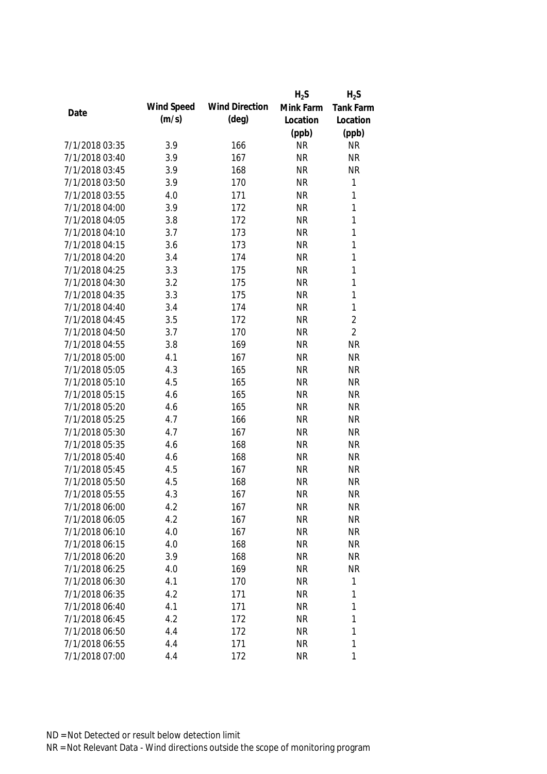|                |            |                       | $H_2S$    | $H_2S$           |
|----------------|------------|-----------------------|-----------|------------------|
| Date           | Wind Speed | <b>Wind Direction</b> | Mink Farm | <b>Tank Farm</b> |
|                | (m/s)      | $(\text{deg})$        | Location  | Location         |
|                |            |                       | (ppb)     | (ppb)            |
| 7/1/2018 03:35 | 3.9        | 166                   | <b>NR</b> | <b>NR</b>        |
| 7/1/2018 03:40 | 3.9        | 167                   | <b>NR</b> | <b>NR</b>        |
| 7/1/2018 03:45 | 3.9        | 168                   | <b>NR</b> | <b>NR</b>        |
| 7/1/2018 03:50 | 3.9        | 170                   | <b>NR</b> | $\mathbf{1}$     |
| 7/1/2018 03:55 | 4.0        | 171                   | <b>NR</b> | 1                |
| 7/1/2018 04:00 | 3.9        | 172                   | <b>NR</b> | $\mathbf{1}$     |
| 7/1/2018 04:05 | 3.8        | 172                   | <b>NR</b> | $\mathbf{1}$     |
| 7/1/2018 04:10 | 3.7        | 173                   | <b>NR</b> | $\mathbf{1}$     |
| 7/1/2018 04:15 | 3.6        | 173                   | <b>NR</b> | $\mathbf{1}$     |
| 7/1/2018 04:20 | 3.4        | 174                   | <b>NR</b> | $\mathbf{1}$     |
| 7/1/2018 04:25 | 3.3        | 175                   | <b>NR</b> | $\mathbf{1}$     |
| 7/1/2018 04:30 | 3.2        | 175                   | <b>NR</b> | $\mathbf{1}$     |
| 7/1/2018 04:35 | 3.3        | 175                   | <b>NR</b> | $\mathbf{1}$     |
| 7/1/2018 04:40 | 3.4        | 174                   | <b>NR</b> | $\mathbf{1}$     |
| 7/1/2018 04:45 | 3.5        | 172                   | <b>NR</b> | $\overline{2}$   |
| 7/1/2018 04:50 | 3.7        | 170                   | <b>NR</b> | $\overline{2}$   |
| 7/1/2018 04:55 | 3.8        | 169                   | <b>NR</b> | <b>NR</b>        |
| 7/1/2018 05:00 | 4.1        | 167                   | <b>NR</b> | <b>NR</b>        |
| 7/1/2018 05:05 | 4.3        | 165                   | <b>NR</b> | <b>NR</b>        |
| 7/1/2018 05:10 | 4.5        | 165                   | <b>NR</b> | <b>NR</b>        |
| 7/1/2018 05:15 | 4.6        | 165                   | <b>NR</b> | <b>NR</b>        |
| 7/1/2018 05:20 | 4.6        | 165                   | <b>NR</b> | <b>NR</b>        |
| 7/1/2018 05:25 | 4.7        | 166                   | <b>NR</b> | <b>NR</b>        |
| 7/1/2018 05:30 | 4.7        | 167                   | <b>NR</b> | <b>NR</b>        |
| 7/1/2018 05:35 | 4.6        | 168                   | <b>NR</b> | <b>NR</b>        |
| 7/1/2018 05:40 | 4.6        | 168                   | <b>NR</b> | <b>NR</b>        |
| 7/1/2018 05:45 | 4.5        | 167                   | <b>NR</b> | <b>NR</b>        |
| 7/1/2018 05:50 | 4.5        | 168                   | <b>NR</b> | <b>NR</b>        |
| 7/1/2018 05:55 | 4.3        | 167                   | <b>NR</b> | <b>NR</b>        |
| 7/1/2018 06:00 | 4.2        | 167                   | <b>NR</b> | <b>NR</b>        |
| 7/1/2018 06:05 | 4.2        | 167                   | <b>NR</b> | <b>NR</b>        |
| 7/1/2018 06:10 | 4.0        | 167                   | <b>NR</b> | <b>NR</b>        |
| 7/1/2018 06:15 | 4.0        | 168                   | <b>NR</b> | <b>NR</b>        |
| 7/1/2018 06:20 | 3.9        | 168                   | <b>NR</b> | <b>NR</b>        |
| 7/1/2018 06:25 | 4.0        | 169                   | <b>NR</b> | <b>NR</b>        |
| 7/1/2018 06:30 | 4.1        | 170                   | <b>NR</b> | $\mathbf 1$      |
| 7/1/2018 06:35 | 4.2        | 171                   | <b>NR</b> | 1                |
| 7/1/2018 06:40 | 4.1        | 171                   | <b>NR</b> | 1                |
| 7/1/2018 06:45 | 4.2        | 172                   | <b>NR</b> | 1                |
| 7/1/2018 06:50 | 4.4        | 172                   | <b>NR</b> | 1                |
| 7/1/2018 06:55 | 4.4        | 171                   | <b>NR</b> | 1                |
| 7/1/2018 07:00 | 4.4        | 172                   | <b>NR</b> | 1                |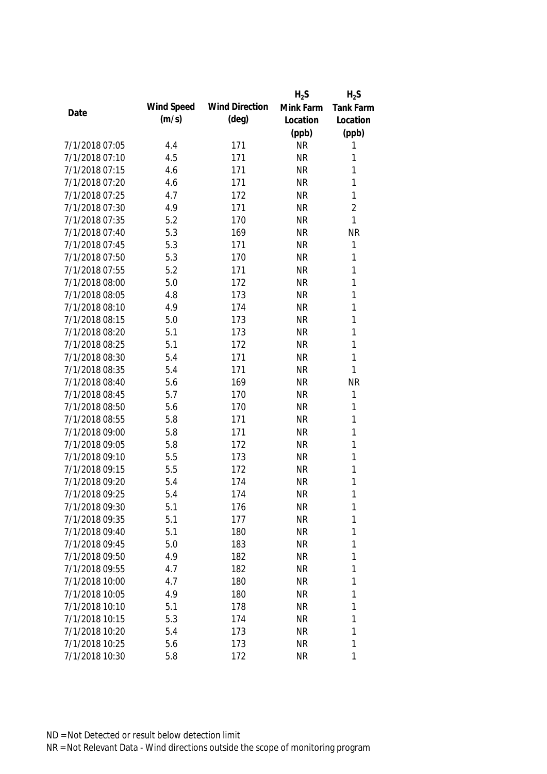|                |            |                       | $H_2S$    | $H_2S$           |
|----------------|------------|-----------------------|-----------|------------------|
| Date           | Wind Speed | <b>Wind Direction</b> | Mink Farm | <b>Tank Farm</b> |
|                | (m/s)      | $(\text{deg})$        | Location  | Location         |
|                |            |                       | (ppb)     | (ppb)            |
| 7/1/2018 07:05 | 4.4        | 171                   | <b>NR</b> | 1                |
| 7/1/2018 07:10 | 4.5        | 171                   | <b>NR</b> | 1                |
| 7/1/2018 07:15 | 4.6        | 171                   | <b>NR</b> | 1                |
| 7/1/2018 07:20 | 4.6        | 171                   | <b>NR</b> | 1                |
| 7/1/2018 07:25 | 4.7        | 172                   | <b>NR</b> | $\mathbf{1}$     |
| 7/1/2018 07:30 | 4.9        | 171                   | <b>NR</b> | $\overline{2}$   |
| 7/1/2018 07:35 | 5.2        | 170                   | <b>NR</b> | $\mathbf{1}$     |
| 7/1/2018 07:40 | 5.3        | 169                   | <b>NR</b> | <b>NR</b>        |
| 7/1/2018 07:45 | 5.3        | 171                   | <b>NR</b> | 1                |
| 7/1/2018 07:50 | 5.3        | 170                   | <b>NR</b> | 1                |
| 7/1/2018 07:55 | 5.2        | 171                   | <b>NR</b> | 1                |
| 7/1/2018 08:00 | 5.0        | 172                   | <b>NR</b> | 1                |
| 7/1/2018 08:05 | 4.8        | 173                   | <b>NR</b> | 1                |
| 7/1/2018 08:10 | 4.9        | 174                   | <b>NR</b> | 1                |
| 7/1/2018 08:15 | 5.0        | 173                   | <b>NR</b> | $\mathbf{1}$     |
| 7/1/2018 08:20 | 5.1        | 173                   | <b>NR</b> | $\mathbf{1}$     |
| 7/1/2018 08:25 | 5.1        | 172                   | <b>NR</b> | 1                |
| 7/1/2018 08:30 | 5.4        | 171                   | <b>NR</b> | 1                |
| 7/1/2018 08:35 | 5.4        | 171                   | <b>NR</b> | 1                |
| 7/1/2018 08:40 | 5.6        | 169                   | <b>NR</b> | <b>NR</b>        |
| 7/1/2018 08:45 | 5.7        | 170                   | <b>NR</b> | 1                |
| 7/1/2018 08:50 | 5.6        | 170                   | <b>NR</b> | 1                |
| 7/1/2018 08:55 | 5.8        | 171                   | <b>NR</b> | 1                |
| 7/1/2018 09:00 | 5.8        | 171                   | <b>NR</b> | $\mathbf{1}$     |
| 7/1/2018 09:05 | 5.8        | 172                   | <b>NR</b> | 1                |
| 7/1/2018 09:10 | 5.5        | 173                   | <b>NR</b> | 1                |
| 7/1/2018 09:15 | 5.5        | 172                   | <b>NR</b> | 1                |
| 7/1/2018 09:20 | 5.4        | 174                   | <b>NR</b> | 1                |
| 7/1/2018 09:25 | 5.4        | 174                   | <b>NR</b> | 1                |
| 7/1/2018 09:30 | 5.1        | 176                   | <b>NR</b> | 1                |
| 7/1/2018 09:35 | 5.1        | 177                   | <b>NR</b> | $\mathbf{1}$     |
| 7/1/2018 09:40 | 5.1        | 180                   | <b>NR</b> | 1                |
| 7/1/2018 09:45 | 5.0        | 183                   | <b>NR</b> | 1                |
| 7/1/2018 09:50 | 4.9        | 182                   | <b>NR</b> | 1                |
| 7/1/2018 09:55 | 4.7        | 182                   | <b>NR</b> | 1                |
| 7/1/2018 10:00 | 4.7        | 180                   | <b>NR</b> | 1                |
| 7/1/2018 10:05 | 4.9        | 180                   | <b>NR</b> | 1                |
| 7/1/2018 10:10 | 5.1        | 178                   | <b>NR</b> | 1                |
| 7/1/2018 10:15 | 5.3        | 174                   | <b>NR</b> | 1                |
| 7/1/2018 10:20 | 5.4        | 173                   | <b>NR</b> | 1                |
| 7/1/2018 10:25 | 5.6        | 173                   | <b>NR</b> | 1                |
| 7/1/2018 10:30 | 5.8        | 172                   | <b>NR</b> | 1                |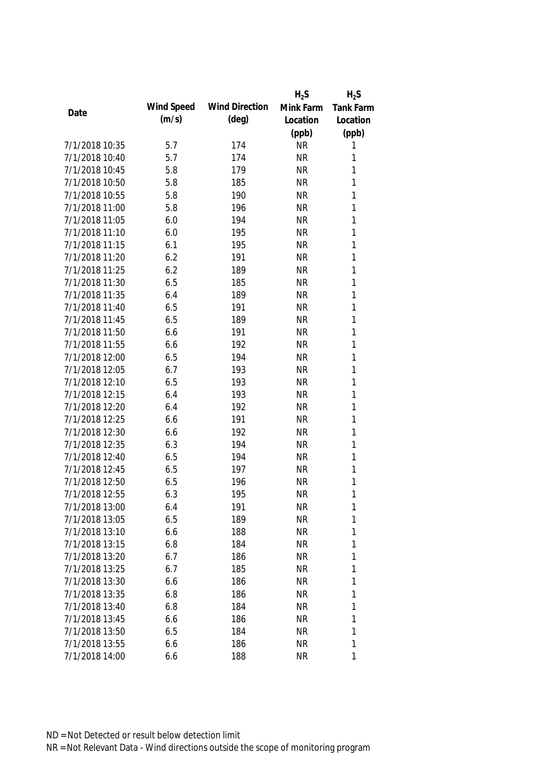|                |            |                       | $H_2S$    | $H_2S$           |
|----------------|------------|-----------------------|-----------|------------------|
| Date           | Wind Speed | <b>Wind Direction</b> | Mink Farm | <b>Tank Farm</b> |
|                | (m/s)      | $(\text{deg})$        | Location  | Location         |
|                |            |                       | (ppb)     | (ppb)            |
| 7/1/2018 10:35 | 5.7        | 174                   | <b>NR</b> | 1                |
| 7/1/2018 10:40 | 5.7        | 174                   | <b>NR</b> | 1                |
| 7/1/2018 10:45 | 5.8        | 179                   | <b>NR</b> | 1                |
| 7/1/2018 10:50 | 5.8        | 185                   | <b>NR</b> | 1                |
| 7/1/2018 10:55 | 5.8        | 190                   | <b>NR</b> | 1                |
| 7/1/2018 11:00 | 5.8        | 196                   | <b>NR</b> | 1                |
| 7/1/2018 11:05 | 6.0        | 194                   | <b>NR</b> | $\mathbf{1}$     |
| 7/1/2018 11:10 | 6.0        | 195                   | <b>NR</b> | $\mathbf{1}$     |
| 7/1/2018 11:15 | 6.1        | 195                   | <b>NR</b> | $\mathbf{1}$     |
| 7/1/2018 11:20 | 6.2        | 191                   | <b>NR</b> | 1                |
| 7/1/2018 11:25 | 6.2        | 189                   | <b>NR</b> | $\mathbf{1}$     |
| 7/1/2018 11:30 | 6.5        | 185                   | <b>NR</b> | 1                |
| 7/1/2018 11:35 | 6.4        | 189                   | <b>NR</b> | 1                |
| 7/1/2018 11:40 | 6.5        | 191                   | <b>NR</b> | $\mathbf{1}$     |
| 7/1/2018 11:45 | 6.5        | 189                   | <b>NR</b> | $\mathbf{1}$     |
| 7/1/2018 11:50 | 6.6        | 191                   | <b>NR</b> | $\mathbf{1}$     |
| 7/1/2018 11:55 | 6.6        | 192                   | <b>NR</b> | 1                |
| 7/1/2018 12:00 | 6.5        | 194                   | <b>NR</b> | $\mathbf{1}$     |
| 7/1/2018 12:05 | 6.7        | 193                   | <b>NR</b> | $\mathbf{1}$     |
| 7/1/2018 12:10 | 6.5        | 193                   | <b>NR</b> | $\mathbf{1}$     |
| 7/1/2018 12:15 | 6.4        | 193                   | <b>NR</b> | 1                |
| 7/1/2018 12:20 | 6.4        | 192                   | <b>NR</b> | $\mathbf{1}$     |
| 7/1/2018 12:25 | 6.6        | 191                   | <b>NR</b> | $\mathbf{1}$     |
| 7/1/2018 12:30 | 6.6        | 192                   | <b>NR</b> | 1                |
| 7/1/2018 12:35 | 6.3        | 194                   | <b>NR</b> | $\mathbf{1}$     |
| 7/1/2018 12:40 | 6.5        | 194                   | <b>NR</b> | 1                |
| 7/1/2018 12:45 | 6.5        | 197                   | <b>NR</b> | 1                |
| 7/1/2018 12:50 | 6.5        | 196                   | <b>NR</b> | 1                |
| 7/1/2018 12:55 | 6.3        | 195                   | <b>NR</b> | 1                |
| 7/1/2018 13:00 | 6.4        | 191                   | <b>NR</b> | 1                |
| 7/1/2018 13:05 | 6.5        | 189                   | <b>NR</b> | 1                |
| 7/1/2018 13:10 | 6.6        | 188                   | <b>NR</b> | 1                |
| 7/1/2018 13:15 | 6.8        | 184                   | <b>NR</b> | 1                |
| 7/1/2018 13:20 | 6.7        | 186                   | <b>NR</b> | 1                |
| 7/1/2018 13:25 | 6.7        | 185                   | <b>NR</b> | 1                |
| 7/1/2018 13:30 | 6.6        | 186                   | <b>NR</b> | 1                |
| 7/1/2018 13:35 | 6.8        | 186                   | <b>NR</b> | 1                |
| 7/1/2018 13:40 | 6.8        | 184                   | <b>NR</b> | 1                |
| 7/1/2018 13:45 | 6.6        | 186                   | <b>NR</b> | 1                |
| 7/1/2018 13:50 | 6.5        | 184                   | <b>NR</b> | 1                |
| 7/1/2018 13:55 | 6.6        | 186                   | <b>NR</b> | 1                |
| 7/1/2018 14:00 | 6.6        | 188                   | <b>NR</b> | 1                |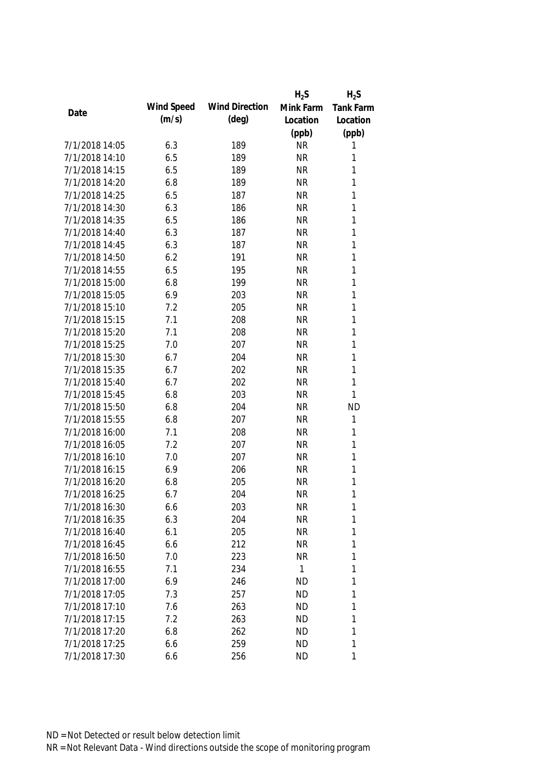|                |            |                       | $H_2S$    | $H_2S$    |
|----------------|------------|-----------------------|-----------|-----------|
|                | Wind Speed | <b>Wind Direction</b> | Mink Farm | Tank Farm |
| Date           | (m/s)      | $(\text{deg})$        | Location  | Location  |
|                |            |                       | (ppb)     | (ppb)     |
| 7/1/2018 14:05 | 6.3        | 189                   | <b>NR</b> | 1         |
| 7/1/2018 14:10 | 6.5        | 189                   | <b>NR</b> | 1         |
| 7/1/2018 14:15 | 6.5        | 189                   | <b>NR</b> | 1         |
| 7/1/2018 14:20 | 6.8        | 189                   | <b>NR</b> | 1         |
| 7/1/2018 14:25 | 6.5        | 187                   | <b>NR</b> | 1         |
| 7/1/2018 14:30 | 6.3        | 186                   | <b>NR</b> | 1         |
| 7/1/2018 14:35 | 6.5        | 186                   | <b>NR</b> | 1         |
| 7/1/2018 14:40 | 6.3        | 187                   | <b>NR</b> | 1         |
| 7/1/2018 14:45 | 6.3        | 187                   | <b>NR</b> | 1         |
| 7/1/2018 14:50 | 6.2        | 191                   | <b>NR</b> | 1         |
| 7/1/2018 14:55 | 6.5        | 195                   | <b>NR</b> | 1         |
| 7/1/2018 15:00 | 6.8        | 199                   | <b>NR</b> | 1         |
| 7/1/2018 15:05 | 6.9        | 203                   | <b>NR</b> | 1         |
| 7/1/2018 15:10 | 7.2        | 205                   | <b>NR</b> | 1         |
| 7/1/2018 15:15 | 7.1        | 208                   | <b>NR</b> | 1         |
| 7/1/2018 15:20 | 7.1        | 208                   | <b>NR</b> | 1         |
| 7/1/2018 15:25 | 7.0        | 207                   | <b>NR</b> | 1         |
| 7/1/2018 15:30 | 6.7        | 204                   | <b>NR</b> | 1         |
| 7/1/2018 15:35 | 6.7        | 202                   | <b>NR</b> | 1         |
| 7/1/2018 15:40 | 6.7        | 202                   | <b>NR</b> | 1         |
| 7/1/2018 15:45 | 6.8        | 203                   | <b>NR</b> | 1         |
| 7/1/2018 15:50 | 6.8        | 204                   | <b>NR</b> | <b>ND</b> |
| 7/1/2018 15:55 | 6.8        | 207                   | <b>NR</b> | 1         |
| 7/1/2018 16:00 | 7.1        | 208                   | <b>NR</b> | 1         |
| 7/1/2018 16:05 | 7.2        | 207                   | <b>NR</b> | 1         |
| 7/1/2018 16:10 | 7.0        | 207                   | <b>NR</b> | 1         |
| 7/1/2018 16:15 | 6.9        | 206                   | <b>NR</b> | 1         |
| 7/1/2018 16:20 | 6.8        | 205                   | <b>NR</b> | 1         |
| 7/1/2018 16:25 | 6.7        | 204                   | <b>NR</b> | 1         |
| 7/1/2018 16:30 | 6.6        | 203                   | <b>NR</b> | 1         |
| 7/1/2018 16:35 | 6.3        | 204                   | <b>NR</b> | 1         |
| 7/1/2018 16:40 | 6.1        | 205                   | <b>NR</b> | 1         |
| 7/1/2018 16:45 | 6.6        | 212                   | <b>NR</b> | 1         |
| 7/1/2018 16:50 | 7.0        | 223                   | <b>NR</b> | 1         |
| 7/1/2018 16:55 | 7.1        | 234                   | 1         | 1         |
| 7/1/2018 17:00 | 6.9        | 246                   | <b>ND</b> | 1         |
| 7/1/2018 17:05 | 7.3        | 257                   | <b>ND</b> | 1         |
| 7/1/2018 17:10 | 7.6        | 263                   | <b>ND</b> | 1         |
| 7/1/2018 17:15 | 7.2        | 263                   | <b>ND</b> | 1         |
| 7/1/2018 17:20 | 6.8        | 262                   | <b>ND</b> | 1         |
| 7/1/2018 17:25 | 6.6        | 259                   | <b>ND</b> | 1         |
| 7/1/2018 17:30 | 6.6        | 256                   | <b>ND</b> | 1         |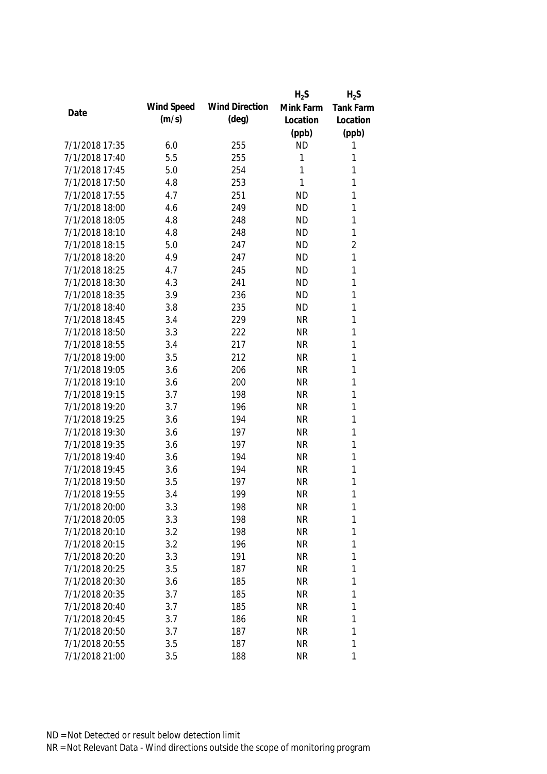|                |            |                       | $H_2S$    | $H_2S$           |
|----------------|------------|-----------------------|-----------|------------------|
| Date           | Wind Speed | <b>Wind Direction</b> | Mink Farm | <b>Tank Farm</b> |
|                | (m/s)      | (deg)                 | Location  | Location         |
|                |            |                       | (ppb)     | (ppb)            |
| 7/1/2018 17:35 | 6.0        | 255                   | <b>ND</b> | 1                |
| 7/1/2018 17:40 | 5.5        | 255                   | 1         | 1                |
| 7/1/2018 17:45 | 5.0        | 254                   | 1         | 1                |
| 7/1/2018 17:50 | 4.8        | 253                   | 1         | $\mathbf{1}$     |
| 7/1/2018 17:55 | 4.7        | 251                   | <b>ND</b> | 1                |
| 7/1/2018 18:00 | 4.6        | 249                   | <b>ND</b> | 1                |
| 7/1/2018 18:05 | 4.8        | 248                   | <b>ND</b> | $\mathbf{1}$     |
| 7/1/2018 18:10 | 4.8        | 248                   | <b>ND</b> | $\mathbf{1}$     |
| 7/1/2018 18:15 | 5.0        | 247                   | <b>ND</b> | $\overline{2}$   |
| 7/1/2018 18:20 | 4.9        | 247                   | <b>ND</b> | 1                |
| 7/1/2018 18:25 | 4.7        | 245                   | <b>ND</b> | $\mathbf{1}$     |
| 7/1/2018 18:30 | 4.3        | 241                   | <b>ND</b> | 1                |
| 7/1/2018 18:35 | 3.9        | 236                   | <b>ND</b> | 1                |
| 7/1/2018 18:40 | 3.8        | 235                   | <b>ND</b> | 1                |
| 7/1/2018 18:45 | 3.4        | 229                   | <b>NR</b> | $\mathbf{1}$     |
| 7/1/2018 18:50 | 3.3        | 222                   | <b>NR</b> | $\mathbf{1}$     |
| 7/1/2018 18:55 | 3.4        | 217                   | <b>NR</b> | 1                |
| 7/1/2018 19:00 | 3.5        | 212                   | <b>NR</b> | 1                |
| 7/1/2018 19:05 | 3.6        | 206                   | <b>NR</b> | 1                |
| 7/1/2018 19:10 | 3.6        | 200                   | <b>NR</b> | 1                |
| 7/1/2018 19:15 | 3.7        | 198                   | <b>NR</b> | 1                |
| 7/1/2018 19:20 | 3.7        | 196                   | <b>NR</b> | 1                |
| 7/1/2018 19:25 | 3.6        | 194                   | <b>NR</b> | $\mathbf{1}$     |
| 7/1/2018 19:30 | 3.6        | 197                   | <b>NR</b> | 1                |
| 7/1/2018 19:35 | 3.6        | 197                   | <b>NR</b> | 1                |
| 7/1/2018 19:40 | 3.6        | 194                   | <b>NR</b> | 1                |
| 7/1/2018 19:45 | 3.6        | 194                   | <b>NR</b> | 1                |
| 7/1/2018 19:50 | 3.5        | 197                   | <b>NR</b> | 1                |
| 7/1/2018 19:55 | 3.4        | 199                   | <b>NR</b> | 1                |
| 7/1/2018 20:00 | 3.3        | 198                   | <b>NR</b> | 1                |
| 7/1/2018 20:05 | 3.3        | 198                   | <b>NR</b> | $\mathbf{1}$     |
| 7/1/2018 20:10 | 3.2        | 198                   | <b>NR</b> | 1                |
| 7/1/2018 20:15 | 3.2        | 196                   | <b>NR</b> | 1                |
| 7/1/2018 20:20 | 3.3        | 191                   | <b>NR</b> | 1                |
| 7/1/2018 20:25 | 3.5        | 187                   | <b>NR</b> | 1                |
| 7/1/2018 20:30 | 3.6        | 185                   | <b>NR</b> | 1                |
| 7/1/2018 20:35 | 3.7        | 185                   | <b>NR</b> | 1                |
| 7/1/2018 20:40 | 3.7        | 185                   | <b>NR</b> | 1                |
| 7/1/2018 20:45 | 3.7        | 186                   | <b>NR</b> | 1                |
| 7/1/2018 20:50 | 3.7        | 187                   | <b>NR</b> | 1                |
| 7/1/2018 20:55 | 3.5        | 187                   | <b>NR</b> | 1                |
| 7/1/2018 21:00 | 3.5        | 188                   | <b>NR</b> | 1                |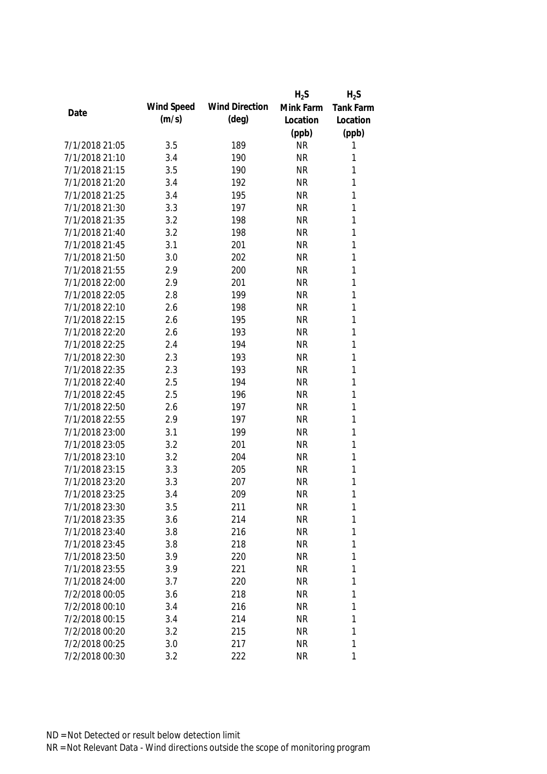|                |            |                       | $H_2S$    | $H_2S$           |
|----------------|------------|-----------------------|-----------|------------------|
| Date           | Wind Speed | <b>Wind Direction</b> | Mink Farm | <b>Tank Farm</b> |
|                | (m/s)      | $(\text{deg})$        | Location  | Location         |
|                |            |                       | (ppb)     | (ppb)            |
| 7/1/2018 21:05 | 3.5        | 189                   | <b>NR</b> | 1                |
| 7/1/2018 21:10 | 3.4        | 190                   | <b>NR</b> | 1                |
| 7/1/2018 21:15 | 3.5        | 190                   | <b>NR</b> | 1                |
| 7/1/2018 21:20 | 3.4        | 192                   | <b>NR</b> | 1                |
| 7/1/2018 21:25 | 3.4        | 195                   | <b>NR</b> | 1                |
| 7/1/2018 21:30 | 3.3        | 197                   | <b>NR</b> | 1                |
| 7/1/2018 21:35 | 3.2        | 198                   | <b>NR</b> | $\mathbf{1}$     |
| 7/1/2018 21:40 | 3.2        | 198                   | <b>NR</b> | $\mathbf{1}$     |
| 7/1/2018 21:45 | 3.1        | 201                   | <b>NR</b> | $\mathbf{1}$     |
| 7/1/2018 21:50 | 3.0        | 202                   | <b>NR</b> | 1                |
| 7/1/2018 21:55 | 2.9        | 200                   | <b>NR</b> | 1                |
| 7/1/2018 22:00 | 2.9        | 201                   | <b>NR</b> | 1                |
| 7/1/2018 22:05 | 2.8        | 199                   | <b>NR</b> | 1                |
| 7/1/2018 22:10 | 2.6        | 198                   | <b>NR</b> | $\mathbf{1}$     |
| 7/1/2018 22:15 | 2.6        | 195                   | <b>NR</b> | $\mathbf{1}$     |
| 7/1/2018 22:20 | 2.6        | 193                   | <b>NR</b> | $\mathbf{1}$     |
| 7/1/2018 22:25 | 2.4        | 194                   | <b>NR</b> | 1                |
| 7/1/2018 22:30 | 2.3        | 193                   | <b>NR</b> | $\mathbf{1}$     |
| 7/1/2018 22:35 | 2.3        | 193                   | <b>NR</b> | 1                |
| 7/1/2018 22:40 | 2.5        | 194                   | <b>NR</b> | $\mathbf{1}$     |
| 7/1/2018 22:45 | 2.5        | 196                   | <b>NR</b> | 1                |
| 7/1/2018 22:50 | 2.6        | 197                   | <b>NR</b> | $\mathbf{1}$     |
| 7/1/2018 22:55 | 2.9        | 197                   | <b>NR</b> | $\mathbf{1}$     |
| 7/1/2018 23:00 | 3.1        | 199                   | <b>NR</b> | 1                |
| 7/1/2018 23:05 | 3.2        | 201                   | <b>NR</b> | 1                |
| 7/1/2018 23:10 | 3.2        | 204                   | <b>NR</b> | 1                |
| 7/1/2018 23:15 | 3.3        | 205                   | <b>NR</b> | 1                |
| 7/1/2018 23:20 | 3.3        | 207                   | <b>NR</b> | 1                |
| 7/1/2018 23:25 | 3.4        | 209                   | <b>NR</b> | 1                |
| 7/1/2018 23:30 | 3.5        | 211                   | <b>NR</b> | 1                |
| 7/1/2018 23:35 | 3.6        | 214                   | <b>NR</b> | 1                |
| 7/1/2018 23:40 | 3.8        | 216                   | <b>NR</b> | 1                |
| 7/1/2018 23:45 | 3.8        | 218                   | <b>NR</b> | 1                |
| 7/1/2018 23:50 | 3.9        | 220                   | <b>NR</b> | 1                |
| 7/1/2018 23:55 | 3.9        | 221                   | <b>NR</b> | 1                |
| 7/1/2018 24:00 | 3.7        | 220                   | <b>NR</b> | 1                |
| 7/2/2018 00:05 | 3.6        | 218                   | <b>NR</b> | 1                |
| 7/2/2018 00:10 | 3.4        | 216                   | <b>NR</b> | 1                |
| 7/2/2018 00:15 | 3.4        | 214                   | <b>NR</b> | 1                |
| 7/2/2018 00:20 | 3.2        | 215                   | <b>NR</b> | 1                |
| 7/2/2018 00:25 | 3.0        | 217                   | <b>NR</b> | 1                |
| 7/2/2018 00:30 | 3.2        | 222                   | <b>NR</b> | 1                |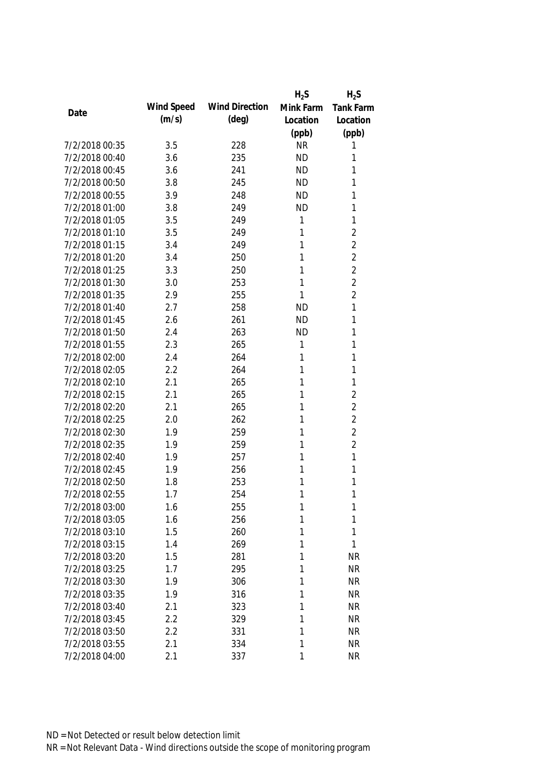|                |            |                       | $H_2S$    | $H_2S$           |
|----------------|------------|-----------------------|-----------|------------------|
| Date           | Wind Speed | <b>Wind Direction</b> | Mink Farm | <b>Tank Farm</b> |
|                | (m/s)      | $(\text{deg})$        | Location  | Location         |
|                |            |                       | (ppb)     | (ppb)            |
| 7/2/2018 00:35 | 3.5        | 228                   | <b>NR</b> | 1                |
| 7/2/2018 00:40 | 3.6        | 235                   | <b>ND</b> | 1                |
| 7/2/2018 00:45 | 3.6        | 241                   | <b>ND</b> | 1                |
| 7/2/2018 00:50 | 3.8        | 245                   | <b>ND</b> | 1                |
| 7/2/2018 00:55 | 3.9        | 248                   | <b>ND</b> | 1                |
| 7/2/2018 01:00 | 3.8        | 249                   | <b>ND</b> | 1                |
| 7/2/2018 01:05 | 3.5        | 249                   | 1         | $\mathbf{1}$     |
| 7/2/2018 01:10 | 3.5        | 249                   | 1         | $\overline{2}$   |
| 7/2/2018 01:15 | 3.4        | 249                   | 1         | $\overline{2}$   |
| 7/2/2018 01:20 | 3.4        | 250                   | 1         | $\overline{2}$   |
| 7/2/2018 01:25 | 3.3        | 250                   | 1         | $\overline{2}$   |
| 7/2/2018 01:30 | 3.0        | 253                   | 1         | $\overline{2}$   |
| 7/2/2018 01:35 | 2.9        | 255                   | 1         | $\overline{2}$   |
| 7/2/2018 01:40 | 2.7        | 258                   | <b>ND</b> | $\mathbf{1}$     |
| 7/2/2018 01:45 | 2.6        | 261                   | <b>ND</b> | 1                |
| 7/2/2018 01:50 | 2.4        | 263                   | <b>ND</b> | $\mathbf{1}$     |
| 7/2/2018 01:55 | 2.3        | 265                   | 1         | 1                |
| 7/2/2018 02:00 | 2.4        | 264                   | 1         | 1                |
| 7/2/2018 02:05 | 2.2        | 264                   | 1         | 1                |
| 7/2/2018 02:10 | 2.1        | 265                   | 1         | 1                |
| 7/2/2018 02:15 | 2.1        | 265                   | 1         | $\overline{2}$   |
| 7/2/2018 02:20 | 2.1        | 265                   | 1         | $\overline{2}$   |
| 7/2/2018 02:25 | 2.0        | 262                   | 1         | $\overline{2}$   |
| 7/2/2018 02:30 | 1.9        | 259                   | 1         | $\overline{2}$   |
| 7/2/2018 02:35 | 1.9        | 259                   | 1         | $\overline{2}$   |
| 7/2/2018 02:40 | 1.9        | 257                   | 1         | $\mathbf{1}$     |
| 7/2/2018 02:45 | 1.9        | 256                   | 1         | 1                |
| 7/2/2018 02:50 | 1.8        | 253                   | 1         | 1                |
| 7/2/2018 02:55 | 1.7        | 254                   | 1         | 1                |
| 7/2/2018 03:00 | 1.6        | 255                   | 1         | 1                |
| 7/2/2018 03:05 | 1.6        | 256                   | 1         | 1                |
| 7/2/2018 03:10 | 1.5        | 260                   | 1         | 1                |
| 7/2/2018 03:15 | 1.4        | 269                   | 1         | 1                |
| 7/2/2018 03:20 | 1.5        | 281                   | 1         | <b>NR</b>        |
| 7/2/2018 03:25 | 1.7        | 295                   | 1         | <b>NR</b>        |
| 7/2/2018 03:30 | 1.9        | 306                   | 1         | <b>NR</b>        |
| 7/2/2018 03:35 | 1.9        | 316                   | 1         | <b>NR</b>        |
| 7/2/2018 03:40 | 2.1        | 323                   | 1         | <b>NR</b>        |
| 7/2/2018 03:45 | 2.2        | 329                   | 1         | <b>NR</b>        |
| 7/2/2018 03:50 | 2.2        | 331                   | 1         | <b>NR</b>        |
| 7/2/2018 03:55 | 2.1        | 334                   | 1         | <b>NR</b>        |
| 7/2/2018 04:00 | 2.1        | 337                   | 1         | <b>NR</b>        |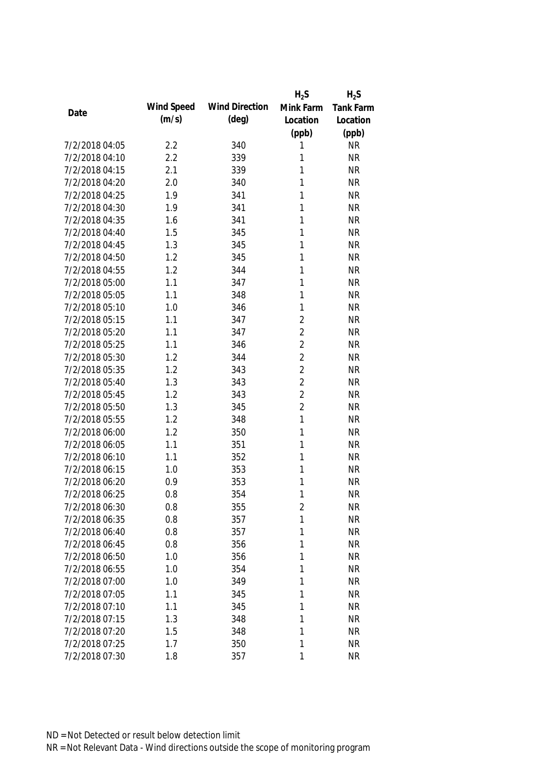|                |            |                       | $H_2S$         | $H_2S$           |
|----------------|------------|-----------------------|----------------|------------------|
| Date           | Wind Speed | <b>Wind Direction</b> | Mink Farm      | <b>Tank Farm</b> |
|                | (m/s)      | $(\text{deg})$        | Location       | Location         |
|                |            |                       | (ppb)          | (ppb)            |
| 7/2/2018 04:05 | 2.2        | 340                   | 1              | <b>NR</b>        |
| 7/2/2018 04:10 | 2.2        | 339                   | 1              | <b>NR</b>        |
| 7/2/2018 04:15 | 2.1        | 339                   | 1              | <b>NR</b>        |
| 7/2/2018 04:20 | 2.0        | 340                   | 1              | <b>NR</b>        |
| 7/2/2018 04:25 | 1.9        | 341                   | 1              | <b>NR</b>        |
| 7/2/2018 04:30 | 1.9        | 341                   | 1              | <b>NR</b>        |
| 7/2/2018 04:35 | 1.6        | 341                   | 1              | <b>NR</b>        |
| 7/2/2018 04:40 | 1.5        | 345                   | 1              | <b>NR</b>        |
| 7/2/2018 04:45 | 1.3        | 345                   | 1              | <b>NR</b>        |
| 7/2/2018 04:50 | 1.2        | 345                   | 1              | <b>NR</b>        |
| 7/2/2018 04:55 | 1.2        | 344                   | 1              | <b>NR</b>        |
| 7/2/2018 05:00 | 1.1        | 347                   | 1              | <b>NR</b>        |
| 7/2/2018 05:05 | 1.1        | 348                   | 1              | <b>NR</b>        |
| 7/2/2018 05:10 | 1.0        | 346                   | 1              | <b>NR</b>        |
| 7/2/2018 05:15 | 1.1        | 347                   | $\overline{2}$ | <b>NR</b>        |
| 7/2/2018 05:20 | 1.1        | 347                   | $\overline{2}$ | <b>NR</b>        |
| 7/2/2018 05:25 | 1.1        | 346                   | $\overline{2}$ | <b>NR</b>        |
| 7/2/2018 05:30 | 1.2        | 344                   | $\overline{2}$ | <b>NR</b>        |
| 7/2/2018 05:35 | 1.2        | 343                   | $\overline{2}$ | <b>NR</b>        |
| 7/2/2018 05:40 | 1.3        | 343                   | $\overline{2}$ | <b>NR</b>        |
| 7/2/2018 05:45 | 1.2        | 343                   | $\overline{2}$ | <b>NR</b>        |
| 7/2/2018 05:50 | 1.3        | 345                   | $\overline{2}$ | <b>NR</b>        |
| 7/2/2018 05:55 | 1.2        | 348                   | 1              | <b>NR</b>        |
| 7/2/2018 06:00 | 1.2        | 350                   | 1              | <b>NR</b>        |
| 7/2/2018 06:05 | 1.1        | 351                   | 1              | <b>NR</b>        |
| 7/2/2018 06:10 | 1.1        | 352                   | 1              | <b>NR</b>        |
| 7/2/2018 06:15 | 1.0        | 353                   | 1              | <b>NR</b>        |
| 7/2/2018 06:20 | 0.9        | 353                   | 1              | <b>NR</b>        |
| 7/2/2018 06:25 | 0.8        | 354                   | 1              | <b>NR</b>        |
| 7/2/2018 06:30 | 0.8        | 355                   | 2              | <b>NR</b>        |
| 7/2/2018 06:35 | 0.8        | 357                   | 1              | <b>NR</b>        |
| 7/2/2018 06:40 | 0.8        | 357                   | 1              | <b>NR</b>        |
| 7/2/2018 06:45 | 0.8        | 356                   | 1              | <b>NR</b>        |
| 7/2/2018 06:50 | 1.0        | 356                   | 1              | <b>NR</b>        |
| 7/2/2018 06:55 | 1.0        | 354                   | 1              | <b>NR</b>        |
| 7/2/2018 07:00 | 1.0        | 349                   | 1              | <b>NR</b>        |
| 7/2/2018 07:05 | 1.1        | 345                   | 1              | <b>NR</b>        |
| 7/2/2018 07:10 | 1.1        | 345                   | 1              | <b>NR</b>        |
| 7/2/2018 07:15 | 1.3        | 348                   | 1              | <b>NR</b>        |
| 7/2/2018 07:20 | 1.5        | 348                   | 1              | <b>NR</b>        |
| 7/2/2018 07:25 | 1.7        | 350                   | 1              | <b>NR</b>        |
| 7/2/2018 07:30 | 1.8        | 357                   | 1              | <b>NR</b>        |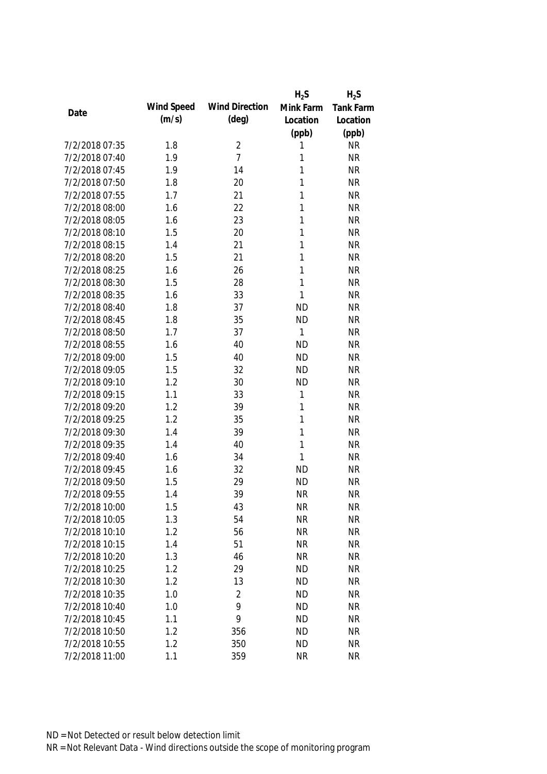|                |            |                       | $H_2S$       | $H_2S$    |
|----------------|------------|-----------------------|--------------|-----------|
|                | Wind Speed | <b>Wind Direction</b> | Mink Farm    | Tank Farm |
| Date           | (m/s)      | $(\text{deg})$        | Location     | Location  |
|                |            |                       | (ppb)        | (ppb)     |
| 7/2/2018 07:35 | 1.8        | $\overline{2}$        | 1            | <b>NR</b> |
| 7/2/2018 07:40 | 1.9        | $\overline{7}$        | 1            | <b>NR</b> |
| 7/2/2018 07:45 | 1.9        | 14                    | 1            | <b>NR</b> |
| 7/2/2018 07:50 | 1.8        | 20                    | 1            | <b>NR</b> |
| 7/2/2018 07:55 | 1.7        | 21                    | 1            | <b>NR</b> |
| 7/2/2018 08:00 | 1.6        | 22                    | 1            | <b>NR</b> |
| 7/2/2018 08:05 | 1.6        | 23                    | $\mathbf{1}$ | <b>NR</b> |
| 7/2/2018 08:10 | 1.5        | 20                    | 1            | <b>NR</b> |
| 7/2/2018 08:15 | 1.4        | 21                    | $\mathbf{1}$ | <b>NR</b> |
| 7/2/2018 08:20 | 1.5        | 21                    | 1            | <b>NR</b> |
| 7/2/2018 08:25 | 1.6        | 26                    | 1            | <b>NR</b> |
| 7/2/2018 08:30 | 1.5        | 28                    | 1            | <b>NR</b> |
| 7/2/2018 08:35 | 1.6        | 33                    | $\mathbf{1}$ | <b>NR</b> |
| 7/2/2018 08:40 | 1.8        | 37                    | <b>ND</b>    | <b>NR</b> |
| 7/2/2018 08:45 | 1.8        | 35                    | <b>ND</b>    | <b>NR</b> |
| 7/2/2018 08:50 | 1.7        | 37                    | 1            | <b>NR</b> |
| 7/2/2018 08:55 | 1.6        | 40                    | <b>ND</b>    | <b>NR</b> |
| 7/2/2018 09:00 | 1.5        | 40                    | <b>ND</b>    | <b>NR</b> |
| 7/2/2018 09:05 | 1.5        | 32                    | <b>ND</b>    | <b>NR</b> |
| 7/2/2018 09:10 | 1.2        | 30                    | <b>ND</b>    | <b>NR</b> |
| 7/2/2018 09:15 | 1.1        | 33                    | $\mathbf 1$  | <b>NR</b> |
| 7/2/2018 09:20 | 1.2        | 39                    | 1            | <b>NR</b> |
| 7/2/2018 09:25 | 1.2        | 35                    | 1            | <b>NR</b> |
| 7/2/2018 09:30 | 1.4        | 39                    | 1            | <b>NR</b> |
| 7/2/2018 09:35 | 1.4        | 40                    | 1            | <b>NR</b> |
| 7/2/2018 09:40 | 1.6        | 34                    | 1            | <b>NR</b> |
| 7/2/2018 09:45 | 1.6        | 32                    | <b>ND</b>    | <b>NR</b> |
| 7/2/2018 09:50 | 1.5        | 29                    | <b>ND</b>    | <b>NR</b> |
| 7/2/2018 09:55 | 1.4        | 39                    | <b>NR</b>    | <b>NR</b> |
| 7/2/2018 10:00 | 1.5        | 43                    | <b>NR</b>    | <b>NR</b> |
| 7/2/2018 10:05 | 1.3        | 54                    | <b>NR</b>    | <b>NR</b> |
| 7/2/2018 10:10 | 1.2        | 56                    | <b>NR</b>    | <b>NR</b> |
| 7/2/2018 10:15 | 1.4        | 51                    | <b>NR</b>    | <b>NR</b> |
| 7/2/2018 10:20 | 1.3        | 46                    | <b>NR</b>    | <b>NR</b> |
| 7/2/2018 10:25 | 1.2        | 29                    | <b>ND</b>    | <b>NR</b> |
| 7/2/2018 10:30 | 1.2        | 13                    | <b>ND</b>    | <b>NR</b> |
| 7/2/2018 10:35 | 1.0        | $\overline{2}$        | <b>ND</b>    | <b>NR</b> |
| 7/2/2018 10:40 | 1.0        | 9                     | <b>ND</b>    | <b>NR</b> |
| 7/2/2018 10:45 | 1.1        | 9                     | <b>ND</b>    | <b>NR</b> |
| 7/2/2018 10:50 | 1.2        | 356                   | <b>ND</b>    | <b>NR</b> |
| 7/2/2018 10:55 | 1.2        | 350                   | <b>ND</b>    | <b>NR</b> |
| 7/2/2018 11:00 | 1.1        | 359                   | <b>NR</b>    | <b>NR</b> |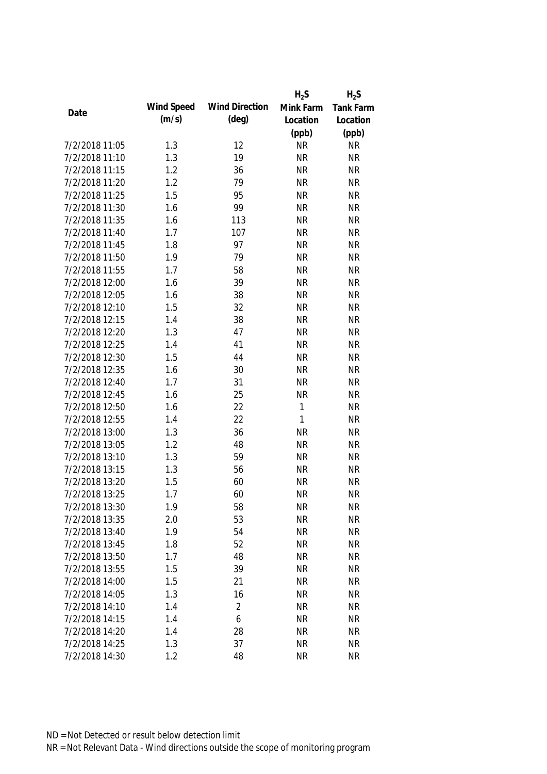|                |            |                       | $H_2S$       | $H_2S$           |
|----------------|------------|-----------------------|--------------|------------------|
|                | Wind Speed | <b>Wind Direction</b> | Mink Farm    | <b>Tank Farm</b> |
| Date           | (m/s)      | $(\text{deg})$        | Location     | Location         |
|                |            |                       | (ppb)        | (ppb)            |
| 7/2/2018 11:05 | 1.3        | 12                    | <b>NR</b>    | <b>NR</b>        |
| 7/2/2018 11:10 | 1.3        | 19                    | <b>NR</b>    | <b>NR</b>        |
| 7/2/2018 11:15 | 1.2        | 36                    | <b>NR</b>    | <b>NR</b>        |
| 7/2/2018 11:20 | 1.2        | 79                    | <b>NR</b>    | <b>NR</b>        |
| 7/2/2018 11:25 | 1.5        | 95                    | <b>NR</b>    | <b>NR</b>        |
| 7/2/2018 11:30 | 1.6        | 99                    | <b>NR</b>    | <b>NR</b>        |
| 7/2/2018 11:35 | 1.6        | 113                   | <b>NR</b>    | <b>NR</b>        |
| 7/2/2018 11:40 | 1.7        | 107                   | <b>NR</b>    | <b>NR</b>        |
| 7/2/2018 11:45 | 1.8        | 97                    | <b>NR</b>    | <b>NR</b>        |
| 7/2/2018 11:50 | 1.9        | 79                    | <b>NR</b>    | <b>NR</b>        |
| 7/2/2018 11:55 | 1.7        | 58                    | <b>NR</b>    | <b>NR</b>        |
| 7/2/2018 12:00 | 1.6        | 39                    | <b>NR</b>    | <b>NR</b>        |
| 7/2/2018 12:05 | 1.6        | 38                    | <b>NR</b>    | <b>NR</b>        |
| 7/2/2018 12:10 | 1.5        | 32                    | <b>NR</b>    | <b>NR</b>        |
| 7/2/2018 12:15 | 1.4        | 38                    | <b>NR</b>    | <b>NR</b>        |
| 7/2/2018 12:20 | 1.3        | 47                    | <b>NR</b>    | <b>NR</b>        |
| 7/2/2018 12:25 | 1.4        | 41                    | <b>NR</b>    | <b>NR</b>        |
| 7/2/2018 12:30 | 1.5        | 44                    | <b>NR</b>    | <b>NR</b>        |
| 7/2/2018 12:35 | 1.6        | 30                    | <b>NR</b>    | <b>NR</b>        |
| 7/2/2018 12:40 | 1.7        | 31                    | <b>NR</b>    | <b>NR</b>        |
| 7/2/2018 12:45 | 1.6        | 25                    | <b>NR</b>    | <b>NR</b>        |
| 7/2/2018 12:50 | 1.6        | 22                    | 1            | <b>NR</b>        |
| 7/2/2018 12:55 | 1.4        | 22                    | $\mathbf{1}$ | <b>NR</b>        |
| 7/2/2018 13:00 | 1.3        | 36                    | <b>NR</b>    | <b>NR</b>        |
| 7/2/2018 13:05 | 1.2        | 48                    | <b>NR</b>    | <b>NR</b>        |
| 7/2/2018 13:10 | 1.3        | 59                    | <b>NR</b>    | <b>NR</b>        |
| 7/2/2018 13:15 | 1.3        | 56                    | <b>NR</b>    | <b>NR</b>        |
| 7/2/2018 13:20 | 1.5        | 60                    | <b>NR</b>    | <b>NR</b>        |
| 7/2/2018 13:25 | 1.7        | 60                    | <b>NR</b>    | <b>NR</b>        |
| 7/2/2018 13:30 | 1.9        | 58                    | <b>NR</b>    | <b>NR</b>        |
| 7/2/2018 13:35 | 2.0        | 53                    | <b>NR</b>    | <b>NR</b>        |
| 7/2/2018 13:40 | 1.9        | 54                    | <b>NR</b>    | <b>NR</b>        |
| 7/2/2018 13:45 | 1.8        | 52                    | <b>NR</b>    | <b>NR</b>        |
| 7/2/2018 13:50 | 1.7        | 48                    | <b>NR</b>    | <b>NR</b>        |
| 7/2/2018 13:55 | 1.5        | 39                    | <b>NR</b>    | <b>NR</b>        |
| 7/2/2018 14:00 | 1.5        | 21                    | <b>NR</b>    | <b>NR</b>        |
| 7/2/2018 14:05 | 1.3        | 16                    | <b>NR</b>    | <b>NR</b>        |
| 7/2/2018 14:10 | 1.4        | $\overline{2}$        | <b>NR</b>    | <b>NR</b>        |
| 7/2/2018 14:15 | 1.4        | 6                     | <b>NR</b>    | <b>NR</b>        |
| 7/2/2018 14:20 | 1.4        | 28                    | <b>NR</b>    | <b>NR</b>        |
| 7/2/2018 14:25 | 1.3        | 37                    | <b>NR</b>    | <b>NR</b>        |
| 7/2/2018 14:30 | 1.2        | 48                    | <b>NR</b>    | <b>NR</b>        |
|                |            |                       |              |                  |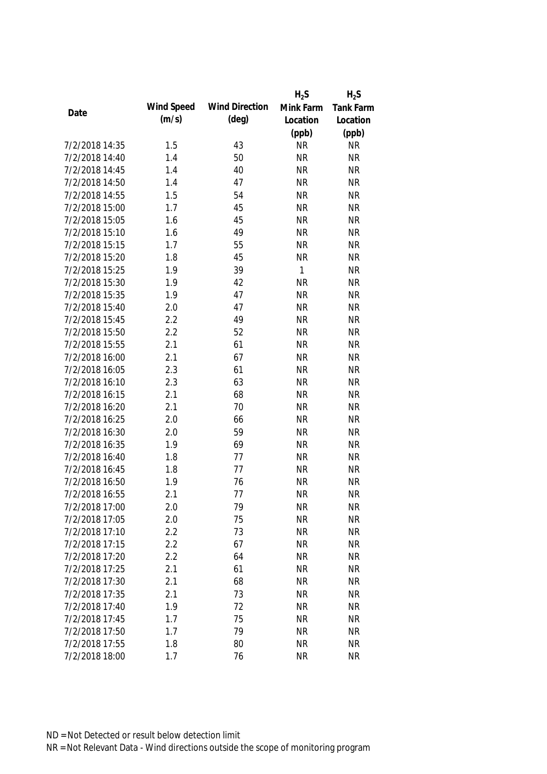|                |            |                       | $H_2S$       | $H_2S$           |
|----------------|------------|-----------------------|--------------|------------------|
| Date           | Wind Speed | <b>Wind Direction</b> | Mink Farm    | <b>Tank Farm</b> |
|                | (m/s)      | $(\text{deg})$        | Location     | Location         |
|                |            |                       | (ppb)        | (ppb)            |
| 7/2/2018 14:35 | 1.5        | 43                    | <b>NR</b>    | <b>NR</b>        |
| 7/2/2018 14:40 | 1.4        | 50                    | <b>NR</b>    | <b>NR</b>        |
| 7/2/2018 14:45 | 1.4        | 40                    | <b>NR</b>    | <b>NR</b>        |
| 7/2/2018 14:50 | 1.4        | 47                    | <b>NR</b>    | <b>NR</b>        |
| 7/2/2018 14:55 | 1.5        | 54                    | <b>NR</b>    | <b>NR</b>        |
| 7/2/2018 15:00 | 1.7        | 45                    | <b>NR</b>    | <b>NR</b>        |
| 7/2/2018 15:05 | 1.6        | 45                    | <b>NR</b>    | <b>NR</b>        |
| 7/2/2018 15:10 | 1.6        | 49                    | <b>NR</b>    | <b>NR</b>        |
| 7/2/2018 15:15 | 1.7        | 55                    | <b>NR</b>    | <b>NR</b>        |
| 7/2/2018 15:20 | 1.8        | 45                    | <b>NR</b>    | <b>NR</b>        |
| 7/2/2018 15:25 | 1.9        | 39                    | $\mathbf{1}$ | <b>NR</b>        |
| 7/2/2018 15:30 | 1.9        | 42                    | <b>NR</b>    | <b>NR</b>        |
| 7/2/2018 15:35 | 1.9        | 47                    | <b>NR</b>    | <b>NR</b>        |
| 7/2/2018 15:40 | 2.0        | 47                    | <b>NR</b>    | <b>NR</b>        |
| 7/2/2018 15:45 | 2.2        | 49                    | <b>NR</b>    | <b>NR</b>        |
| 7/2/2018 15:50 | 2.2        | 52                    | <b>NR</b>    | <b>NR</b>        |
| 7/2/2018 15:55 | 2.1        | 61                    | <b>NR</b>    | <b>NR</b>        |
| 7/2/2018 16:00 | 2.1        | 67                    | <b>NR</b>    | <b>NR</b>        |
| 7/2/2018 16:05 | 2.3        | 61                    | <b>NR</b>    | <b>NR</b>        |
| 7/2/2018 16:10 | 2.3        | 63                    | <b>NR</b>    | <b>NR</b>        |
| 7/2/2018 16:15 | 2.1        | 68                    | <b>NR</b>    | <b>NR</b>        |
| 7/2/2018 16:20 | 2.1        | 70                    | <b>NR</b>    | <b>NR</b>        |
| 7/2/2018 16:25 | 2.0        | 66                    | <b>NR</b>    | <b>NR</b>        |
| 7/2/2018 16:30 | 2.0        | 59                    | <b>NR</b>    | <b>NR</b>        |
| 7/2/2018 16:35 | 1.9        | 69                    | <b>NR</b>    | <b>NR</b>        |
| 7/2/2018 16:40 | 1.8        | 77                    | <b>NR</b>    | <b>NR</b>        |
| 7/2/2018 16:45 | 1.8        | 77                    | <b>NR</b>    | <b>NR</b>        |
| 7/2/2018 16:50 | 1.9        | 76                    | <b>NR</b>    | <b>NR</b>        |
| 7/2/2018 16:55 | 2.1        | 77                    | <b>NR</b>    | <b>NR</b>        |
| 7/2/2018 17:00 | 2.0        | 79                    | <b>NR</b>    | <b>NR</b>        |
| 7/2/2018 17:05 | 2.0        | 75                    | <b>NR</b>    | <b>NR</b>        |
| 7/2/2018 17:10 | 2.2        | 73                    | <b>NR</b>    | <b>NR</b>        |
| 7/2/2018 17:15 | 2.2        | 67                    | <b>NR</b>    | <b>NR</b>        |
| 7/2/2018 17:20 | 2.2        | 64                    | <b>NR</b>    | <b>NR</b>        |
| 7/2/2018 17:25 | 2.1        | 61                    | <b>NR</b>    | <b>NR</b>        |
| 7/2/2018 17:30 | 2.1        | 68                    | <b>NR</b>    | <b>NR</b>        |
| 7/2/2018 17:35 | 2.1        | 73                    | <b>NR</b>    | <b>NR</b>        |
| 7/2/2018 17:40 | 1.9        | 72                    | <b>NR</b>    | <b>NR</b>        |
| 7/2/2018 17:45 | 1.7        | 75                    | <b>NR</b>    | <b>NR</b>        |
| 7/2/2018 17:50 | 1.7        | 79                    | <b>NR</b>    | <b>NR</b>        |
| 7/2/2018 17:55 | 1.8        | 80                    | <b>NR</b>    | <b>NR</b>        |
| 7/2/2018 18:00 | 1.7        | 76                    | <b>NR</b>    | <b>NR</b>        |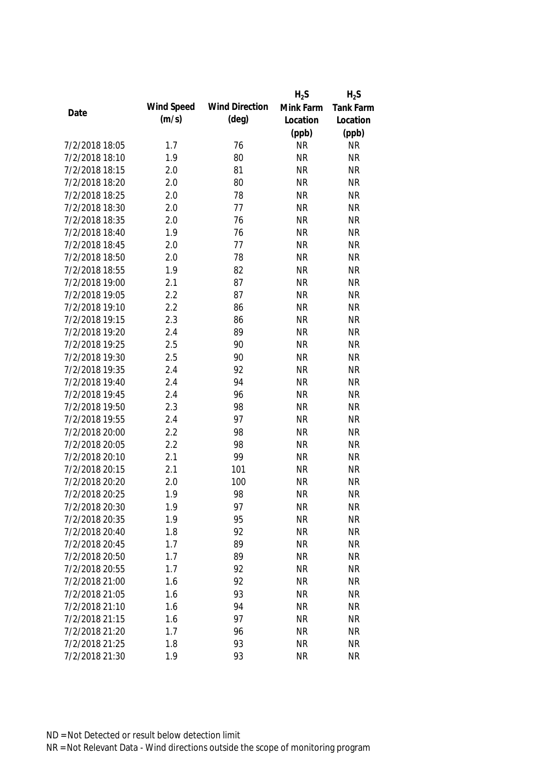|                |            |                       | $H_2S$    | $H_2S$           |
|----------------|------------|-----------------------|-----------|------------------|
|                | Wind Speed | <b>Wind Direction</b> | Mink Farm | <b>Tank Farm</b> |
| Date           | (m/s)      | $(\text{deg})$        | Location  | Location         |
|                |            |                       | (ppb)     | (ppb)            |
| 7/2/2018 18:05 | 1.7        | 76                    | <b>NR</b> | <b>NR</b>        |
| 7/2/2018 18:10 | 1.9        | 80                    | <b>NR</b> | <b>NR</b>        |
| 7/2/2018 18:15 | 2.0        | 81                    | <b>NR</b> | <b>NR</b>        |
| 7/2/2018 18:20 | 2.0        | 80                    | <b>NR</b> | <b>NR</b>        |
| 7/2/2018 18:25 | 2.0        | 78                    | <b>NR</b> | <b>NR</b>        |
| 7/2/2018 18:30 | 2.0        | 77                    | <b>NR</b> | <b>NR</b>        |
| 7/2/2018 18:35 | 2.0        | 76                    | <b>NR</b> | <b>NR</b>        |
| 7/2/2018 18:40 | 1.9        | 76                    | <b>NR</b> | <b>NR</b>        |
| 7/2/2018 18:45 | 2.0        | 77                    | <b>NR</b> | <b>NR</b>        |
| 7/2/2018 18:50 | 2.0        | 78                    | <b>NR</b> | <b>NR</b>        |
| 7/2/2018 18:55 | 1.9        | 82                    | <b>NR</b> | <b>NR</b>        |
| 7/2/2018 19:00 | 2.1        | 87                    | <b>NR</b> | <b>NR</b>        |
| 7/2/2018 19:05 | 2.2        | 87                    | <b>NR</b> | <b>NR</b>        |
| 7/2/2018 19:10 | 2.2        | 86                    | <b>NR</b> | <b>NR</b>        |
| 7/2/2018 19:15 | 2.3        | 86                    | <b>NR</b> | <b>NR</b>        |
| 7/2/2018 19:20 | 2.4        | 89                    | <b>NR</b> | <b>NR</b>        |
| 7/2/2018 19:25 | 2.5        | 90                    | <b>NR</b> | <b>NR</b>        |
| 7/2/2018 19:30 | 2.5        | 90                    | <b>NR</b> | <b>NR</b>        |
| 7/2/2018 19:35 | 2.4        | 92                    | <b>NR</b> | <b>NR</b>        |
| 7/2/2018 19:40 | 2.4        | 94                    | <b>NR</b> | <b>NR</b>        |
| 7/2/2018 19:45 | 2.4        | 96                    | <b>NR</b> | <b>NR</b>        |
| 7/2/2018 19:50 | 2.3        | 98                    | <b>NR</b> | <b>NR</b>        |
| 7/2/2018 19:55 | 2.4        | 97                    | <b>NR</b> | <b>NR</b>        |
| 7/2/2018 20:00 | 2.2        | 98                    | <b>NR</b> | <b>NR</b>        |
| 7/2/2018 20:05 | 2.2        | 98                    | <b>NR</b> | <b>NR</b>        |
| 7/2/2018 20:10 | 2.1        | 99                    | <b>NR</b> | <b>NR</b>        |
| 7/2/2018 20:15 | 2.1        | 101                   | <b>NR</b> | <b>NR</b>        |
| 7/2/2018 20:20 | 2.0        | 100                   | <b>NR</b> | <b>NR</b>        |
| 7/2/2018 20:25 | 1.9        | 98                    | <b>NR</b> | <b>NR</b>        |
| 7/2/2018 20:30 | 1.9        | 97                    | <b>NR</b> | <b>NR</b>        |
| 7/2/2018 20:35 | 1.9        | 95                    | <b>NR</b> | <b>NR</b>        |
| 7/2/2018 20:40 | 1.8        | 92                    | <b>NR</b> | <b>NR</b>        |
| 7/2/2018 20:45 | 1.7        | 89                    | <b>NR</b> | <b>NR</b>        |
| 7/2/2018 20:50 | 1.7        | 89                    | <b>NR</b> | <b>NR</b>        |
| 7/2/2018 20:55 | 1.7        | 92                    | <b>NR</b> | <b>NR</b>        |
| 7/2/2018 21:00 | 1.6        | 92                    | <b>NR</b> | <b>NR</b>        |
| 7/2/2018 21:05 | 1.6        | 93                    | <b>NR</b> | <b>NR</b>        |
| 7/2/2018 21:10 | 1.6        | 94                    | <b>NR</b> | <b>NR</b>        |
| 7/2/2018 21:15 | 1.6        | 97                    | <b>NR</b> | <b>NR</b>        |
| 7/2/2018 21:20 | 1.7        | 96                    | <b>NR</b> | <b>NR</b>        |
| 7/2/2018 21:25 | 1.8        | 93                    | <b>NR</b> | <b>NR</b>        |
| 7/2/2018 21:30 | 1.9        | 93                    | <b>NR</b> | <b>NR</b>        |
|                |            |                       |           |                  |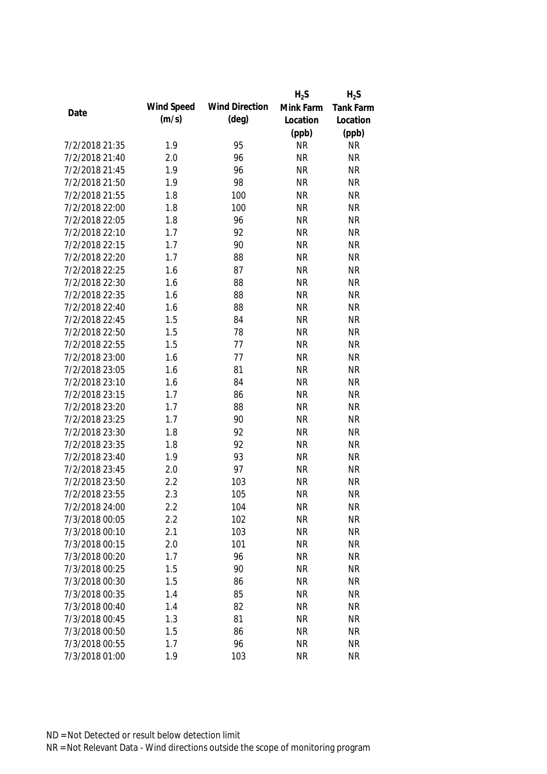|                |            |                       | $H_2S$    | $H_2S$           |
|----------------|------------|-----------------------|-----------|------------------|
|                | Wind Speed | <b>Wind Direction</b> | Mink Farm | <b>Tank Farm</b> |
| Date           | (m/s)      | $(\text{deg})$        | Location  | Location         |
|                |            |                       | (ppb)     | (ppb)            |
| 7/2/2018 21:35 | 1.9        | 95                    | <b>NR</b> | <b>NR</b>        |
| 7/2/2018 21:40 | 2.0        | 96                    | <b>NR</b> | <b>NR</b>        |
| 7/2/2018 21:45 | 1.9        | 96                    | <b>NR</b> | <b>NR</b>        |
| 7/2/2018 21:50 | 1.9        | 98                    | <b>NR</b> | <b>NR</b>        |
| 7/2/2018 21:55 | 1.8        | 100                   | <b>NR</b> | <b>NR</b>        |
| 7/2/2018 22:00 | 1.8        | 100                   | <b>NR</b> | <b>NR</b>        |
| 7/2/2018 22:05 | 1.8        | 96                    | <b>NR</b> | <b>NR</b>        |
| 7/2/2018 22:10 | 1.7        | 92                    | <b>NR</b> | <b>NR</b>        |
| 7/2/2018 22:15 | 1.7        | 90                    | <b>NR</b> | <b>NR</b>        |
| 7/2/2018 22:20 | 1.7        | 88                    | <b>NR</b> | <b>NR</b>        |
| 7/2/2018 22:25 | 1.6        | 87                    | <b>NR</b> | <b>NR</b>        |
| 7/2/2018 22:30 | 1.6        | 88                    | <b>NR</b> | <b>NR</b>        |
| 7/2/2018 22:35 | 1.6        | 88                    | <b>NR</b> | <b>NR</b>        |
| 7/2/2018 22:40 | 1.6        | 88                    | <b>NR</b> | <b>NR</b>        |
| 7/2/2018 22:45 | 1.5        | 84                    | <b>NR</b> | <b>NR</b>        |
| 7/2/2018 22:50 | 1.5        | 78                    | <b>NR</b> | <b>NR</b>        |
| 7/2/2018 22:55 | 1.5        | 77                    | <b>NR</b> | <b>NR</b>        |
| 7/2/2018 23:00 | 1.6        | 77                    | <b>NR</b> | <b>NR</b>        |
| 7/2/2018 23:05 | 1.6        | 81                    | <b>NR</b> | <b>NR</b>        |
| 7/2/2018 23:10 | 1.6        | 84                    | <b>NR</b> | <b>NR</b>        |
| 7/2/2018 23:15 | 1.7        | 86                    | <b>NR</b> | <b>NR</b>        |
| 7/2/2018 23:20 | 1.7        | 88                    | <b>NR</b> | <b>NR</b>        |
| 7/2/2018 23:25 | 1.7        | 90                    | <b>NR</b> | <b>NR</b>        |
| 7/2/2018 23:30 | 1.8        | 92                    | <b>NR</b> | <b>NR</b>        |
| 7/2/2018 23:35 | 1.8        | 92                    | <b>NR</b> | <b>NR</b>        |
| 7/2/2018 23:40 | 1.9        | 93                    | <b>NR</b> | <b>NR</b>        |
| 7/2/2018 23:45 | 2.0        | 97                    | <b>NR</b> | <b>NR</b>        |
| 7/2/2018 23:50 | 2.2        | 103                   | <b>NR</b> | <b>NR</b>        |
| 7/2/2018 23:55 | 2.3        | 105                   | <b>NR</b> | <b>NR</b>        |
| 7/2/2018 24:00 | 2.2        | 104                   | <b>NR</b> | <b>NR</b>        |
| 7/3/2018 00:05 | 2.2        | 102                   | <b>NR</b> | <b>NR</b>        |
| 7/3/2018 00:10 | 2.1        | 103                   | <b>NR</b> | <b>NR</b>        |
| 7/3/2018 00:15 | 2.0        | 101                   | <b>NR</b> | <b>NR</b>        |
| 7/3/2018 00:20 | 1.7        | 96                    | <b>NR</b> | <b>NR</b>        |
| 7/3/2018 00:25 | 1.5        | 90                    | <b>NR</b> | <b>NR</b>        |
| 7/3/2018 00:30 | 1.5        | 86                    | <b>NR</b> | <b>NR</b>        |
| 7/3/2018 00:35 | 1.4        | 85                    | <b>NR</b> | <b>NR</b>        |
| 7/3/2018 00:40 | 1.4        | 82                    | <b>NR</b> | <b>NR</b>        |
| 7/3/2018 00:45 | 1.3        | 81                    | <b>NR</b> | <b>NR</b>        |
| 7/3/2018 00:50 | 1.5        | 86                    | <b>NR</b> | <b>NR</b>        |
| 7/3/2018 00:55 | 1.7        | 96                    | <b>NR</b> | <b>NR</b>        |
| 7/3/2018 01:00 | 1.9        | 103                   | <b>NR</b> | <b>NR</b>        |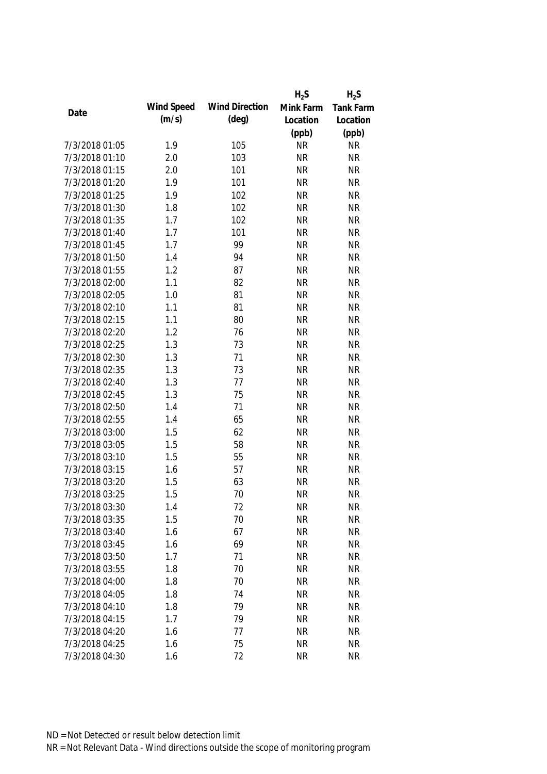|                |            |                       | $H_2S$    | $H_2S$           |
|----------------|------------|-----------------------|-----------|------------------|
| Date           | Wind Speed | <b>Wind Direction</b> | Mink Farm | <b>Tank Farm</b> |
|                | (m/s)      | $(\text{deg})$        | Location  | Location         |
|                |            |                       | (ppb)     | (ppb)            |
| 7/3/2018 01:05 | 1.9        | 105                   | <b>NR</b> | <b>NR</b>        |
| 7/3/2018 01:10 | 2.0        | 103                   | <b>NR</b> | <b>NR</b>        |
| 7/3/2018 01:15 | 2.0        | 101                   | <b>NR</b> | <b>NR</b>        |
| 7/3/2018 01:20 | 1.9        | 101                   | <b>NR</b> | <b>NR</b>        |
| 7/3/2018 01:25 | 1.9        | 102                   | <b>NR</b> | <b>NR</b>        |
| 7/3/2018 01:30 | 1.8        | 102                   | <b>NR</b> | <b>NR</b>        |
| 7/3/2018 01:35 | 1.7        | 102                   | <b>NR</b> | <b>NR</b>        |
| 7/3/2018 01:40 | 1.7        | 101                   | <b>NR</b> | <b>NR</b>        |
| 7/3/2018 01:45 | 1.7        | 99                    | <b>NR</b> | <b>NR</b>        |
| 7/3/2018 01:50 | 1.4        | 94                    | <b>NR</b> | <b>NR</b>        |
| 7/3/2018 01:55 | 1.2        | 87                    | <b>NR</b> | <b>NR</b>        |
| 7/3/2018 02:00 | 1.1        | 82                    | <b>NR</b> | <b>NR</b>        |
| 7/3/2018 02:05 | 1.0        | 81                    | <b>NR</b> | <b>NR</b>        |
| 7/3/2018 02:10 | 1.1        | 81                    | <b>NR</b> | <b>NR</b>        |
| 7/3/2018 02:15 | 1.1        | 80                    | <b>NR</b> | <b>NR</b>        |
| 7/3/2018 02:20 | 1.2        | 76                    | <b>NR</b> | <b>NR</b>        |
| 7/3/2018 02:25 | 1.3        | 73                    | <b>NR</b> | <b>NR</b>        |
| 7/3/2018 02:30 | 1.3        | 71                    | <b>NR</b> | <b>NR</b>        |
| 7/3/2018 02:35 | 1.3        | 73                    | <b>NR</b> | <b>NR</b>        |
| 7/3/2018 02:40 | 1.3        | 77                    | <b>NR</b> | <b>NR</b>        |
| 7/3/2018 02:45 | 1.3        | 75                    | <b>NR</b> | <b>NR</b>        |
| 7/3/2018 02:50 | 1.4        | 71                    | <b>NR</b> | <b>NR</b>        |
| 7/3/2018 02:55 | 1.4        | 65                    | <b>NR</b> | <b>NR</b>        |
| 7/3/2018 03:00 | 1.5        | 62                    | <b>NR</b> | <b>NR</b>        |
| 7/3/2018 03:05 | 1.5        | 58                    | <b>NR</b> | <b>NR</b>        |
| 7/3/2018 03:10 | 1.5        | 55                    | <b>NR</b> | <b>NR</b>        |
| 7/3/2018 03:15 | 1.6        | 57                    | <b>NR</b> | <b>NR</b>        |
| 7/3/2018 03:20 | 1.5        | 63                    | <b>NR</b> | <b>NR</b>        |
| 7/3/2018 03:25 | 1.5        | 70                    | <b>NR</b> | <b>NR</b>        |
| 7/3/2018 03:30 | 1.4        | 72                    | <b>NR</b> | <b>NR</b>        |
| 7/3/2018 03:35 | 1.5        | 70                    | <b>NR</b> | <b>NR</b>        |
| 7/3/2018 03:40 | 1.6        | 67                    | <b>NR</b> | <b>NR</b>        |
| 7/3/2018 03:45 | 1.6        | 69                    | <b>NR</b> | <b>NR</b>        |
| 7/3/2018 03:50 | 1.7        | 71                    | <b>NR</b> | <b>NR</b>        |
| 7/3/2018 03:55 | 1.8        | 70                    | <b>NR</b> | <b>NR</b>        |
| 7/3/2018 04:00 | 1.8        | 70                    | <b>NR</b> | <b>NR</b>        |
| 7/3/2018 04:05 | 1.8        | 74                    | <b>NR</b> | <b>NR</b>        |
| 7/3/2018 04:10 | 1.8        | 79                    | <b>NR</b> | <b>NR</b>        |
| 7/3/2018 04:15 | 1.7        | 79                    | <b>NR</b> | <b>NR</b>        |
| 7/3/2018 04:20 | 1.6        | 77                    | <b>NR</b> | <b>NR</b>        |
| 7/3/2018 04:25 | 1.6        | 75                    | <b>NR</b> | <b>NR</b>        |
| 7/3/2018 04:30 | 1.6        | 72                    | <b>NR</b> | <b>NR</b>        |
|                |            |                       |           |                  |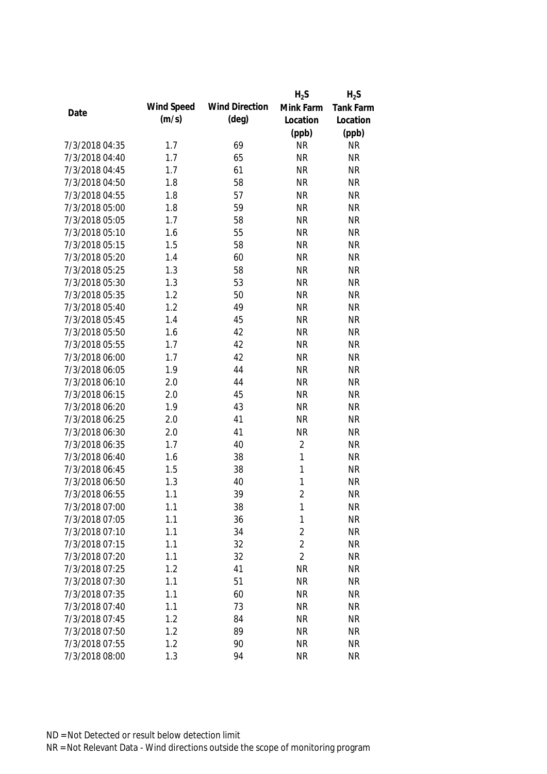|                |            |                       | $H_2S$         | $H_2S$           |
|----------------|------------|-----------------------|----------------|------------------|
|                | Wind Speed | <b>Wind Direction</b> | Mink Farm      | <b>Tank Farm</b> |
| Date           | (m/s)      | $(\text{deg})$        | Location       | Location         |
|                |            |                       | (ppb)          | (ppb)            |
| 7/3/2018 04:35 | 1.7        | 69                    | <b>NR</b>      | <b>NR</b>        |
| 7/3/2018 04:40 | 1.7        | 65                    | <b>NR</b>      | <b>NR</b>        |
| 7/3/2018 04:45 | 1.7        | 61                    | <b>NR</b>      | <b>NR</b>        |
| 7/3/2018 04:50 | 1.8        | 58                    | <b>NR</b>      | <b>NR</b>        |
| 7/3/2018 04:55 | 1.8        | 57                    | <b>NR</b>      | <b>NR</b>        |
| 7/3/2018 05:00 | 1.8        | 59                    | <b>NR</b>      | <b>NR</b>        |
| 7/3/2018 05:05 | 1.7        | 58                    | <b>NR</b>      | <b>NR</b>        |
| 7/3/2018 05:10 | 1.6        | 55                    | <b>NR</b>      | <b>NR</b>        |
| 7/3/2018 05:15 | 1.5        | 58                    | <b>NR</b>      | <b>NR</b>        |
| 7/3/2018 05:20 | 1.4        | 60                    | <b>NR</b>      | <b>NR</b>        |
| 7/3/2018 05:25 | 1.3        | 58                    | <b>NR</b>      | <b>NR</b>        |
| 7/3/2018 05:30 | 1.3        | 53                    | <b>NR</b>      | <b>NR</b>        |
| 7/3/2018 05:35 | 1.2        | 50                    | <b>NR</b>      | <b>NR</b>        |
| 7/3/2018 05:40 | 1.2        | 49                    | <b>NR</b>      | <b>NR</b>        |
| 7/3/2018 05:45 | 1.4        | 45                    | <b>NR</b>      | <b>NR</b>        |
| 7/3/2018 05:50 | 1.6        | 42                    | <b>NR</b>      | <b>NR</b>        |
| 7/3/2018 05:55 | 1.7        | 42                    | <b>NR</b>      | <b>NR</b>        |
| 7/3/2018 06:00 | 1.7        | 42                    | <b>NR</b>      | <b>NR</b>        |
| 7/3/2018 06:05 | 1.9        | 44                    | <b>NR</b>      | <b>NR</b>        |
| 7/3/2018 06:10 | 2.0        | 44                    | <b>NR</b>      | <b>NR</b>        |
| 7/3/2018 06:15 | 2.0        | 45                    | <b>NR</b>      | <b>NR</b>        |
| 7/3/2018 06:20 | 1.9        | 43                    | <b>NR</b>      | <b>NR</b>        |
| 7/3/2018 06:25 | 2.0        | 41                    | <b>NR</b>      | <b>NR</b>        |
| 7/3/2018 06:30 | 2.0        | 41                    | <b>NR</b>      | <b>NR</b>        |
| 7/3/2018 06:35 | 1.7        | 40                    | $\overline{2}$ | <b>NR</b>        |
| 7/3/2018 06:40 | 1.6        | 38                    | $\mathbf{1}$   | <b>NR</b>        |
| 7/3/2018 06:45 | 1.5        | 38                    | 1              | <b>NR</b>        |
| 7/3/2018 06:50 | 1.3        | 40                    | 1              | <b>NR</b>        |
| 7/3/2018 06:55 | 1.1        | 39                    | $\overline{2}$ | <b>NR</b>        |
| 7/3/2018 07:00 | 1.1        | 38                    | 1              | <b>NR</b>        |
| 7/3/2018 07:05 | 1.1        | 36                    | $\mathbf 1$    | <b>NR</b>        |
| 7/3/2018 07:10 | 1.1        | 34                    | $\overline{2}$ | <b>NR</b>        |
| 7/3/2018 07:15 | 1.1        | 32                    | $\overline{2}$ | <b>NR</b>        |
| 7/3/2018 07:20 | 1.1        | 32                    | $\overline{2}$ | <b>NR</b>        |
| 7/3/2018 07:25 | 1.2        | 41                    | <b>NR</b>      | <b>NR</b>        |
| 7/3/2018 07:30 | 1.1        | 51                    | <b>NR</b>      | <b>NR</b>        |
| 7/3/2018 07:35 | 1.1        | 60                    | <b>NR</b>      | <b>NR</b>        |
| 7/3/2018 07:40 | 1.1        | 73                    | <b>NR</b>      | <b>NR</b>        |
| 7/3/2018 07:45 | 1.2        | 84                    | <b>NR</b>      | <b>NR</b>        |
| 7/3/2018 07:50 | 1.2        | 89                    | <b>NR</b>      | <b>NR</b>        |
| 7/3/2018 07:55 | 1.2        | 90                    | <b>NR</b>      | <b>NR</b>        |
|                |            |                       |                |                  |
| 7/3/2018 08:00 | 1.3        | 94                    | <b>NR</b>      | <b>NR</b>        |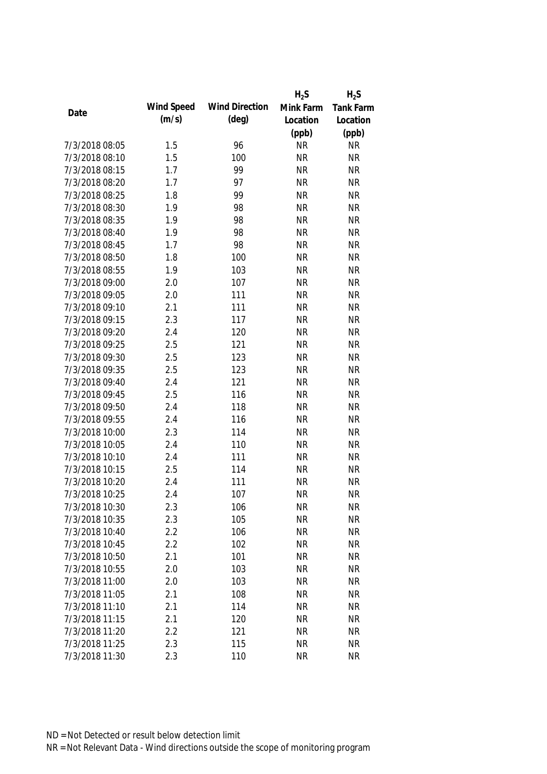|                |            |                       | $H_2S$    | $H_2S$           |
|----------------|------------|-----------------------|-----------|------------------|
| Date           | Wind Speed | <b>Wind Direction</b> | Mink Farm | <b>Tank Farm</b> |
|                | (m/s)      | $(\text{deg})$        | Location  | Location         |
|                |            |                       | (ppb)     | (ppb)            |
| 7/3/2018 08:05 | 1.5        | 96                    | <b>NR</b> | <b>NR</b>        |
| 7/3/2018 08:10 | 1.5        | 100                   | <b>NR</b> | <b>NR</b>        |
| 7/3/2018 08:15 | 1.7        | 99                    | <b>NR</b> | <b>NR</b>        |
| 7/3/2018 08:20 | 1.7        | 97                    | <b>NR</b> | <b>NR</b>        |
| 7/3/2018 08:25 | 1.8        | 99                    | <b>NR</b> | <b>NR</b>        |
| 7/3/2018 08:30 | 1.9        | 98                    | <b>NR</b> | <b>NR</b>        |
| 7/3/2018 08:35 | 1.9        | 98                    | <b>NR</b> | <b>NR</b>        |
| 7/3/2018 08:40 | 1.9        | 98                    | <b>NR</b> | <b>NR</b>        |
| 7/3/2018 08:45 | 1.7        | 98                    | <b>NR</b> | <b>NR</b>        |
| 7/3/2018 08:50 | 1.8        | 100                   | <b>NR</b> | <b>NR</b>        |
| 7/3/2018 08:55 | 1.9        | 103                   | <b>NR</b> | <b>NR</b>        |
| 7/3/2018 09:00 | 2.0        | 107                   | <b>NR</b> | <b>NR</b>        |
| 7/3/2018 09:05 | 2.0        | 111                   | <b>NR</b> | <b>NR</b>        |
| 7/3/2018 09:10 | 2.1        | 111                   | <b>NR</b> | <b>NR</b>        |
| 7/3/2018 09:15 | 2.3        | 117                   | <b>NR</b> | <b>NR</b>        |
| 7/3/2018 09:20 | 2.4        | 120                   | <b>NR</b> | <b>NR</b>        |
| 7/3/2018 09:25 | 2.5        | 121                   | <b>NR</b> | <b>NR</b>        |
| 7/3/2018 09:30 | 2.5        | 123                   | <b>NR</b> | <b>NR</b>        |
| 7/3/2018 09:35 | 2.5        | 123                   | <b>NR</b> | <b>NR</b>        |
| 7/3/2018 09:40 | 2.4        | 121                   | <b>NR</b> | <b>NR</b>        |
| 7/3/2018 09:45 | 2.5        | 116                   | <b>NR</b> | <b>NR</b>        |
| 7/3/2018 09:50 | 2.4        | 118                   | <b>NR</b> | <b>NR</b>        |
| 7/3/2018 09:55 | 2.4        | 116                   | <b>NR</b> | <b>NR</b>        |
| 7/3/2018 10:00 | 2.3        | 114                   | <b>NR</b> | <b>NR</b>        |
| 7/3/2018 10:05 | 2.4        | 110                   | <b>NR</b> | <b>NR</b>        |
| 7/3/2018 10:10 | 2.4        | 111                   | <b>NR</b> | <b>NR</b>        |
| 7/3/2018 10:15 | 2.5        | 114                   | <b>NR</b> | <b>NR</b>        |
| 7/3/2018 10:20 | 2.4        | 111                   | <b>NR</b> | <b>NR</b>        |
| 7/3/2018 10:25 | 2.4        | 107                   | <b>NR</b> | <b>NR</b>        |
| 7/3/2018 10:30 | 2.3        | 106                   | <b>NR</b> | <b>NR</b>        |
| 7/3/2018 10:35 | 2.3        | 105                   | <b>NR</b> | <b>NR</b>        |
| 7/3/2018 10:40 | 2.2        | 106                   | <b>NR</b> | <b>NR</b>        |
| 7/3/2018 10:45 | 2.2        | 102                   | <b>NR</b> | <b>NR</b>        |
| 7/3/2018 10:50 | 2.1        | 101                   | <b>NR</b> | <b>NR</b>        |
| 7/3/2018 10:55 | 2.0        | 103                   | <b>NR</b> | <b>NR</b>        |
| 7/3/2018 11:00 | 2.0        | 103                   | <b>NR</b> | <b>NR</b>        |
| 7/3/2018 11:05 | 2.1        | 108                   | <b>NR</b> | <b>NR</b>        |
| 7/3/2018 11:10 | 2.1        | 114                   | <b>NR</b> | <b>NR</b>        |
| 7/3/2018 11:15 | 2.1        | 120                   | <b>NR</b> | <b>NR</b>        |
| 7/3/2018 11:20 | 2.2        | 121                   | <b>NR</b> | <b>NR</b>        |
| 7/3/2018 11:25 | 2.3        | 115                   | <b>NR</b> | <b>NR</b>        |
| 7/3/2018 11:30 | 2.3        | 110                   | <b>NR</b> | <b>NR</b>        |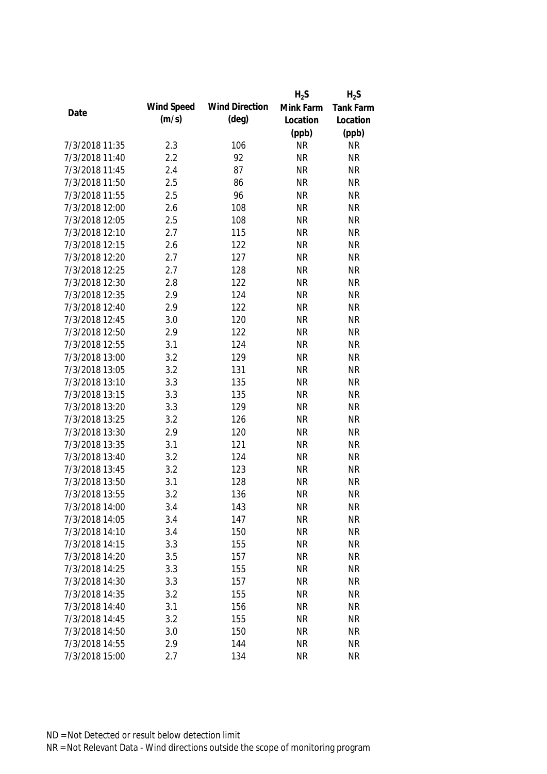|                |            |                       | $H_2S$    | $H_2S$    |
|----------------|------------|-----------------------|-----------|-----------|
|                | Wind Speed | <b>Wind Direction</b> | Mink Farm | Tank Farm |
| Date           | (m/s)      | $(\text{deg})$        | Location  | Location  |
|                |            |                       | (ppb)     | (ppb)     |
| 7/3/2018 11:35 | 2.3        | 106                   | <b>NR</b> | <b>NR</b> |
| 7/3/2018 11:40 | 2.2        | 92                    | <b>NR</b> | <b>NR</b> |
| 7/3/2018 11:45 | 2.4        | 87                    | <b>NR</b> | <b>NR</b> |
| 7/3/2018 11:50 | 2.5        | 86                    | <b>NR</b> | <b>NR</b> |
| 7/3/2018 11:55 | 2.5        | 96                    | <b>NR</b> | <b>NR</b> |
| 7/3/2018 12:00 | 2.6        | 108                   | <b>NR</b> | <b>NR</b> |
| 7/3/2018 12:05 | 2.5        | 108                   | <b>NR</b> | <b>NR</b> |
| 7/3/2018 12:10 | 2.7        | 115                   | <b>NR</b> | <b>NR</b> |
| 7/3/2018 12:15 | 2.6        | 122                   | <b>NR</b> | <b>NR</b> |
| 7/3/2018 12:20 | 2.7        | 127                   | <b>NR</b> | <b>NR</b> |
| 7/3/2018 12:25 | 2.7        | 128                   | <b>NR</b> | <b>NR</b> |
| 7/3/2018 12:30 | 2.8        | 122                   | <b>NR</b> | <b>NR</b> |
| 7/3/2018 12:35 | 2.9        | 124                   | <b>NR</b> | <b>NR</b> |
| 7/3/2018 12:40 | 2.9        | 122                   | <b>NR</b> | <b>NR</b> |
| 7/3/2018 12:45 | 3.0        | 120                   | <b>NR</b> | <b>NR</b> |
| 7/3/2018 12:50 | 2.9        | 122                   | <b>NR</b> | <b>NR</b> |
| 7/3/2018 12:55 | 3.1        | 124                   | <b>NR</b> | <b>NR</b> |
| 7/3/2018 13:00 | 3.2        | 129                   | <b>NR</b> | <b>NR</b> |
| 7/3/2018 13:05 | 3.2        | 131                   | <b>NR</b> | <b>NR</b> |
| 7/3/2018 13:10 | 3.3        | 135                   | <b>NR</b> | <b>NR</b> |
| 7/3/2018 13:15 | 3.3        | 135                   | <b>NR</b> | <b>NR</b> |
| 7/3/2018 13:20 | 3.3        | 129                   | <b>NR</b> | <b>NR</b> |
| 7/3/2018 13:25 | 3.2        | 126                   | <b>NR</b> | <b>NR</b> |
| 7/3/2018 13:30 | 2.9        | 120                   | <b>NR</b> | <b>NR</b> |
| 7/3/2018 13:35 | 3.1        | 121                   | <b>NR</b> | <b>NR</b> |
| 7/3/2018 13:40 | 3.2        | 124                   | <b>NR</b> | <b>NR</b> |
| 7/3/2018 13:45 | 3.2        | 123                   | <b>NR</b> | <b>NR</b> |
| 7/3/2018 13:50 | 3.1        | 128                   | <b>NR</b> | <b>NR</b> |
| 7/3/2018 13:55 | 3.2        | 136                   | <b>NR</b> | <b>NR</b> |
| 7/3/2018 14:00 | 3.4        | 143                   | <b>NR</b> | <b>NR</b> |
| 7/3/2018 14:05 | 3.4        | 147                   | <b>NR</b> | <b>NR</b> |
| 7/3/2018 14:10 | 3.4        | 150                   | <b>NR</b> | <b>NR</b> |
| 7/3/2018 14:15 | 3.3        | 155                   | <b>NR</b> | <b>NR</b> |
| 7/3/2018 14:20 | 3.5        | 157                   | <b>NR</b> | <b>NR</b> |
| 7/3/2018 14:25 | 3.3        | 155                   | <b>NR</b> | <b>NR</b> |
| 7/3/2018 14:30 | 3.3        | 157                   | <b>NR</b> | <b>NR</b> |
| 7/3/2018 14:35 | 3.2        | 155                   | <b>NR</b> | <b>NR</b> |
| 7/3/2018 14:40 | 3.1        | 156                   | <b>NR</b> | <b>NR</b> |
| 7/3/2018 14:45 | 3.2        | 155                   | <b>NR</b> | <b>NR</b> |
| 7/3/2018 14:50 | 3.0        | 150                   | <b>NR</b> | <b>NR</b> |
| 7/3/2018 14:55 | 2.9        | 144                   | <b>NR</b> | <b>NR</b> |
| 7/3/2018 15:00 | 2.7        | 134                   | <b>NR</b> | <b>NR</b> |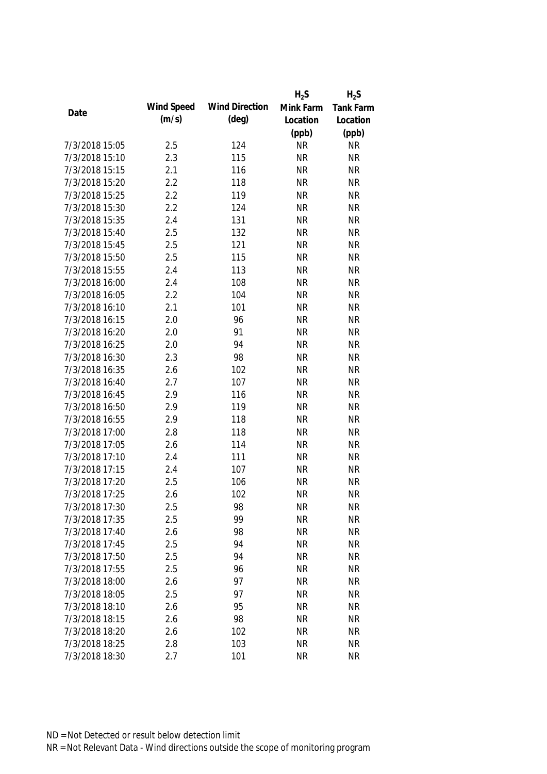|                |            |                       | $H_2S$    | $H_2S$           |
|----------------|------------|-----------------------|-----------|------------------|
|                | Wind Speed | <b>Wind Direction</b> | Mink Farm | <b>Tank Farm</b> |
| Date           | (m/s)      | $(\text{deg})$        | Location  | Location         |
|                |            |                       | (ppb)     | (ppb)            |
| 7/3/2018 15:05 | 2.5        | 124                   | <b>NR</b> | <b>NR</b>        |
| 7/3/2018 15:10 | 2.3        | 115                   | <b>NR</b> | <b>NR</b>        |
| 7/3/2018 15:15 | 2.1        | 116                   | <b>NR</b> | <b>NR</b>        |
| 7/3/2018 15:20 | 2.2        | 118                   | <b>NR</b> | <b>NR</b>        |
| 7/3/2018 15:25 | 2.2        | 119                   | <b>NR</b> | <b>NR</b>        |
| 7/3/2018 15:30 | 2.2        | 124                   | <b>NR</b> | <b>NR</b>        |
| 7/3/2018 15:35 | 2.4        | 131                   | <b>NR</b> | <b>NR</b>        |
| 7/3/2018 15:40 | 2.5        | 132                   | <b>NR</b> | <b>NR</b>        |
| 7/3/2018 15:45 | 2.5        | 121                   | <b>NR</b> | <b>NR</b>        |
| 7/3/2018 15:50 | 2.5        | 115                   | <b>NR</b> | <b>NR</b>        |
| 7/3/2018 15:55 | 2.4        | 113                   | <b>NR</b> | <b>NR</b>        |
| 7/3/2018 16:00 | 2.4        | 108                   | <b>NR</b> | <b>NR</b>        |
| 7/3/2018 16:05 | 2.2        | 104                   | <b>NR</b> | <b>NR</b>        |
| 7/3/2018 16:10 | 2.1        | 101                   | <b>NR</b> | <b>NR</b>        |
| 7/3/2018 16:15 | 2.0        | 96                    | <b>NR</b> | <b>NR</b>        |
| 7/3/2018 16:20 | 2.0        | 91                    | <b>NR</b> | <b>NR</b>        |
| 7/3/2018 16:25 | 2.0        | 94                    | <b>NR</b> | <b>NR</b>        |
| 7/3/2018 16:30 | 2.3        | 98                    | <b>NR</b> | <b>NR</b>        |
| 7/3/2018 16:35 | 2.6        | 102                   | <b>NR</b> | <b>NR</b>        |
| 7/3/2018 16:40 | 2.7        | 107                   | <b>NR</b> | <b>NR</b>        |
| 7/3/2018 16:45 | 2.9        | 116                   | <b>NR</b> | <b>NR</b>        |
| 7/3/2018 16:50 | 2.9        | 119                   | <b>NR</b> | <b>NR</b>        |
| 7/3/2018 16:55 | 2.9        | 118                   | <b>NR</b> | <b>NR</b>        |
| 7/3/2018 17:00 | 2.8        | 118                   | <b>NR</b> | <b>NR</b>        |
| 7/3/2018 17:05 | 2.6        | 114                   | <b>NR</b> | <b>NR</b>        |
| 7/3/2018 17:10 | 2.4        | 111                   | <b>NR</b> | <b>NR</b>        |
| 7/3/2018 17:15 | 2.4        | 107                   | <b>NR</b> | <b>NR</b>        |
| 7/3/2018 17:20 | 2.5        | 106                   | <b>NR</b> | <b>NR</b>        |
| 7/3/2018 17:25 | 2.6        | 102                   | <b>NR</b> | <b>NR</b>        |
| 7/3/2018 17:30 | 2.5        | 98                    | <b>NR</b> | <b>NR</b>        |
| 7/3/2018 17:35 | 2.5        | 99                    | <b>NR</b> | <b>NR</b>        |
| 7/3/2018 17:40 | 2.6        | 98                    | <b>NR</b> | <b>NR</b>        |
| 7/3/2018 17:45 | 2.5        | 94                    | <b>NR</b> | <b>NR</b>        |
| 7/3/2018 17:50 | 2.5        | 94                    | <b>NR</b> | <b>NR</b>        |
| 7/3/2018 17:55 | 2.5        | 96                    | <b>NR</b> | <b>NR</b>        |
| 7/3/2018 18:00 | 2.6        | 97                    | <b>NR</b> | <b>NR</b>        |
| 7/3/2018 18:05 | 2.5        | 97                    | <b>NR</b> | <b>NR</b>        |
| 7/3/2018 18:10 | 2.6        | 95                    | <b>NR</b> | <b>NR</b>        |
| 7/3/2018 18:15 | 2.6        | 98                    | <b>NR</b> | <b>NR</b>        |
| 7/3/2018 18:20 | 2.6        | 102                   | <b>NR</b> | <b>NR</b>        |
| 7/3/2018 18:25 | 2.8        | 103                   | <b>NR</b> | <b>NR</b>        |
| 7/3/2018 18:30 | 2.7        | 101                   | <b>NR</b> | <b>NR</b>        |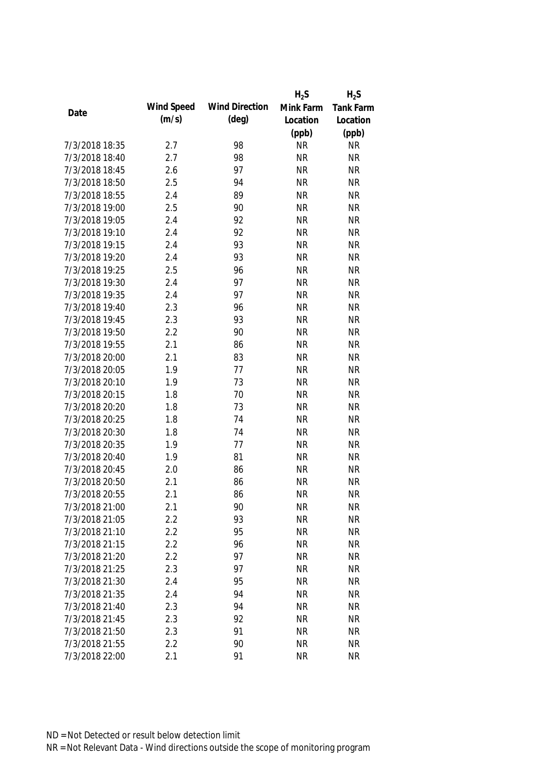|                |            |                       | $H_2S$    | $H_2S$           |
|----------------|------------|-----------------------|-----------|------------------|
|                | Wind Speed | <b>Wind Direction</b> | Mink Farm | <b>Tank Farm</b> |
| Date           | (m/s)      | $(\text{deg})$        | Location  | Location         |
|                |            |                       | (ppb)     | (ppb)            |
| 7/3/2018 18:35 | 2.7        | 98                    | <b>NR</b> | <b>NR</b>        |
| 7/3/2018 18:40 | 2.7        | 98                    | <b>NR</b> | <b>NR</b>        |
| 7/3/2018 18:45 | 2.6        | 97                    | <b>NR</b> | <b>NR</b>        |
| 7/3/2018 18:50 | 2.5        | 94                    | <b>NR</b> | <b>NR</b>        |
| 7/3/2018 18:55 | 2.4        | 89                    | <b>NR</b> | <b>NR</b>        |
| 7/3/2018 19:00 | 2.5        | 90                    | <b>NR</b> | <b>NR</b>        |
| 7/3/2018 19:05 | 2.4        | 92                    | <b>NR</b> | <b>NR</b>        |
| 7/3/2018 19:10 | 2.4        | 92                    | <b>NR</b> | <b>NR</b>        |
| 7/3/2018 19:15 | 2.4        | 93                    | <b>NR</b> | <b>NR</b>        |
| 7/3/2018 19:20 | 2.4        | 93                    | <b>NR</b> | <b>NR</b>        |
| 7/3/2018 19:25 | 2.5        | 96                    | <b>NR</b> | <b>NR</b>        |
| 7/3/2018 19:30 | 2.4        | 97                    | <b>NR</b> | <b>NR</b>        |
| 7/3/2018 19:35 | 2.4        | 97                    | <b>NR</b> | <b>NR</b>        |
| 7/3/2018 19:40 | 2.3        | 96                    | <b>NR</b> | <b>NR</b>        |
| 7/3/2018 19:45 | 2.3        | 93                    | <b>NR</b> | <b>NR</b>        |
| 7/3/2018 19:50 | 2.2        | 90                    | <b>NR</b> | <b>NR</b>        |
| 7/3/2018 19:55 | 2.1        | 86                    | <b>NR</b> | <b>NR</b>        |
| 7/3/2018 20:00 | 2.1        | 83                    | <b>NR</b> | <b>NR</b>        |
| 7/3/2018 20:05 | 1.9        | 77                    | <b>NR</b> | <b>NR</b>        |
| 7/3/2018 20:10 | 1.9        | 73                    | <b>NR</b> | <b>NR</b>        |
| 7/3/2018 20:15 | 1.8        | 70                    | <b>NR</b> | <b>NR</b>        |
| 7/3/2018 20:20 | 1.8        | 73                    | <b>NR</b> | <b>NR</b>        |
| 7/3/2018 20:25 | 1.8        | 74                    | <b>NR</b> | <b>NR</b>        |
| 7/3/2018 20:30 | 1.8        | 74                    | <b>NR</b> | <b>NR</b>        |
| 7/3/2018 20:35 | 1.9        | 77                    | <b>NR</b> | <b>NR</b>        |
| 7/3/2018 20:40 | 1.9        | 81                    | <b>NR</b> | <b>NR</b>        |
| 7/3/2018 20:45 | 2.0        | 86                    | <b>NR</b> | <b>NR</b>        |
| 7/3/2018 20:50 | 2.1        | 86                    | <b>NR</b> | <b>NR</b>        |
| 7/3/2018 20:55 | 2.1        | 86                    | <b>NR</b> | <b>NR</b>        |
| 7/3/2018 21:00 | 2.1        | 90                    | <b>NR</b> | <b>NR</b>        |
| 7/3/2018 21:05 | 2.2        | 93                    | <b>NR</b> | <b>NR</b>        |
| 7/3/2018 21:10 | 2.2        | 95                    | <b>NR</b> | <b>NR</b>        |
| 7/3/2018 21:15 | 2.2        | 96                    | <b>NR</b> | <b>NR</b>        |
| 7/3/2018 21:20 | 2.2        | 97                    | <b>NR</b> | <b>NR</b>        |
| 7/3/2018 21:25 | 2.3        | 97                    | <b>NR</b> | <b>NR</b>        |
| 7/3/2018 21:30 | 2.4        | 95                    | <b>NR</b> | <b>NR</b>        |
| 7/3/2018 21:35 | 2.4        | 94                    | <b>NR</b> | <b>NR</b>        |
| 7/3/2018 21:40 | 2.3        | 94                    | <b>NR</b> | <b>NR</b>        |
| 7/3/2018 21:45 | 2.3        | 92                    | <b>NR</b> | <b>NR</b>        |
| 7/3/2018 21:50 | 2.3        | 91                    | <b>NR</b> | <b>NR</b>        |
| 7/3/2018 21:55 | 2.2        | 90                    | <b>NR</b> | <b>NR</b>        |
| 7/3/2018 22:00 | 2.1        | 91                    | <b>NR</b> | <b>NR</b>        |
|                |            |                       |           |                  |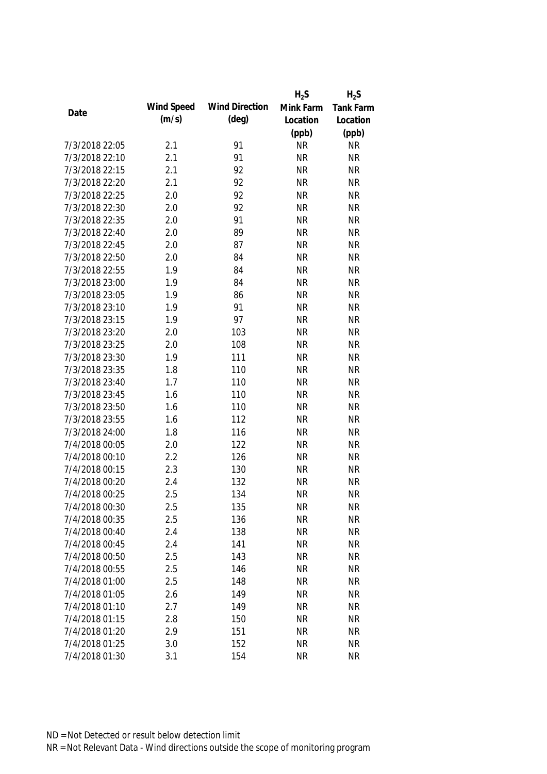|                |            |                       | $H_2S$    | $H_2S$    |
|----------------|------------|-----------------------|-----------|-----------|
|                | Wind Speed | <b>Wind Direction</b> | Mink Farm | Tank Farm |
| Date           | (m/s)      | $(\text{deg})$        | Location  | Location  |
|                |            |                       | (ppb)     | (ppb)     |
| 7/3/2018 22:05 | 2.1        | 91                    | <b>NR</b> | <b>NR</b> |
| 7/3/2018 22:10 | 2.1        | 91                    | <b>NR</b> | <b>NR</b> |
| 7/3/2018 22:15 | 2.1        | 92                    | <b>NR</b> | <b>NR</b> |
| 7/3/2018 22:20 | 2.1        | 92                    | <b>NR</b> | <b>NR</b> |
| 7/3/2018 22:25 | 2.0        | 92                    | <b>NR</b> | <b>NR</b> |
| 7/3/2018 22:30 | 2.0        | 92                    | <b>NR</b> | <b>NR</b> |
| 7/3/2018 22:35 | 2.0        | 91                    | <b>NR</b> | <b>NR</b> |
| 7/3/2018 22:40 | 2.0        | 89                    | <b>NR</b> | <b>NR</b> |
| 7/3/2018 22:45 | 2.0        | 87                    | <b>NR</b> | <b>NR</b> |
| 7/3/2018 22:50 | 2.0        | 84                    | <b>NR</b> | <b>NR</b> |
| 7/3/2018 22:55 | 1.9        | 84                    | <b>NR</b> | <b>NR</b> |
| 7/3/2018 23:00 | 1.9        | 84                    | <b>NR</b> | <b>NR</b> |
| 7/3/2018 23:05 | 1.9        | 86                    | <b>NR</b> | <b>NR</b> |
| 7/3/2018 23:10 | 1.9        | 91                    | <b>NR</b> | <b>NR</b> |
| 7/3/2018 23:15 | 1.9        | 97                    | <b>NR</b> | <b>NR</b> |
| 7/3/2018 23:20 | 2.0        | 103                   | <b>NR</b> | <b>NR</b> |
| 7/3/2018 23:25 | 2.0        | 108                   | <b>NR</b> | <b>NR</b> |
| 7/3/2018 23:30 | 1.9        | 111                   | <b>NR</b> | <b>NR</b> |
| 7/3/2018 23:35 | 1.8        | 110                   | <b>NR</b> | <b>NR</b> |
| 7/3/2018 23:40 | 1.7        | 110                   | <b>NR</b> | <b>NR</b> |
| 7/3/2018 23:45 | 1.6        | 110                   | <b>NR</b> | <b>NR</b> |
| 7/3/2018 23:50 | 1.6        | 110                   | <b>NR</b> | <b>NR</b> |
| 7/3/2018 23:55 | 1.6        | 112                   | <b>NR</b> | <b>NR</b> |
| 7/3/2018 24:00 | 1.8        | 116                   | <b>NR</b> | <b>NR</b> |
| 7/4/2018 00:05 | 2.0        | 122                   | <b>NR</b> | <b>NR</b> |
| 7/4/2018 00:10 | 2.2        | 126                   | <b>NR</b> | <b>NR</b> |
| 7/4/2018 00:15 | 2.3        | 130                   | <b>NR</b> | <b>NR</b> |
| 7/4/2018 00:20 | 2.4        | 132                   | <b>NR</b> | <b>NR</b> |
| 7/4/2018 00:25 | 2.5        | 134                   | <b>NR</b> | <b>NR</b> |
| 7/4/2018 00:30 | 2.5        | 135                   | <b>NR</b> | <b>NR</b> |
| 7/4/2018 00:35 | 2.5        | 136                   | <b>NR</b> | <b>NR</b> |
| 7/4/2018 00:40 | 2.4        | 138                   | <b>NR</b> | <b>NR</b> |
| 7/4/2018 00:45 | 2.4        | 141                   | <b>NR</b> | <b>NR</b> |
| 7/4/2018 00:50 | 2.5        | 143                   | <b>NR</b> | <b>NR</b> |
| 7/4/2018 00:55 | 2.5        | 146                   | <b>NR</b> | <b>NR</b> |
| 7/4/2018 01:00 | 2.5        | 148                   | <b>NR</b> | <b>NR</b> |
| 7/4/2018 01:05 | 2.6        | 149                   | <b>NR</b> | <b>NR</b> |
| 7/4/2018 01:10 | 2.7        | 149                   | <b>NR</b> | <b>NR</b> |
| 7/4/2018 01:15 | 2.8        | 150                   | <b>NR</b> | <b>NR</b> |
| 7/4/2018 01:20 | 2.9        | 151                   | <b>NR</b> | <b>NR</b> |
| 7/4/2018 01:25 | 3.0        | 152                   | <b>NR</b> | <b>NR</b> |
| 7/4/2018 01:30 | 3.1        | 154                   | <b>NR</b> | <b>NR</b> |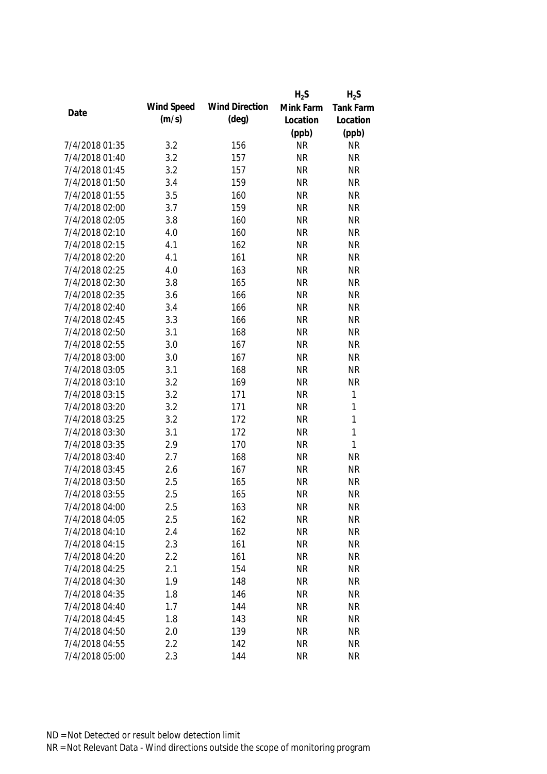|                |            |                       | $H_2S$    | $H_2S$       |
|----------------|------------|-----------------------|-----------|--------------|
|                | Wind Speed | <b>Wind Direction</b> | Mink Farm | Tank Farm    |
| Date           | (m/s)      | (deg)                 | Location  | Location     |
|                |            |                       | (ppb)     | (ppb)        |
| 7/4/2018 01:35 | 3.2        | 156                   | <b>NR</b> | <b>NR</b>    |
| 7/4/2018 01:40 | 3.2        | 157                   | <b>NR</b> | <b>NR</b>    |
| 7/4/2018 01:45 | 3.2        | 157                   | <b>NR</b> | <b>NR</b>    |
| 7/4/2018 01:50 | 3.4        | 159                   | <b>NR</b> | <b>NR</b>    |
| 7/4/2018 01:55 | 3.5        | 160                   | <b>NR</b> | <b>NR</b>    |
| 7/4/2018 02:00 | 3.7        | 159                   | <b>NR</b> | <b>NR</b>    |
| 7/4/2018 02:05 | 3.8        | 160                   | <b>NR</b> | <b>NR</b>    |
| 7/4/2018 02:10 | 4.0        | 160                   | <b>NR</b> | <b>NR</b>    |
| 7/4/2018 02:15 | 4.1        | 162                   | <b>NR</b> | <b>NR</b>    |
| 7/4/2018 02:20 | 4.1        | 161                   | <b>NR</b> | <b>NR</b>    |
| 7/4/2018 02:25 | 4.0        | 163                   | <b>NR</b> | <b>NR</b>    |
| 7/4/2018 02:30 | 3.8        | 165                   | <b>NR</b> | <b>NR</b>    |
| 7/4/2018 02:35 | 3.6        | 166                   | <b>NR</b> | <b>NR</b>    |
| 7/4/2018 02:40 | 3.4        | 166                   | <b>NR</b> | <b>NR</b>    |
| 7/4/2018 02:45 | 3.3        | 166                   | <b>NR</b> | <b>NR</b>    |
| 7/4/2018 02:50 | 3.1        | 168                   | <b>NR</b> | <b>NR</b>    |
| 7/4/2018 02:55 | 3.0        | 167                   | <b>NR</b> | <b>NR</b>    |
| 7/4/2018 03:00 | 3.0        | 167                   | <b>NR</b> | <b>NR</b>    |
| 7/4/2018 03:05 | 3.1        | 168                   | <b>NR</b> | <b>NR</b>    |
| 7/4/2018 03:10 | 3.2        | 169                   | <b>NR</b> | <b>NR</b>    |
| 7/4/2018 03:15 | 3.2        | 171                   | <b>NR</b> | $\mathbf 1$  |
| 7/4/2018 03:20 | 3.2        | 171                   | <b>NR</b> | $\mathbf{1}$ |
| 7/4/2018 03:25 | 3.2        | 172                   | <b>NR</b> | $\mathbf{1}$ |
| 7/4/2018 03:30 | 3.1        | 172                   | <b>NR</b> | $\mathbf{1}$ |
| 7/4/2018 03:35 | 2.9        | 170                   | <b>NR</b> | $\mathbf{1}$ |
| 7/4/2018 03:40 | 2.7        | 168                   | <b>NR</b> | <b>NR</b>    |
| 7/4/2018 03:45 | 2.6        | 167                   | <b>NR</b> | <b>NR</b>    |
| 7/4/2018 03:50 | 2.5        | 165                   | <b>NR</b> | <b>NR</b>    |
| 7/4/2018 03:55 | 2.5        | 165                   | <b>NR</b> | <b>NR</b>    |
| 7/4/2018 04:00 | 2.5        | 163                   | <b>NR</b> | <b>NR</b>    |
| 7/4/2018 04:05 | 2.5        | 162                   | <b>NR</b> | <b>NR</b>    |
| 7/4/2018 04:10 | 2.4        | 162                   | <b>NR</b> | <b>NR</b>    |
| 7/4/2018 04:15 | 2.3        | 161                   | <b>NR</b> | <b>NR</b>    |
| 7/4/2018 04:20 | 2.2        | 161                   | <b>NR</b> | <b>NR</b>    |
| 7/4/2018 04:25 | 2.1        | 154                   | <b>NR</b> | <b>NR</b>    |
| 7/4/2018 04:30 | 1.9        | 148                   | <b>NR</b> | <b>NR</b>    |
| 7/4/2018 04:35 | 1.8        | 146                   | <b>NR</b> | <b>NR</b>    |
| 7/4/2018 04:40 | 1.7        | 144                   | <b>NR</b> | <b>NR</b>    |
| 7/4/2018 04:45 | 1.8        | 143                   | <b>NR</b> | <b>NR</b>    |
| 7/4/2018 04:50 | 2.0        | 139                   | <b>NR</b> | <b>NR</b>    |
| 7/4/2018 04:55 | 2.2        | 142                   | <b>NR</b> | <b>NR</b>    |
| 7/4/2018 05:00 | 2.3        | 144                   | <b>NR</b> | <b>NR</b>    |
|                |            |                       |           |              |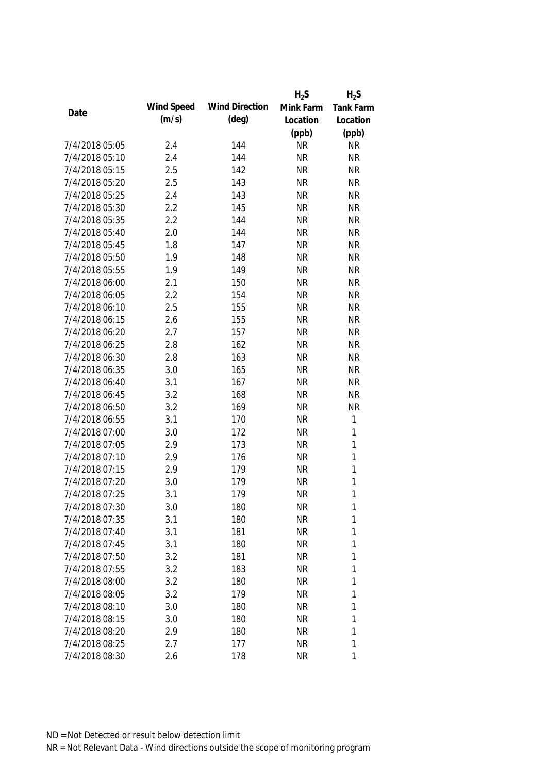|                |            |                       | $H_2S$    | $H_2S$           |
|----------------|------------|-----------------------|-----------|------------------|
| Date           | Wind Speed | <b>Wind Direction</b> | Mink Farm | <b>Tank Farm</b> |
|                | (m/s)      | $(\text{deg})$        | Location  | Location         |
|                |            |                       | (ppb)     | (ppb)            |
| 7/4/2018 05:05 | 2.4        | 144                   | <b>NR</b> | <b>NR</b>        |
| 7/4/2018 05:10 | 2.4        | 144                   | <b>NR</b> | <b>NR</b>        |
| 7/4/2018 05:15 | 2.5        | 142                   | <b>NR</b> | <b>NR</b>        |
| 7/4/2018 05:20 | 2.5        | 143                   | <b>NR</b> | <b>NR</b>        |
| 7/4/2018 05:25 | 2.4        | 143                   | <b>NR</b> | <b>NR</b>        |
| 7/4/2018 05:30 | 2.2        | 145                   | <b>NR</b> | <b>NR</b>        |
| 7/4/2018 05:35 | 2.2        | 144                   | <b>NR</b> | <b>NR</b>        |
| 7/4/2018 05:40 | 2.0        | 144                   | <b>NR</b> | <b>NR</b>        |
| 7/4/2018 05:45 | 1.8        | 147                   | <b>NR</b> | <b>NR</b>        |
| 7/4/2018 05:50 | 1.9        | 148                   | <b>NR</b> | <b>NR</b>        |
| 7/4/2018 05:55 | 1.9        | 149                   | <b>NR</b> | <b>NR</b>        |
| 7/4/2018 06:00 | 2.1        | 150                   | <b>NR</b> | <b>NR</b>        |
| 7/4/2018 06:05 | 2.2        | 154                   | <b>NR</b> | <b>NR</b>        |
| 7/4/2018 06:10 | 2.5        | 155                   | <b>NR</b> | <b>NR</b>        |
| 7/4/2018 06:15 | 2.6        | 155                   | <b>NR</b> | <b>NR</b>        |
| 7/4/2018 06:20 | 2.7        | 157                   | <b>NR</b> | <b>NR</b>        |
| 7/4/2018 06:25 | 2.8        | 162                   | <b>NR</b> | <b>NR</b>        |
| 7/4/2018 06:30 | 2.8        | 163                   | <b>NR</b> | <b>NR</b>        |
| 7/4/2018 06:35 | 3.0        | 165                   | <b>NR</b> | <b>NR</b>        |
| 7/4/2018 06:40 | 3.1        | 167                   | <b>NR</b> | <b>NR</b>        |
| 7/4/2018 06:45 | 3.2        | 168                   | <b>NR</b> | <b>NR</b>        |
| 7/4/2018 06:50 | 3.2        | 169                   | <b>NR</b> | <b>NR</b>        |
| 7/4/2018 06:55 | 3.1        | 170                   | <b>NR</b> | $\mathbf{1}$     |
| 7/4/2018 07:00 | 3.0        | 172                   | <b>NR</b> | $\mathbf{1}$     |
| 7/4/2018 07:05 | 2.9        | 173                   | <b>NR</b> | $\mathbf{1}$     |
| 7/4/2018 07:10 | 2.9        | 176                   | <b>NR</b> | $\mathbf{1}$     |
| 7/4/2018 07:15 | 2.9        | 179                   | <b>NR</b> | $\mathbf{1}$     |
| 7/4/2018 07:20 | 3.0        | 179                   | <b>NR</b> | $\mathbf{1}$     |
| 7/4/2018 07:25 | 3.1        | 179                   | <b>NR</b> | 1                |
| 7/4/2018 07:30 | 3.0        | 180                   | <b>NR</b> | 1                |
| 7/4/2018 07:35 | 3.1        | 180                   | <b>NR</b> | 1                |
| 7/4/2018 07:40 | 3.1        | 181                   | <b>NR</b> | 1                |
| 7/4/2018 07:45 | 3.1        | 180                   | <b>NR</b> | 1                |
| 7/4/2018 07:50 | 3.2        | 181                   | <b>NR</b> | 1                |
| 7/4/2018 07:55 | 3.2        | 183                   | <b>NR</b> | 1                |
| 7/4/2018 08:00 | 3.2        | 180                   | <b>NR</b> | 1                |
| 7/4/2018 08:05 | 3.2        | 179                   | <b>NR</b> | 1                |
| 7/4/2018 08:10 | 3.0        | 180                   | <b>NR</b> | 1                |
| 7/4/2018 08:15 | 3.0        | 180                   | <b>NR</b> | 1                |
| 7/4/2018 08:20 | 2.9        | 180                   | <b>NR</b> | 1                |
| 7/4/2018 08:25 | 2.7        | 177                   | <b>NR</b> | 1                |
| 7/4/2018 08:30 | 2.6        | 178                   | <b>NR</b> | 1                |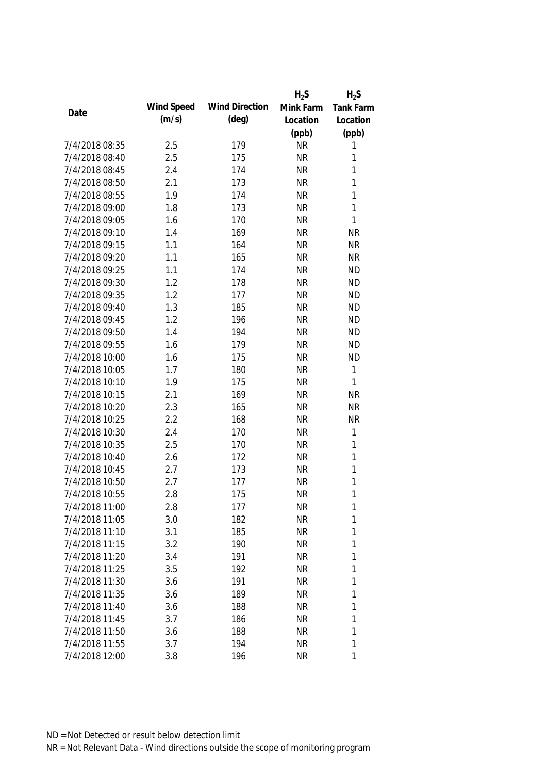|                |            |                       | $H_2S$    | $H_2S$           |
|----------------|------------|-----------------------|-----------|------------------|
| Date           | Wind Speed | <b>Wind Direction</b> | Mink Farm | <b>Tank Farm</b> |
|                | (m/s)      | $(\text{deg})$        | Location  | Location         |
|                |            |                       | (ppb)     | (ppb)            |
| 7/4/2018 08:35 | 2.5        | 179                   | <b>NR</b> | 1                |
| 7/4/2018 08:40 | 2.5        | 175                   | <b>NR</b> | 1                |
| 7/4/2018 08:45 | 2.4        | 174                   | <b>NR</b> | $\mathbf{1}$     |
| 7/4/2018 08:50 | 2.1        | 173                   | <b>NR</b> | $\mathbf{1}$     |
| 7/4/2018 08:55 | 1.9        | 174                   | <b>NR</b> | $\mathbf{1}$     |
| 7/4/2018 09:00 | 1.8        | 173                   | <b>NR</b> | $\mathbf{1}$     |
| 7/4/2018 09:05 | 1.6        | 170                   | <b>NR</b> | $\mathbf{1}$     |
| 7/4/2018 09:10 | 1.4        | 169                   | <b>NR</b> | <b>NR</b>        |
| 7/4/2018 09:15 | 1.1        | 164                   | <b>NR</b> | <b>NR</b>        |
| 7/4/2018 09:20 | 1.1        | 165                   | <b>NR</b> | <b>NR</b>        |
| 7/4/2018 09:25 | 1.1        | 174                   | <b>NR</b> | <b>ND</b>        |
| 7/4/2018 09:30 | 1.2        | 178                   | <b>NR</b> | <b>ND</b>        |
| 7/4/2018 09:35 | 1.2        | 177                   | <b>NR</b> | <b>ND</b>        |
| 7/4/2018 09:40 | 1.3        | 185                   | <b>NR</b> | <b>ND</b>        |
| 7/4/2018 09:45 | 1.2        | 196                   | <b>NR</b> | <b>ND</b>        |
| 7/4/2018 09:50 | 1.4        | 194                   | <b>NR</b> | <b>ND</b>        |
| 7/4/2018 09:55 | 1.6        | 179                   | <b>NR</b> | <b>ND</b>        |
| 7/4/2018 10:00 | 1.6        | 175                   | <b>NR</b> | <b>ND</b>        |
| 7/4/2018 10:05 | 1.7        | 180                   | <b>NR</b> | $\mathbf{1}$     |
| 7/4/2018 10:10 | 1.9        | 175                   | <b>NR</b> | 1                |
| 7/4/2018 10:15 | 2.1        | 169                   | <b>NR</b> | <b>NR</b>        |
| 7/4/2018 10:20 | 2.3        | 165                   | <b>NR</b> | <b>NR</b>        |
| 7/4/2018 10:25 | 2.2        | 168                   | <b>NR</b> | <b>NR</b>        |
| 7/4/2018 10:30 | 2.4        | 170                   | <b>NR</b> | $\mathbf 1$      |
| 7/4/2018 10:35 | 2.5        | 170                   | <b>NR</b> | $\mathbf{1}$     |
| 7/4/2018 10:40 | 2.6        | 172                   | <b>NR</b> | $\mathbf{1}$     |
| 7/4/2018 10:45 | 2.7        | 173                   | <b>NR</b> | $\mathbf{1}$     |
| 7/4/2018 10:50 | 2.7        | 177                   | <b>NR</b> | $\mathbf{1}$     |
| 7/4/2018 10:55 | 2.8        | 175                   | <b>NR</b> | $\mathbf{1}$     |
| 7/4/2018 11:00 | 2.8        | 177                   | <b>NR</b> | 1                |
| 7/4/2018 11:05 | 3.0        | 182                   | <b>NR</b> | 1                |
| 7/4/2018 11:10 | 3.1        | 185                   | <b>NR</b> | 1                |
| 7/4/2018 11:15 | 3.2        | 190                   | <b>NR</b> | 1                |
| 7/4/2018 11:20 | 3.4        | 191                   | <b>NR</b> | 1                |
| 7/4/2018 11:25 | 3.5        | 192                   | <b>NR</b> | 1                |
| 7/4/2018 11:30 | 3.6        | 191                   | <b>NR</b> | 1                |
| 7/4/2018 11:35 | 3.6        | 189                   | <b>NR</b> | 1                |
| 7/4/2018 11:40 | 3.6        | 188                   | <b>NR</b> | 1                |
| 7/4/2018 11:45 | 3.7        | 186                   | <b>NR</b> | 1                |
| 7/4/2018 11:50 | 3.6        | 188                   | <b>NR</b> | 1                |
| 7/4/2018 11:55 | 3.7        | 194                   | <b>NR</b> | 1                |
| 7/4/2018 12:00 | 3.8        | 196                   | <b>NR</b> | 1                |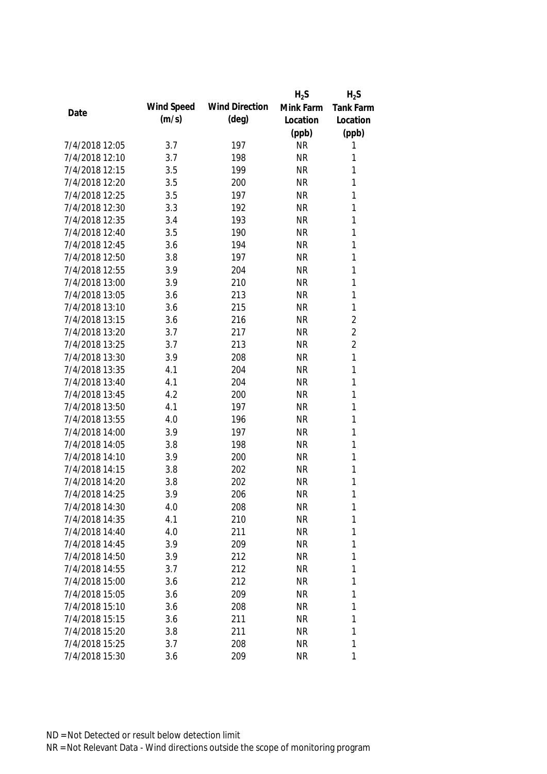|                |            |                       | $H_2S$    | $H_2S$           |
|----------------|------------|-----------------------|-----------|------------------|
| Date           | Wind Speed | <b>Wind Direction</b> | Mink Farm | <b>Tank Farm</b> |
|                | (m/s)      | $(\text{deg})$        | Location  | Location         |
|                |            |                       | (ppb)     | (ppb)            |
| 7/4/2018 12:05 | 3.7        | 197                   | <b>NR</b> | 1                |
| 7/4/2018 12:10 | 3.7        | 198                   | <b>NR</b> | 1                |
| 7/4/2018 12:15 | 3.5        | 199                   | <b>NR</b> | 1                |
| 7/4/2018 12:20 | 3.5        | 200                   | <b>NR</b> | 1                |
| 7/4/2018 12:25 | 3.5        | 197                   | <b>NR</b> | 1                |
| 7/4/2018 12:30 | 3.3        | 192                   | <b>NR</b> | $\mathbf{1}$     |
| 7/4/2018 12:35 | 3.4        | 193                   | <b>NR</b> | $\mathbf{1}$     |
| 7/4/2018 12:40 | 3.5        | 190                   | <b>NR</b> | $\mathbf{1}$     |
| 7/4/2018 12:45 | 3.6        | 194                   | <b>NR</b> | $\mathbf{1}$     |
| 7/4/2018 12:50 | 3.8        | 197                   | <b>NR</b> | 1                |
| 7/4/2018 12:55 | 3.9        | 204                   | <b>NR</b> | 1                |
| 7/4/2018 13:00 | 3.9        | 210                   | <b>NR</b> | $\mathbf{1}$     |
| 7/4/2018 13:05 | 3.6        | 213                   | <b>NR</b> | 1                |
| 7/4/2018 13:10 | 3.6        | 215                   | <b>NR</b> | $\mathbf{1}$     |
| 7/4/2018 13:15 | 3.6        | 216                   | <b>NR</b> | $\overline{2}$   |
| 7/4/2018 13:20 | 3.7        | 217                   | <b>NR</b> | $\overline{2}$   |
| 7/4/2018 13:25 | 3.7        | 213                   | <b>NR</b> | $\overline{2}$   |
| 7/4/2018 13:30 | 3.9        | 208                   | <b>NR</b> | 1                |
| 7/4/2018 13:35 | 4.1        | 204                   | <b>NR</b> | 1                |
| 7/4/2018 13:40 | 4.1        | 204                   | <b>NR</b> | 1                |
| 7/4/2018 13:45 | 4.2        | 200                   | <b>NR</b> | 1                |
| 7/4/2018 13:50 | 4.1        | 197                   | <b>NR</b> | 1                |
| 7/4/2018 13:55 | 4.0        | 196                   | <b>NR</b> | 1                |
| 7/4/2018 14:00 | 3.9        | 197                   | <b>NR</b> | $\mathbf{1}$     |
| 7/4/2018 14:05 | 3.8        | 198                   | <b>NR</b> | 1                |
| 7/4/2018 14:10 | 3.9        | 200                   | <b>NR</b> | 1                |
| 7/4/2018 14:15 | 3.8        | 202                   | <b>NR</b> | 1                |
| 7/4/2018 14:20 | 3.8        | 202                   | <b>NR</b> | 1                |
| 7/4/2018 14:25 | 3.9        | 206                   | <b>NR</b> | 1                |
| 7/4/2018 14:30 | 4.0        | 208                   | <b>NR</b> | 1                |
| 7/4/2018 14:35 | 4.1        | 210                   | <b>NR</b> | 1                |
| 7/4/2018 14:40 | 4.0        | 211                   | <b>NR</b> | 1                |
| 7/4/2018 14:45 | 3.9        | 209                   | <b>NR</b> | 1                |
| 7/4/2018 14:50 | 3.9        | 212                   | <b>NR</b> | 1                |
| 7/4/2018 14:55 | 3.7        | 212                   | <b>NR</b> | 1                |
| 7/4/2018 15:00 | 3.6        | 212                   | <b>NR</b> | 1                |
| 7/4/2018 15:05 | 3.6        | 209                   | <b>NR</b> | 1                |
| 7/4/2018 15:10 | 3.6        | 208                   | <b>NR</b> | 1                |
| 7/4/2018 15:15 | 3.6        | 211                   | <b>NR</b> | 1                |
| 7/4/2018 15:20 | 3.8        | 211                   | <b>NR</b> | 1                |
| 7/4/2018 15:25 | 3.7        | 208                   | <b>NR</b> | 1                |
| 7/4/2018 15:30 | 3.6        | 209                   | <b>NR</b> | 1                |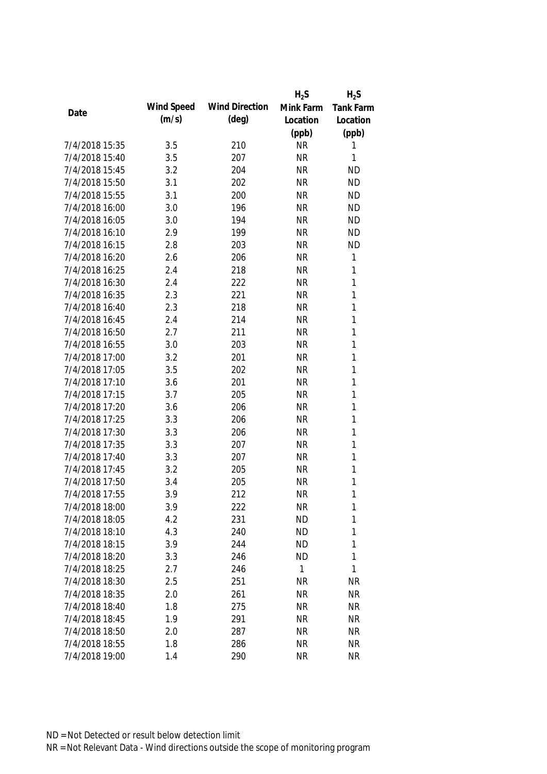|                |            |                       | $H_2S$    | $H_2S$      |
|----------------|------------|-----------------------|-----------|-------------|
|                | Wind Speed | <b>Wind Direction</b> | Mink Farm | Tank Farm   |
| Date           | (m/s)      | $(\text{deg})$        | Location  | Location    |
|                |            |                       | (ppb)     | (ppb)       |
| 7/4/2018 15:35 | 3.5        | 210                   | <b>NR</b> | 1           |
| 7/4/2018 15:40 | 3.5        | 207                   | <b>NR</b> | 1           |
| 7/4/2018 15:45 | 3.2        | 204                   | <b>NR</b> | <b>ND</b>   |
| 7/4/2018 15:50 | 3.1        | 202                   | <b>NR</b> | <b>ND</b>   |
| 7/4/2018 15:55 | 3.1        | 200                   | <b>NR</b> | <b>ND</b>   |
| 7/4/2018 16:00 | 3.0        | 196                   | <b>NR</b> | <b>ND</b>   |
| 7/4/2018 16:05 | 3.0        | 194                   | <b>NR</b> | <b>ND</b>   |
| 7/4/2018 16:10 | 2.9        | 199                   | <b>NR</b> | <b>ND</b>   |
| 7/4/2018 16:15 | 2.8        | 203                   | <b>NR</b> | <b>ND</b>   |
| 7/4/2018 16:20 | 2.6        | 206                   | <b>NR</b> | $\mathbf 1$ |
| 7/4/2018 16:25 | 2.4        | 218                   | <b>NR</b> | 1           |
| 7/4/2018 16:30 | 2.4        | 222                   | <b>NR</b> | 1           |
| 7/4/2018 16:35 | 2.3        | 221                   | <b>NR</b> | 1           |
| 7/4/2018 16:40 | 2.3        | 218                   | <b>NR</b> | 1           |
| 7/4/2018 16:45 | 2.4        | 214                   | <b>NR</b> | 1           |
| 7/4/2018 16:50 | 2.7        | 211                   | <b>NR</b> | 1           |
| 7/4/2018 16:55 | 3.0        | 203                   | <b>NR</b> | 1           |
| 7/4/2018 17:00 | 3.2        | 201                   | <b>NR</b> | 1           |
| 7/4/2018 17:05 | 3.5        | 202                   | <b>NR</b> | 1           |
| 7/4/2018 17:10 | 3.6        | 201                   | <b>NR</b> | 1           |
| 7/4/2018 17:15 | 3.7        | 205                   | <b>NR</b> | 1           |
| 7/4/2018 17:20 | 3.6        | 206                   | <b>NR</b> | 1           |
| 7/4/2018 17:25 | 3.3        | 206                   | <b>NR</b> | 1           |
| 7/4/2018 17:30 | 3.3        | 206                   | <b>NR</b> | 1           |
| 7/4/2018 17:35 | 3.3        | 207                   | <b>NR</b> | 1           |
| 7/4/2018 17:40 | 3.3        | 207                   | <b>NR</b> | 1           |
| 7/4/2018 17:45 | 3.2        | 205                   | <b>NR</b> | 1           |
| 7/4/2018 17:50 | 3.4        | 205                   | <b>NR</b> | 1           |
| 7/4/2018 17:55 | 3.9        | 212                   | <b>NR</b> | 1           |
| 7/4/2018 18:00 | 3.9        | 222                   | <b>NR</b> | 1           |
| 7/4/2018 18:05 | 4.2        | 231                   | <b>ND</b> | 1           |
| 7/4/2018 18:10 | 4.3        | 240                   | <b>ND</b> | 1           |
| 7/4/2018 18:15 | 3.9        | 244                   | <b>ND</b> | 1           |
| 7/4/2018 18:20 | 3.3        | 246                   | <b>ND</b> | 1           |
| 7/4/2018 18:25 | 2.7        | 246                   | 1         | 1           |
| 7/4/2018 18:30 | 2.5        | 251                   | <b>NR</b> | <b>NR</b>   |
| 7/4/2018 18:35 | 2.0        | 261                   | <b>NR</b> | <b>NR</b>   |
| 7/4/2018 18:40 | 1.8        | 275                   | <b>NR</b> | <b>NR</b>   |
| 7/4/2018 18:45 | 1.9        | 291                   | <b>NR</b> | <b>NR</b>   |
| 7/4/2018 18:50 | 2.0        | 287                   | <b>NR</b> | <b>NR</b>   |
| 7/4/2018 18:55 | 1.8        | 286                   | <b>NR</b> | <b>NR</b>   |
| 7/4/2018 19:00 | 1.4        | 290                   | <b>NR</b> | <b>NR</b>   |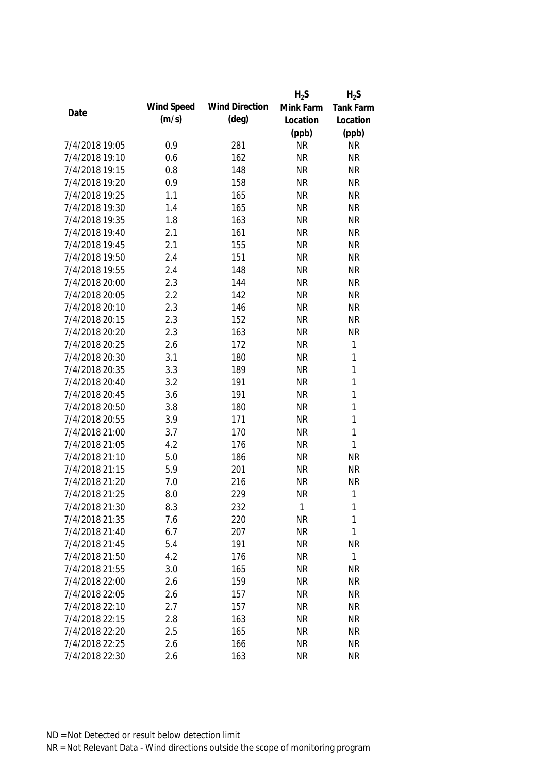|                |            |                       | $H_2S$    | $H_2S$       |
|----------------|------------|-----------------------|-----------|--------------|
|                | Wind Speed | <b>Wind Direction</b> | Mink Farm | Tank Farm    |
| Date           | (m/s)      | (deg)                 | Location  | Location     |
|                |            |                       | (ppb)     | (ppb)        |
| 7/4/2018 19:05 | 0.9        | 281                   | <b>NR</b> | <b>NR</b>    |
| 7/4/2018 19:10 | 0.6        | 162                   | <b>NR</b> | <b>NR</b>    |
| 7/4/2018 19:15 | 0.8        | 148                   | <b>NR</b> | <b>NR</b>    |
| 7/4/2018 19:20 | 0.9        | 158                   | <b>NR</b> | <b>NR</b>    |
| 7/4/2018 19:25 | 1.1        | 165                   | <b>NR</b> | <b>NR</b>    |
| 7/4/2018 19:30 | 1.4        | 165                   | <b>NR</b> | <b>NR</b>    |
| 7/4/2018 19:35 | 1.8        | 163                   | <b>NR</b> | <b>NR</b>    |
| 7/4/2018 19:40 | 2.1        | 161                   | <b>NR</b> | <b>NR</b>    |
| 7/4/2018 19:45 | 2.1        | 155                   | <b>NR</b> | <b>NR</b>    |
| 7/4/2018 19:50 | 2.4        | 151                   | <b>NR</b> | <b>NR</b>    |
| 7/4/2018 19:55 | 2.4        | 148                   | <b>NR</b> | <b>NR</b>    |
| 7/4/2018 20:00 | 2.3        | 144                   | <b>NR</b> | <b>NR</b>    |
| 7/4/2018 20:05 | 2.2        | 142                   | <b>NR</b> | <b>NR</b>    |
| 7/4/2018 20:10 | 2.3        | 146                   | <b>NR</b> | <b>NR</b>    |
| 7/4/2018 20:15 | 2.3        | 152                   | <b>NR</b> | <b>NR</b>    |
| 7/4/2018 20:20 | 2.3        | 163                   | <b>NR</b> | <b>NR</b>    |
| 7/4/2018 20:25 | 2.6        | 172                   | <b>NR</b> | $\mathbf 1$  |
| 7/4/2018 20:30 | 3.1        | 180                   | <b>NR</b> | $\mathbf{1}$ |
| 7/4/2018 20:35 | 3.3        | 189                   | <b>NR</b> | $\mathbf{1}$ |
| 7/4/2018 20:40 | 3.2        | 191                   | <b>NR</b> | $\mathbf{1}$ |
| 7/4/2018 20:45 | 3.6        | 191                   | <b>NR</b> | $\mathbf{1}$ |
| 7/4/2018 20:50 | 3.8        | 180                   | <b>NR</b> | $\mathbf{1}$ |
| 7/4/2018 20:55 | 3.9        | 171                   | <b>NR</b> | $\mathbf{1}$ |
| 7/4/2018 21:00 | 3.7        | 170                   | <b>NR</b> | $\mathbf{1}$ |
| 7/4/2018 21:05 | 4.2        | 176                   | <b>NR</b> | $\mathbf{1}$ |
| 7/4/2018 21:10 | 5.0        | 186                   | <b>NR</b> | <b>NR</b>    |
| 7/4/2018 21:15 | 5.9        | 201                   | <b>NR</b> | <b>NR</b>    |
| 7/4/2018 21:20 | 7.0        | 216                   | <b>NR</b> | <b>NR</b>    |
| 7/4/2018 21:25 | 8.0        | 229                   | <b>NR</b> | $\mathbf{1}$ |
| 7/4/2018 21:30 | 8.3        | 232                   | 1         | 1            |
| 7/4/2018 21:35 | 7.6        | 220                   | <b>NR</b> | $\mathbf{1}$ |
| 7/4/2018 21:40 | 6.7        | 207                   | <b>NR</b> | 1            |
| 7/4/2018 21:45 | 5.4        | 191                   | <b>NR</b> | <b>NR</b>    |
| 7/4/2018 21:50 | 4.2        | 176                   | <b>NR</b> | $\mathbf{1}$ |
| 7/4/2018 21:55 | 3.0        | 165                   | <b>NR</b> | <b>NR</b>    |
| 7/4/2018 22:00 | 2.6        | 159                   | <b>NR</b> | <b>NR</b>    |
| 7/4/2018 22:05 | 2.6        | 157                   | <b>NR</b> | <b>NR</b>    |
| 7/4/2018 22:10 | 2.7        | 157                   | <b>NR</b> | <b>NR</b>    |
| 7/4/2018 22:15 | 2.8        | 163                   | <b>NR</b> | <b>NR</b>    |
| 7/4/2018 22:20 | 2.5        | 165                   | <b>NR</b> | <b>NR</b>    |
| 7/4/2018 22:25 | 2.6        | 166                   | <b>NR</b> | <b>NR</b>    |
| 7/4/2018 22:30 | 2.6        | 163                   | <b>NR</b> | <b>NR</b>    |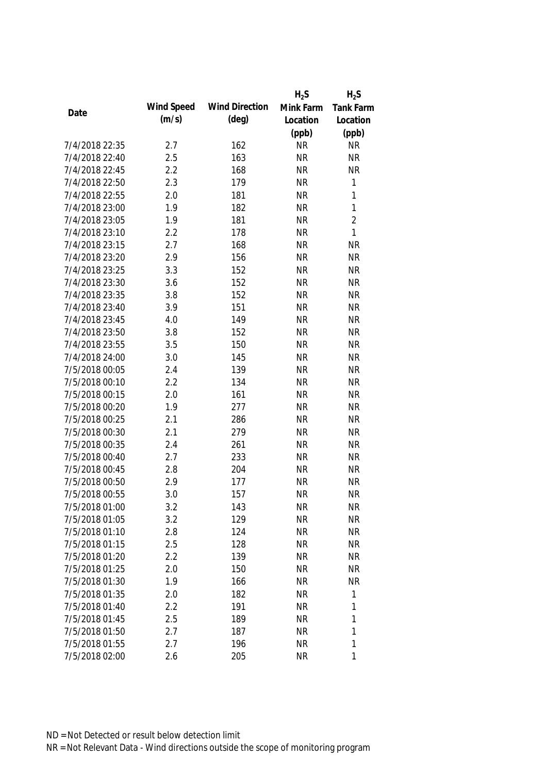|                |            |                       | $H_2S$    | $H_2S$         |
|----------------|------------|-----------------------|-----------|----------------|
|                | Wind Speed | <b>Wind Direction</b> | Mink Farm | Tank Farm      |
| Date           | (m/s)      | $(\text{deg})$        | Location  | Location       |
|                |            |                       | (ppb)     | (ppb)          |
| 7/4/2018 22:35 | 2.7        | 162                   | <b>NR</b> | <b>NR</b>      |
| 7/4/2018 22:40 | 2.5        | 163                   | <b>NR</b> | <b>NR</b>      |
| 7/4/2018 22:45 | 2.2        | 168                   | <b>NR</b> | <b>NR</b>      |
| 7/4/2018 22:50 | 2.3        | 179                   | <b>NR</b> | $\mathbf 1$    |
| 7/4/2018 22:55 | 2.0        | 181                   | <b>NR</b> | 1              |
| 7/4/2018 23:00 | 1.9        | 182                   | <b>NR</b> | $\mathbf{1}$   |
| 7/4/2018 23:05 | 1.9        | 181                   | <b>NR</b> | $\overline{2}$ |
| 7/4/2018 23:10 | 2.2        | 178                   | <b>NR</b> | $\mathbf{1}$   |
| 7/4/2018 23:15 | 2.7        | 168                   | <b>NR</b> | <b>NR</b>      |
| 7/4/2018 23:20 | 2.9        | 156                   | <b>NR</b> | <b>NR</b>      |
| 7/4/2018 23:25 | 3.3        | 152                   | <b>NR</b> | <b>NR</b>      |
| 7/4/2018 23:30 | 3.6        | 152                   | <b>NR</b> | <b>NR</b>      |
| 7/4/2018 23:35 | 3.8        | 152                   | <b>NR</b> | <b>NR</b>      |
| 7/4/2018 23:40 | 3.9        | 151                   | <b>NR</b> | <b>NR</b>      |
| 7/4/2018 23:45 | 4.0        | 149                   | <b>NR</b> | <b>NR</b>      |
| 7/4/2018 23:50 | 3.8        | 152                   | <b>NR</b> | <b>NR</b>      |
| 7/4/2018 23:55 | 3.5        | 150                   | <b>NR</b> | <b>NR</b>      |
| 7/4/2018 24:00 | 3.0        | 145                   | <b>NR</b> | <b>NR</b>      |
| 7/5/2018 00:05 | 2.4        | 139                   | <b>NR</b> | <b>NR</b>      |
| 7/5/2018 00:10 | 2.2        | 134                   | <b>NR</b> | <b>NR</b>      |
| 7/5/2018 00:15 | 2.0        | 161                   | <b>NR</b> | <b>NR</b>      |
| 7/5/2018 00:20 | 1.9        | 277                   | <b>NR</b> | <b>NR</b>      |
| 7/5/2018 00:25 | 2.1        | 286                   | <b>NR</b> | <b>NR</b>      |
| 7/5/2018 00:30 | 2.1        | 279                   | <b>NR</b> | <b>NR</b>      |
| 7/5/2018 00:35 | 2.4        | 261                   | <b>NR</b> | <b>NR</b>      |
| 7/5/2018 00:40 | 2.7        | 233                   | <b>NR</b> | <b>NR</b>      |
| 7/5/2018 00:45 | 2.8        | 204                   | <b>NR</b> | <b>NR</b>      |
| 7/5/2018 00:50 | 2.9        | 177                   | <b>NR</b> | <b>NR</b>      |
| 7/5/2018 00:55 | 3.0        | 157                   | <b>NR</b> | <b>NR</b>      |
| 7/5/2018 01:00 | 3.2        | 143                   | <b>NR</b> | <b>NR</b>      |
| 7/5/2018 01:05 | 3.2        | 129                   | <b>NR</b> | <b>NR</b>      |
| 7/5/2018 01:10 | 2.8        | 124                   | <b>NR</b> | <b>NR</b>      |
| 7/5/2018 01:15 | 2.5        | 128                   | <b>NR</b> | <b>NR</b>      |
| 7/5/2018 01:20 | 2.2        | 139                   | <b>NR</b> | <b>NR</b>      |
| 7/5/2018 01:25 | 2.0        | 150                   | <b>NR</b> | <b>NR</b>      |
| 7/5/2018 01:30 | 1.9        | 166                   | <b>NR</b> | <b>NR</b>      |
| 7/5/2018 01:35 | 2.0        | 182                   | <b>NR</b> | 1              |
| 7/5/2018 01:40 | 2.2        | 191                   | <b>NR</b> | 1              |
| 7/5/2018 01:45 | 2.5        | 189                   | <b>NR</b> | 1              |
| 7/5/2018 01:50 | 2.7        | 187                   | <b>NR</b> | 1              |
| 7/5/2018 01:55 | 2.7        | 196                   | <b>NR</b> | 1              |
| 7/5/2018 02:00 | 2.6        | 205                   | <b>NR</b> | 1              |
|                |            |                       |           |                |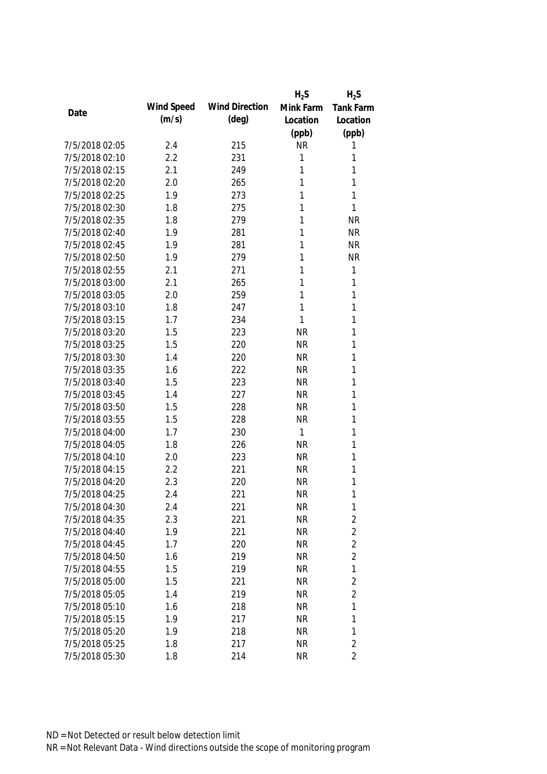|                |            |                       | $H_2S$    | $H_2S$           |
|----------------|------------|-----------------------|-----------|------------------|
| Date           | Wind Speed | <b>Wind Direction</b> | Mink Farm | <b>Tank Farm</b> |
|                | (m/s)      | $(\text{deg})$        | Location  | Location         |
|                |            |                       | (ppb)     | (ppb)            |
| 7/5/2018 02:05 | 2.4        | 215                   | <b>NR</b> | 1                |
| 7/5/2018 02:10 | 2.2        | 231                   | 1         | 1                |
| 7/5/2018 02:15 | 2.1        | 249                   | 1         | 1                |
| 7/5/2018 02:20 | 2.0        | 265                   | 1         | 1                |
| 7/5/2018 02:25 | 1.9        | 273                   | 1         | 1                |
| 7/5/2018 02:30 | 1.8        | 275                   | 1         | 1                |
| 7/5/2018 02:35 | 1.8        | 279                   | 1         | <b>NR</b>        |
| 7/5/2018 02:40 | 1.9        | 281                   | 1         | <b>NR</b>        |
| 7/5/2018 02:45 | 1.9        | 281                   | 1         | <b>NR</b>        |
| 7/5/2018 02:50 | 1.9        | 279                   | 1         | <b>NR</b>        |
| 7/5/2018 02:55 | 2.1        | 271                   | 1         | $\mathbf{1}$     |
| 7/5/2018 03:00 | 2.1        | 265                   | 1         | 1                |
| 7/5/2018 03:05 | 2.0        | 259                   | 1         | 1                |
| 7/5/2018 03:10 | 1.8        | 247                   | 1         | 1                |
| 7/5/2018 03:15 | 1.7        | 234                   | 1         | 1                |
| 7/5/2018 03:20 | 1.5        | 223                   | <b>NR</b> | 1                |
| 7/5/2018 03:25 | 1.5        | 220                   | <b>NR</b> | 1                |
| 7/5/2018 03:30 | 1.4        | 220                   | <b>NR</b> | 1                |
| 7/5/2018 03:35 | 1.6        | 222                   | <b>NR</b> | 1                |
| 7/5/2018 03:40 | 1.5        | 223                   | <b>NR</b> | 1                |
| 7/5/2018 03:45 | 1.4        | 227                   | <b>NR</b> | 1                |
| 7/5/2018 03:50 | 1.5        | 228                   | <b>NR</b> | 1                |
| 7/5/2018 03:55 | 1.5        | 228                   | <b>NR</b> | 1                |
| 7/5/2018 04:00 | 1.7        | 230                   | 1         | 1                |
| 7/5/2018 04:05 | 1.8        | 226                   | <b>NR</b> | 1                |
| 7/5/2018 04:10 | 2.0        | 223                   | <b>NR</b> | 1                |
| 7/5/2018 04:15 | 2.2        | 221                   | <b>NR</b> | 1                |
| 7/5/2018 04:20 | 2.3        | 220                   | <b>NR</b> | 1                |
| 7/5/2018 04:25 | 2.4        | 221                   | <b>NR</b> | 1                |
| 7/5/2018 04:30 | 2.4        | 221                   | <b>NR</b> | 1                |
| 7/5/2018 04:35 | 2.3        | 221                   | <b>NR</b> | $\overline{2}$   |
| 7/5/2018 04:40 | 1.9        | 221                   | <b>NR</b> | $\overline{2}$   |
| 7/5/2018 04:45 | 1.7        | 220                   | <b>NR</b> | $\overline{2}$   |
| 7/5/2018 04:50 | 1.6        | 219                   | <b>NR</b> | $\overline{2}$   |
| 7/5/2018 04:55 | 1.5        | 219                   | <b>NR</b> | $\mathbf{1}$     |
| 7/5/2018 05:00 | 1.5        | 221                   | <b>NR</b> | $\overline{2}$   |
| 7/5/2018 05:05 | 1.4        | 219                   | <b>NR</b> | $\overline{2}$   |
| 7/5/2018 05:10 | 1.6        | 218                   | <b>NR</b> | 1                |
| 7/5/2018 05:15 | 1.9        | 217                   | <b>NR</b> | 1                |
| 7/5/2018 05:20 | 1.9        | 218                   | <b>NR</b> | 1                |
| 7/5/2018 05:25 | 1.8        | 217                   | <b>NR</b> | $\overline{2}$   |
| 7/5/2018 05:30 | 1.8        | 214                   | <b>NR</b> | $\overline{2}$   |
|                |            |                       |           |                  |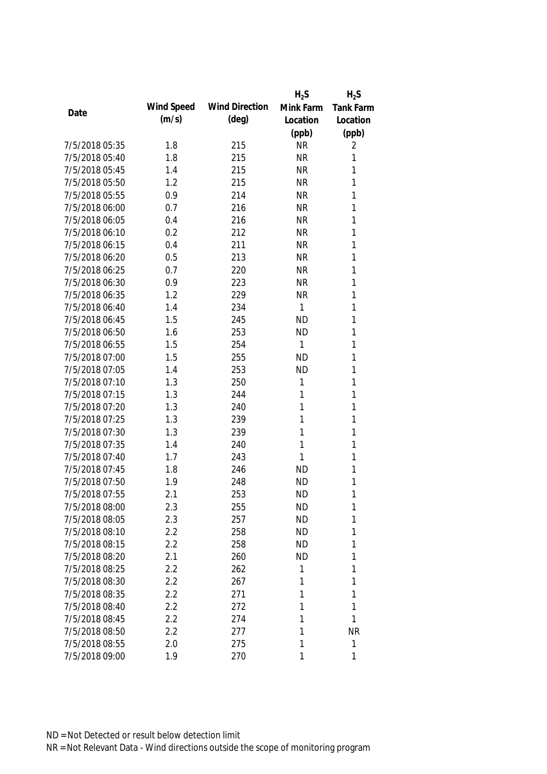|                |            |                       | $H_2S$    | $H_2S$           |
|----------------|------------|-----------------------|-----------|------------------|
| Date           | Wind Speed | <b>Wind Direction</b> | Mink Farm | <b>Tank Farm</b> |
|                | (m/s)      | $(\text{deg})$        | Location  | Location         |
|                |            |                       | (ppb)     | (ppb)            |
| 7/5/2018 05:35 | 1.8        | 215                   | <b>NR</b> | 2                |
| 7/5/2018 05:40 | 1.8        | 215                   | <b>NR</b> | 1                |
| 7/5/2018 05:45 | 1.4        | 215                   | <b>NR</b> | 1                |
| 7/5/2018 05:50 | 1.2        | 215                   | <b>NR</b> | 1                |
| 7/5/2018 05:55 | 0.9        | 214                   | <b>NR</b> | 1                |
| 7/5/2018 06:00 | 0.7        | 216                   | <b>NR</b> | 1                |
| 7/5/2018 06:05 | 0.4        | 216                   | <b>NR</b> | 1                |
| 7/5/2018 06:10 | 0.2        | 212                   | <b>NR</b> | 1                |
| 7/5/2018 06:15 | 0.4        | 211                   | <b>NR</b> | $\mathbf{1}$     |
| 7/5/2018 06:20 | 0.5        | 213                   | <b>NR</b> | 1                |
| 7/5/2018 06:25 | 0.7        | 220                   | <b>NR</b> | 1                |
| 7/5/2018 06:30 | 0.9        | 223                   | <b>NR</b> | 1                |
| 7/5/2018 06:35 | 1.2        | 229                   | <b>NR</b> | 1                |
| 7/5/2018 06:40 | 1.4        | 234                   | 1         | 1                |
| 7/5/2018 06:45 | 1.5        | 245                   | <b>ND</b> | $\mathbf{1}$     |
| 7/5/2018 06:50 | 1.6        | 253                   | <b>ND</b> | $\mathbf{1}$     |
| 7/5/2018 06:55 | 1.5        | 254                   | 1         | 1                |
| 7/5/2018 07:00 | 1.5        | 255                   | <b>ND</b> | $\mathbf{1}$     |
| 7/5/2018 07:05 | 1.4        | 253                   | <b>ND</b> | 1                |
| 7/5/2018 07:10 | 1.3        | 250                   | 1         | $\mathbf{1}$     |
| 7/5/2018 07:15 | 1.3        | 244                   | 1         | 1                |
| 7/5/2018 07:20 | 1.3        | 240                   | 1         | $\mathbf{1}$     |
| 7/5/2018 07:25 | 1.3        | 239                   | 1         | $\mathbf{1}$     |
| 7/5/2018 07:30 | 1.3        | 239                   | 1         | 1                |
| 7/5/2018 07:35 | 1.4        | 240                   | 1         | 1                |
| 7/5/2018 07:40 | 1.7        | 243                   | 1         | 1                |
| 7/5/2018 07:45 | 1.8        | 246                   | <b>ND</b> | 1                |
| 7/5/2018 07:50 | 1.9        | 248                   | <b>ND</b> | 1                |
| 7/5/2018 07:55 | 2.1        | 253                   | <b>ND</b> | 1                |
| 7/5/2018 08:00 | 2.3        | 255                   | <b>ND</b> | 1                |
| 7/5/2018 08:05 | 2.3        | 257                   | <b>ND</b> | 1                |
| 7/5/2018 08:10 | 2.2        | 258                   | <b>ND</b> | 1                |
| 7/5/2018 08:15 | 2.2        | 258                   | <b>ND</b> | 1                |
| 7/5/2018 08:20 | 2.1        | 260                   | <b>ND</b> | 1                |
| 7/5/2018 08:25 | 2.2        | 262                   | 1         | 1                |
| 7/5/2018 08:30 | 2.2        | 267                   | 1         | 1                |
| 7/5/2018 08:35 | 2.2        | 271                   | 1         | 1                |
| 7/5/2018 08:40 | 2.2        | 272                   | 1         | 1                |
| 7/5/2018 08:45 | 2.2        | 274                   | 1         | 1                |
| 7/5/2018 08:50 | 2.2        | 277                   | 1         | <b>NR</b>        |
| 7/5/2018 08:55 | 2.0        | 275                   | 1         | $\mathbf 1$      |
| 7/5/2018 09:00 | 1.9        | 270                   | 1         | 1                |
|                |            |                       |           |                  |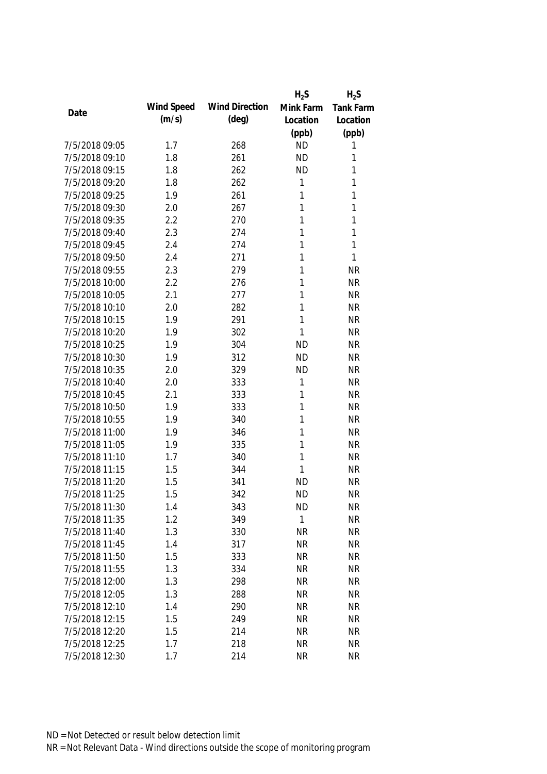|                |            |                       | $H_2S$    | $H_2S$           |
|----------------|------------|-----------------------|-----------|------------------|
|                | Wind Speed | <b>Wind Direction</b> | Mink Farm | <b>Tank Farm</b> |
| Date           | (m/s)      | $(\text{deg})$        | Location  | Location         |
|                |            |                       | (ppb)     | (ppb)            |
| 7/5/2018 09:05 | 1.7        | 268                   | <b>ND</b> | 1                |
| 7/5/2018 09:10 | 1.8        | 261                   | <b>ND</b> | 1                |
| 7/5/2018 09:15 | 1.8        | 262                   | <b>ND</b> | 1                |
| 7/5/2018 09:20 | 1.8        | 262                   | 1         | 1                |
| 7/5/2018 09:25 | 1.9        | 261                   | 1         | 1                |
| 7/5/2018 09:30 | 2.0        | 267                   | 1         | 1                |
| 7/5/2018 09:35 | 2.2        | 270                   | 1         | 1                |
| 7/5/2018 09:40 | 2.3        | 274                   | 1         | 1                |
| 7/5/2018 09:45 | 2.4        | 274                   | 1         | $\mathbf{1}$     |
| 7/5/2018 09:50 | 2.4        | 271                   | 1         | $\mathbf{1}$     |
| 7/5/2018 09:55 | 2.3        | 279                   | 1         | <b>NR</b>        |
| 7/5/2018 10:00 | 2.2        | 276                   | 1         | <b>NR</b>        |
| 7/5/2018 10:05 | 2.1        | 277                   | 1         | <b>NR</b>        |
| 7/5/2018 10:10 | 2.0        | 282                   | 1         | <b>NR</b>        |
| 7/5/2018 10:15 | 1.9        | 291                   | 1         | <b>NR</b>        |
| 7/5/2018 10:20 | 1.9        | 302                   | 1         | <b>NR</b>        |
| 7/5/2018 10:25 | 1.9        | 304                   | <b>ND</b> | <b>NR</b>        |
| 7/5/2018 10:30 | 1.9        | 312                   | <b>ND</b> | <b>NR</b>        |
| 7/5/2018 10:35 | 2.0        | 329                   | <b>ND</b> | <b>NR</b>        |
| 7/5/2018 10:40 | 2.0        | 333                   | 1         | <b>NR</b>        |
| 7/5/2018 10:45 | 2.1        | 333                   | 1         | <b>NR</b>        |
| 7/5/2018 10:50 | 1.9        | 333                   | 1         | <b>NR</b>        |
| 7/5/2018 10:55 | 1.9        | 340                   | 1         | <b>NR</b>        |
| 7/5/2018 11:00 | 1.9        | 346                   | 1         | <b>NR</b>        |
| 7/5/2018 11:05 | 1.9        | 335                   | 1         | <b>NR</b>        |
| 7/5/2018 11:10 | 1.7        | 340                   | 1         | <b>NR</b>        |
| 7/5/2018 11:15 | 1.5        | 344                   | 1         | <b>NR</b>        |
| 7/5/2018 11:20 | 1.5        | 341                   | <b>ND</b> | <b>NR</b>        |
| 7/5/2018 11:25 | 1.5        | 342                   | <b>ND</b> | <b>NR</b>        |
| 7/5/2018 11:30 | 1.4        | 343                   | <b>ND</b> | <b>NR</b>        |
| 7/5/2018 11:35 | 1.2        | 349                   | 1         | <b>NR</b>        |
| 7/5/2018 11:40 | 1.3        | 330                   | <b>NR</b> | <b>NR</b>        |
| 7/5/2018 11:45 | 1.4        | 317                   | <b>NR</b> | <b>NR</b>        |
| 7/5/2018 11:50 | 1.5        | 333                   | <b>NR</b> | <b>NR</b>        |
| 7/5/2018 11:55 | 1.3        | 334                   | <b>NR</b> | <b>NR</b>        |
| 7/5/2018 12:00 | 1.3        | 298                   | <b>NR</b> | <b>NR</b>        |
| 7/5/2018 12:05 | 1.3        | 288                   | <b>NR</b> | <b>NR</b>        |
| 7/5/2018 12:10 | 1.4        | 290                   | <b>NR</b> | <b>NR</b>        |
| 7/5/2018 12:15 | 1.5        | 249                   | <b>NR</b> | <b>NR</b>        |
| 7/5/2018 12:20 | 1.5        | 214                   | <b>NR</b> | <b>NR</b>        |
| 7/5/2018 12:25 | 1.7        | 218                   | <b>NR</b> | <b>NR</b>        |
| 7/5/2018 12:30 | 1.7        | 214                   | <b>NR</b> | <b>NR</b>        |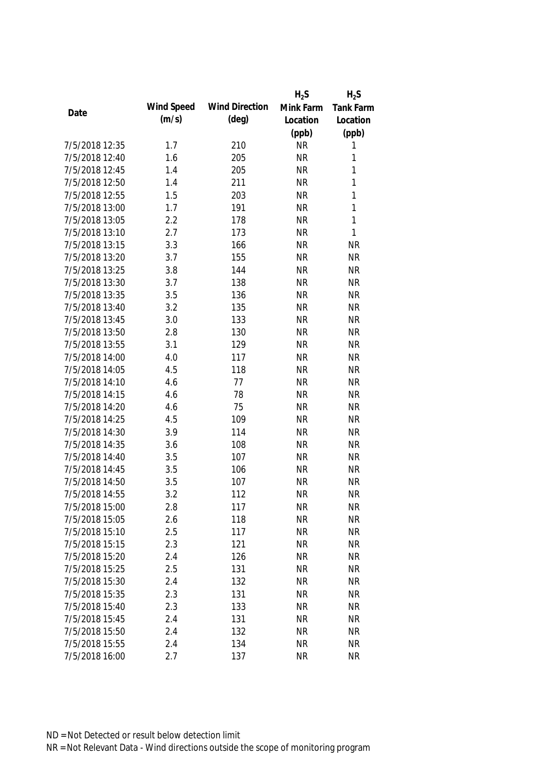|                |            |                       | $H_2S$    | $H_2S$           |
|----------------|------------|-----------------------|-----------|------------------|
|                | Wind Speed | <b>Wind Direction</b> | Mink Farm | <b>Tank Farm</b> |
| Date           | (m/s)      | $(\text{deg})$        | Location  | Location         |
|                |            |                       | (ppb)     | (ppb)            |
| 7/5/2018 12:35 | 1.7        | 210                   | <b>NR</b> | 1                |
| 7/5/2018 12:40 | 1.6        | 205                   | <b>NR</b> | 1                |
| 7/5/2018 12:45 | 1.4        | 205                   | <b>NR</b> | 1                |
| 7/5/2018 12:50 | 1.4        | 211                   | <b>NR</b> | 1                |
| 7/5/2018 12:55 | 1.5        | 203                   | <b>NR</b> | 1                |
| 7/5/2018 13:00 | 1.7        | 191                   | <b>NR</b> | $\mathbf{1}$     |
| 7/5/2018 13:05 | 2.2        | 178                   | <b>NR</b> | $\mathbf{1}$     |
| 7/5/2018 13:10 | 2.7        | 173                   | <b>NR</b> | $\mathbf{1}$     |
| 7/5/2018 13:15 | 3.3        | 166                   | <b>NR</b> | <b>NR</b>        |
| 7/5/2018 13:20 | 3.7        | 155                   | <b>NR</b> | <b>NR</b>        |
| 7/5/2018 13:25 | 3.8        | 144                   | <b>NR</b> | <b>NR</b>        |
| 7/5/2018 13:30 | 3.7        | 138                   | <b>NR</b> | <b>NR</b>        |
| 7/5/2018 13:35 | 3.5        | 136                   | <b>NR</b> | <b>NR</b>        |
| 7/5/2018 13:40 | 3.2        | 135                   | <b>NR</b> | <b>NR</b>        |
| 7/5/2018 13:45 | 3.0        | 133                   | <b>NR</b> | <b>NR</b>        |
| 7/5/2018 13:50 | 2.8        | 130                   | <b>NR</b> | <b>NR</b>        |
| 7/5/2018 13:55 | 3.1        | 129                   | <b>NR</b> | <b>NR</b>        |
| 7/5/2018 14:00 | 4.0        | 117                   | <b>NR</b> | <b>NR</b>        |
| 7/5/2018 14:05 | 4.5        | 118                   | <b>NR</b> | <b>NR</b>        |
| 7/5/2018 14:10 | 4.6        | 77                    | <b>NR</b> | <b>NR</b>        |
| 7/5/2018 14:15 | 4.6        | 78                    | <b>NR</b> | <b>NR</b>        |
| 7/5/2018 14:20 | 4.6        | 75                    | <b>NR</b> | <b>NR</b>        |
| 7/5/2018 14:25 | 4.5        | 109                   | <b>NR</b> | <b>NR</b>        |
| 7/5/2018 14:30 | 3.9        | 114                   | <b>NR</b> | <b>NR</b>        |
| 7/5/2018 14:35 | 3.6        | 108                   | <b>NR</b> | <b>NR</b>        |
| 7/5/2018 14:40 | 3.5        | 107                   | <b>NR</b> | <b>NR</b>        |
| 7/5/2018 14:45 | 3.5        | 106                   | <b>NR</b> | <b>NR</b>        |
| 7/5/2018 14:50 | 3.5        | 107                   | <b>NR</b> | <b>NR</b>        |
| 7/5/2018 14:55 | 3.2        | 112                   | <b>NR</b> | <b>NR</b>        |
| 7/5/2018 15:00 | 2.8        | 117                   | <b>NR</b> | <b>NR</b>        |
| 7/5/2018 15:05 | 2.6        | 118                   | <b>NR</b> | <b>NR</b>        |
| 7/5/2018 15:10 | 2.5        | 117                   | <b>NR</b> | <b>NR</b>        |
| 7/5/2018 15:15 | 2.3        | 121                   | <b>NR</b> | <b>NR</b>        |
| 7/5/2018 15:20 | 2.4        | 126                   | <b>NR</b> | <b>NR</b>        |
| 7/5/2018 15:25 | 2.5        | 131                   | <b>NR</b> | <b>NR</b>        |
| 7/5/2018 15:30 | 2.4        | 132                   | <b>NR</b> | <b>NR</b>        |
| 7/5/2018 15:35 | 2.3        | 131                   | <b>NR</b> | <b>NR</b>        |
| 7/5/2018 15:40 | 2.3        | 133                   | <b>NR</b> | <b>NR</b>        |
| 7/5/2018 15:45 | 2.4        | 131                   | <b>NR</b> | <b>NR</b>        |
| 7/5/2018 15:50 | 2.4        | 132                   | <b>NR</b> | <b>NR</b>        |
| 7/5/2018 15:55 | 2.4        | 134                   | <b>NR</b> | <b>NR</b>        |
| 7/5/2018 16:00 | 2.7        | 137                   | <b>NR</b> | <b>NR</b>        |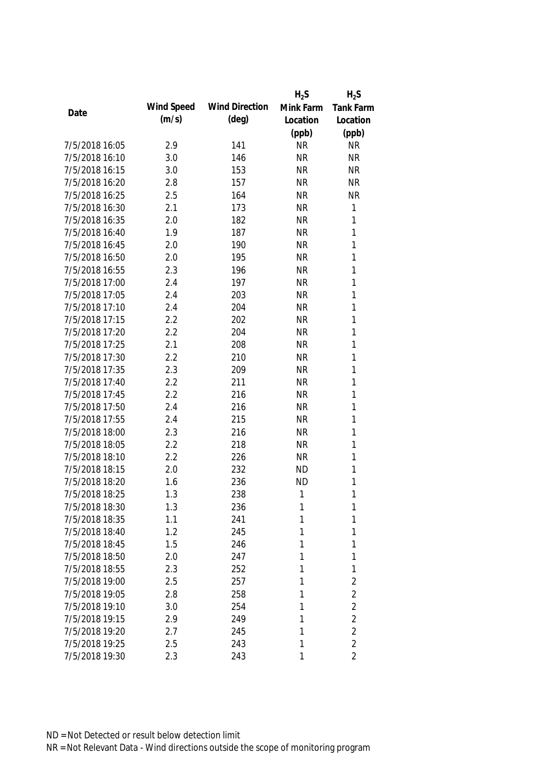|                |            |                       | $H_2S$    | $H_2S$           |
|----------------|------------|-----------------------|-----------|------------------|
| Date           | Wind Speed | <b>Wind Direction</b> | Mink Farm | <b>Tank Farm</b> |
|                | (m/s)      | $(\text{deg})$        | Location  | Location         |
|                |            |                       | (ppb)     | (ppb)            |
| 7/5/2018 16:05 | 2.9        | 141                   | <b>NR</b> | <b>NR</b>        |
| 7/5/2018 16:10 | 3.0        | 146                   | <b>NR</b> | <b>NR</b>        |
| 7/5/2018 16:15 | 3.0        | 153                   | <b>NR</b> | <b>NR</b>        |
| 7/5/2018 16:20 | 2.8        | 157                   | <b>NR</b> | <b>NR</b>        |
| 7/5/2018 16:25 | 2.5        | 164                   | <b>NR</b> | <b>NR</b>        |
| 7/5/2018 16:30 | 2.1        | 173                   | <b>NR</b> | $\mathbf{1}$     |
| 7/5/2018 16:35 | 2.0        | 182                   | <b>NR</b> | 1                |
| 7/5/2018 16:40 | 1.9        | 187                   | <b>NR</b> | 1                |
| 7/5/2018 16:45 | 2.0        | 190                   | <b>NR</b> | $\mathbf{1}$     |
| 7/5/2018 16:50 | 2.0        | 195                   | <b>NR</b> | 1                |
| 7/5/2018 16:55 | 2.3        | 196                   | <b>NR</b> | $\mathbf{1}$     |
| 7/5/2018 17:00 | 2.4        | 197                   | <b>NR</b> | 1                |
| 7/5/2018 17:05 | 2.4        | 203                   | <b>NR</b> | 1                |
| 7/5/2018 17:10 | 2.4        | 204                   | <b>NR</b> | 1                |
| 7/5/2018 17:15 | 2.2        | 202                   | <b>NR</b> | 1                |
| 7/5/2018 17:20 | 2.2        | 204                   | <b>NR</b> | 1                |
| 7/5/2018 17:25 | 2.1        | 208                   | <b>NR</b> | 1                |
| 7/5/2018 17:30 | 2.2        | 210                   | <b>NR</b> | 1                |
| 7/5/2018 17:35 | 2.3        | 209                   | <b>NR</b> | 1                |
| 7/5/2018 17:40 | 2.2        | 211                   | <b>NR</b> | 1                |
| 7/5/2018 17:45 | 2.2        | 216                   | <b>NR</b> | 1                |
| 7/5/2018 17:50 | 2.4        | 216                   | <b>NR</b> | 1                |
| 7/5/2018 17:55 | 2.4        | 215                   | <b>NR</b> | $\mathbf{1}$     |
| 7/5/2018 18:00 | 2.3        | 216                   | <b>NR</b> | 1                |
| 7/5/2018 18:05 | 2.2        | 218                   | <b>NR</b> | $\mathbf{1}$     |
| 7/5/2018 18:10 | 2.2        | 226                   | <b>NR</b> | 1                |
| 7/5/2018 18:15 | 2.0        | 232                   | <b>ND</b> | 1                |
| 7/5/2018 18:20 | 1.6        | 236                   | <b>ND</b> | 1                |
| 7/5/2018 18:25 | 1.3        | 238                   | 1         | 1                |
| 7/5/2018 18:30 | 1.3        | 236                   | 1         | 1                |
| 7/5/2018 18:35 | 1.1        | 241                   | 1         | 1                |
| 7/5/2018 18:40 | 1.2        | 245                   | 1         | 1                |
| 7/5/2018 18:45 | 1.5        | 246                   | 1         | 1                |
| 7/5/2018 18:50 | 2.0        | 247                   | 1         | 1                |
| 7/5/2018 18:55 | 2.3        | 252                   | 1         | 1                |
| 7/5/2018 19:00 | 2.5        | 257                   | 1         | $\overline{2}$   |
| 7/5/2018 19:05 | 2.8        | 258                   | 1         | $\overline{2}$   |
| 7/5/2018 19:10 | 3.0        | 254                   | 1         | $\overline{2}$   |
| 7/5/2018 19:15 | 2.9        | 249                   | 1         | $\overline{2}$   |
| 7/5/2018 19:20 | 2.7        | 245                   | 1         | $\overline{2}$   |
| 7/5/2018 19:25 | 2.5        | 243                   | 1         | $\overline{2}$   |
| 7/5/2018 19:30 | 2.3        | 243                   | 1         | $\overline{2}$   |
|                |            |                       |           |                  |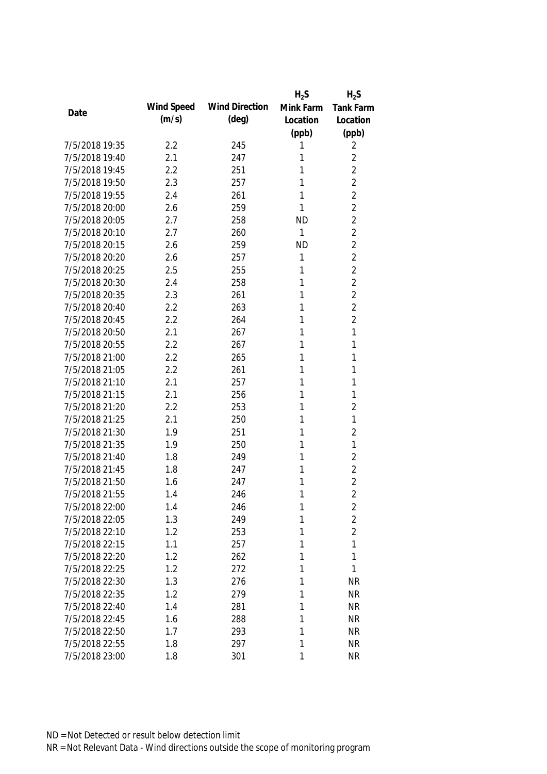|                |            |                       | $H_2S$    | $H_2S$           |
|----------------|------------|-----------------------|-----------|------------------|
| Date           | Wind Speed | <b>Wind Direction</b> | Mink Farm | <b>Tank Farm</b> |
|                | (m/s)      | $(\text{deg})$        | Location  | Location         |
|                |            |                       | (ppb)     | (ppb)            |
| 7/5/2018 19:35 | 2.2        | 245                   | 1         | 2                |
| 7/5/2018 19:40 | 2.1        | 247                   | 1         | $\overline{2}$   |
| 7/5/2018 19:45 | 2.2        | 251                   | 1         | $\overline{2}$   |
| 7/5/2018 19:50 | 2.3        | 257                   | 1         | $\overline{2}$   |
| 7/5/2018 19:55 | 2.4        | 261                   | 1         | $\overline{2}$   |
| 7/5/2018 20:00 | 2.6        | 259                   | 1         | $\overline{2}$   |
| 7/5/2018 20:05 | 2.7        | 258                   | <b>ND</b> | $\overline{2}$   |
| 7/5/2018 20:10 | 2.7        | 260                   | 1         | $\overline{2}$   |
| 7/5/2018 20:15 | 2.6        | 259                   | <b>ND</b> | $\overline{2}$   |
| 7/5/2018 20:20 | 2.6        | 257                   | 1         | $\overline{2}$   |
| 7/5/2018 20:25 | 2.5        | 255                   | 1         | $\overline{2}$   |
| 7/5/2018 20:30 | 2.4        | 258                   | 1         | $\overline{2}$   |
| 7/5/2018 20:35 | 2.3        | 261                   | 1         | $\overline{2}$   |
| 7/5/2018 20:40 | 2.2        | 263                   | 1         | $\overline{2}$   |
| 7/5/2018 20:45 | 2.2        | 264                   | 1         | $\overline{2}$   |
| 7/5/2018 20:50 | 2.1        | 267                   | 1         | $\mathbf{1}$     |
| 7/5/2018 20:55 | 2.2        | 267                   | 1         | 1                |
| 7/5/2018 21:00 | 2.2        | 265                   | 1         | 1                |
| 7/5/2018 21:05 | 2.2        | 261                   | 1         | 1                |
| 7/5/2018 21:10 | 2.1        | 257                   | 1         | 1                |
| 7/5/2018 21:15 | 2.1        | 256                   | 1         | 1                |
| 7/5/2018 21:20 | 2.2        | 253                   | 1         | $\overline{2}$   |
| 7/5/2018 21:25 | 2.1        | 250                   | 1         | $\mathbf{1}$     |
| 7/5/2018 21:30 | 1.9        | 251                   | 1         | $\overline{2}$   |
| 7/5/2018 21:35 | 1.9        | 250                   | 1         | 1                |
| 7/5/2018 21:40 | 1.8        | 249                   | 1         | $\overline{2}$   |
| 7/5/2018 21:45 | 1.8        | 247                   | 1         | $\overline{2}$   |
| 7/5/2018 21:50 | 1.6        | 247                   | 1         | $\overline{2}$   |
| 7/5/2018 21:55 | 1.4        | 246                   | 1         | $\overline{2}$   |
| 7/5/2018 22:00 | 1.4        | 246                   | 1         | $\overline{2}$   |
| 7/5/2018 22:05 | 1.3        | 249                   | 1         | $\overline{2}$   |
| 7/5/2018 22:10 | 1.2        | 253                   | 1         | $\overline{2}$   |
| 7/5/2018 22:15 | 1.1        | 257                   | 1         | 1                |
| 7/5/2018 22:20 | 1.2        | 262                   | 1         | 1                |
| 7/5/2018 22:25 | 1.2        | 272                   | 1         | $\mathbf{1}$     |
| 7/5/2018 22:30 | 1.3        | 276                   | 1         | <b>NR</b>        |
| 7/5/2018 22:35 | 1.2        | 279                   | 1         | <b>NR</b>        |
| 7/5/2018 22:40 | 1.4        | 281                   | 1         | <b>NR</b>        |
| 7/5/2018 22:45 | 1.6        | 288                   | 1         | <b>NR</b>        |
| 7/5/2018 22:50 | 1.7        | 293                   | 1         | <b>NR</b>        |
| 7/5/2018 22:55 | 1.8        | 297                   | 1         | <b>NR</b>        |
| 7/5/2018 23:00 | 1.8        | 301                   | 1         | <b>NR</b>        |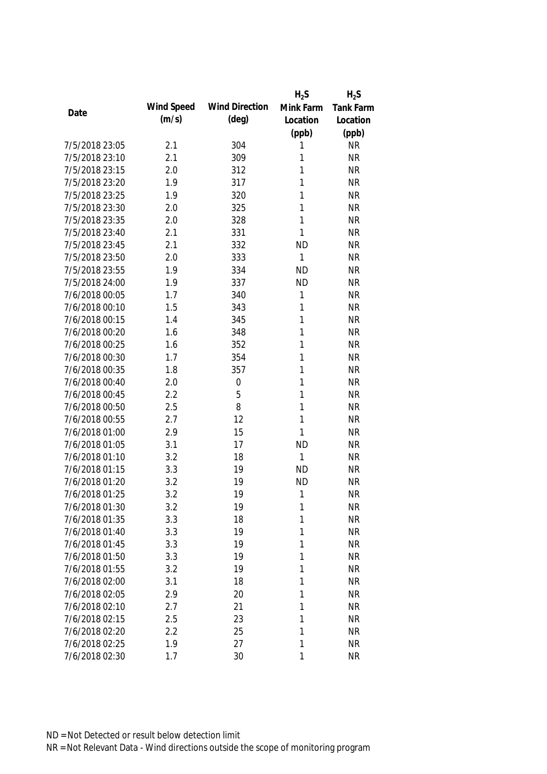|                |            |                       | $H_2S$       | $H_2S$           |
|----------------|------------|-----------------------|--------------|------------------|
| Date           | Wind Speed | <b>Wind Direction</b> | Mink Farm    | <b>Tank Farm</b> |
|                | (m/s)      | $(\text{deg})$        | Location     | Location         |
|                |            |                       | (ppb)        | (ppb)            |
| 7/5/2018 23:05 | 2.1        | 304                   | 1            | <b>NR</b>        |
| 7/5/2018 23:10 | 2.1        | 309                   | 1            | <b>NR</b>        |
| 7/5/2018 23:15 | 2.0        | 312                   | 1            | <b>NR</b>        |
| 7/5/2018 23:20 | 1.9        | 317                   | 1            | <b>NR</b>        |
| 7/5/2018 23:25 | 1.9        | 320                   | 1            | <b>NR</b>        |
| 7/5/2018 23:30 | 2.0        | 325                   | 1            | <b>NR</b>        |
| 7/5/2018 23:35 | 2.0        | 328                   | 1            | <b>NR</b>        |
| 7/5/2018 23:40 | 2.1        | 331                   | 1            | <b>NR</b>        |
| 7/5/2018 23:45 | 2.1        | 332                   | <b>ND</b>    | <b>NR</b>        |
| 7/5/2018 23:50 | 2.0        | 333                   | 1            | <b>NR</b>        |
| 7/5/2018 23:55 | 1.9        | 334                   | <b>ND</b>    | <b>NR</b>        |
| 7/5/2018 24:00 | 1.9        | 337                   | <b>ND</b>    | <b>NR</b>        |
| 7/6/2018 00:05 | 1.7        | 340                   | 1            | <b>NR</b>        |
| 7/6/2018 00:10 | 1.5        | 343                   | 1            | <b>NR</b>        |
| 7/6/2018 00:15 | 1.4        | 345                   | 1            | <b>NR</b>        |
| 7/6/2018 00:20 | 1.6        | 348                   | $\mathbf{1}$ | <b>NR</b>        |
| 7/6/2018 00:25 | 1.6        | 352                   | 1            | <b>NR</b>        |
| 7/6/2018 00:30 | 1.7        | 354                   | 1            | <b>NR</b>        |
| 7/6/2018 00:35 | 1.8        | 357                   | 1            | <b>NR</b>        |
| 7/6/2018 00:40 | 2.0        | $\boldsymbol{0}$      | 1            | <b>NR</b>        |
| 7/6/2018 00:45 | 2.2        | 5                     | 1            | <b>NR</b>        |
| 7/6/2018 00:50 | 2.5        | 8                     | 1            | <b>NR</b>        |
| 7/6/2018 00:55 | 2.7        | 12                    | 1            | <b>NR</b>        |
| 7/6/2018 01:00 | 2.9        | 15                    | 1            | <b>NR</b>        |
| 7/6/2018 01:05 | 3.1        | 17                    | <b>ND</b>    | <b>NR</b>        |
| 7/6/2018 01:10 | 3.2        | 18                    | 1            | <b>NR</b>        |
| 7/6/2018 01:15 | 3.3        | 19                    | <b>ND</b>    | <b>NR</b>        |
| 7/6/2018 01:20 | 3.2        | 19                    | <b>ND</b>    | <b>NR</b>        |
| 7/6/2018 01:25 | 3.2        | 19                    | 1            | <b>NR</b>        |
| 7/6/2018 01:30 | 3.2        | 19                    | 1            | <b>NR</b>        |
| 7/6/2018 01:35 | 3.3        | 18                    | 1            | <b>NR</b>        |
| 7/6/2018 01:40 | 3.3        | 19                    | 1            | <b>NR</b>        |
| 7/6/2018 01:45 | 3.3        | 19                    | 1            | <b>NR</b>        |
| 7/6/2018 01:50 | 3.3        | 19                    | 1            | <b>NR</b>        |
| 7/6/2018 01:55 | 3.2        | 19                    | 1            | <b>NR</b>        |
| 7/6/2018 02:00 | 3.1        | 18                    | 1            | <b>NR</b>        |
| 7/6/2018 02:05 | 2.9        | 20                    | 1            | <b>NR</b>        |
| 7/6/2018 02:10 | 2.7        | 21                    | 1            | <b>NR</b>        |
| 7/6/2018 02:15 | 2.5        | 23                    | 1            | <b>NR</b>        |
| 7/6/2018 02:20 | 2.2        | 25                    | 1            | <b>NR</b>        |
| 7/6/2018 02:25 | 1.9        | 27                    | 1            | <b>NR</b>        |
| 7/6/2018 02:30 | 1.7        | 30                    | 1            | <b>NR</b>        |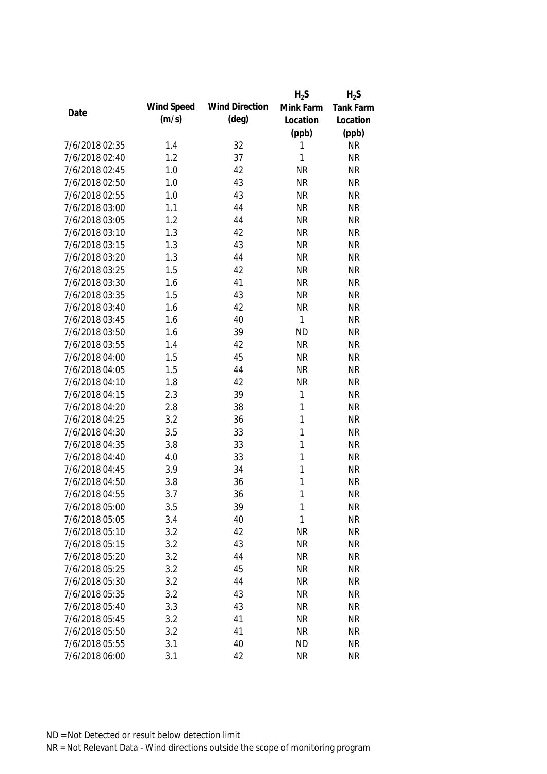|                |            |                       | $H_2S$       | $H_2S$           |
|----------------|------------|-----------------------|--------------|------------------|
| Date           | Wind Speed | <b>Wind Direction</b> | Mink Farm    | <b>Tank Farm</b> |
|                | (m/s)      | $(\text{deg})$        | Location     | Location         |
|                |            |                       | (ppb)        | (ppb)            |
| 7/6/2018 02:35 | 1.4        | 32                    | 1            | <b>NR</b>        |
| 7/6/2018 02:40 | 1.2        | 37                    | $\mathbf{1}$ | <b>NR</b>        |
| 7/6/2018 02:45 | 1.0        | 42                    | <b>NR</b>    | <b>NR</b>        |
| 7/6/2018 02:50 | 1.0        | 43                    | <b>NR</b>    | <b>NR</b>        |
| 7/6/2018 02:55 | 1.0        | 43                    | <b>NR</b>    | <b>NR</b>        |
| 7/6/2018 03:00 | 1.1        | 44                    | <b>NR</b>    | <b>NR</b>        |
| 7/6/2018 03:05 | 1.2        | 44                    | <b>NR</b>    | <b>NR</b>        |
| 7/6/2018 03:10 | 1.3        | 42                    | <b>NR</b>    | <b>NR</b>        |
| 7/6/2018 03:15 | 1.3        | 43                    | <b>NR</b>    | <b>NR</b>        |
| 7/6/2018 03:20 | 1.3        | 44                    | <b>NR</b>    | <b>NR</b>        |
| 7/6/2018 03:25 | 1.5        | 42                    | <b>NR</b>    | <b>NR</b>        |
| 7/6/2018 03:30 | 1.6        | 41                    | <b>NR</b>    | <b>NR</b>        |
| 7/6/2018 03:35 | 1.5        | 43                    | <b>NR</b>    | <b>NR</b>        |
| 7/6/2018 03:40 | 1.6        | 42                    | <b>NR</b>    | <b>NR</b>        |
| 7/6/2018 03:45 | 1.6        | 40                    | $\mathbf{1}$ | <b>NR</b>        |
| 7/6/2018 03:50 | 1.6        | 39                    | <b>ND</b>    | <b>NR</b>        |
| 7/6/2018 03:55 | 1.4        | 42                    | <b>NR</b>    | <b>NR</b>        |
| 7/6/2018 04:00 | 1.5        | 45                    | <b>NR</b>    | <b>NR</b>        |
| 7/6/2018 04:05 | 1.5        | 44                    | <b>NR</b>    | <b>NR</b>        |
| 7/6/2018 04:10 | 1.8        | 42                    | <b>NR</b>    | <b>NR</b>        |
| 7/6/2018 04:15 | 2.3        | 39                    | 1            | <b>NR</b>        |
| 7/6/2018 04:20 | 2.8        | 38                    | 1            | <b>NR</b>        |
| 7/6/2018 04:25 | 3.2        | 36                    | 1            | <b>NR</b>        |
| 7/6/2018 04:30 | 3.5        | 33                    | $\mathbf{1}$ | <b>NR</b>        |
| 7/6/2018 04:35 | 3.8        | 33                    | 1            | <b>NR</b>        |
| 7/6/2018 04:40 | 4.0        | 33                    | 1            | <b>NR</b>        |
| 7/6/2018 04:45 | 3.9        | 34                    | 1            | <b>NR</b>        |
| 7/6/2018 04:50 | 3.8        | 36                    | 1            | <b>NR</b>        |
| 7/6/2018 04:55 | 3.7        | 36                    | 1            | <b>NR</b>        |
| 7/6/2018 05:00 | 3.5        | 39                    | 1            | <b>NR</b>        |
| 7/6/2018 05:05 | 3.4        | 40                    | $\mathbf{1}$ | <b>NR</b>        |
| 7/6/2018 05:10 | 3.2        | 42                    | <b>NR</b>    | <b>NR</b>        |
| 7/6/2018 05:15 | 3.2        | 43                    | <b>NR</b>    | <b>NR</b>        |
| 7/6/2018 05:20 | 3.2        | 44                    | <b>NR</b>    | <b>NR</b>        |
| 7/6/2018 05:25 | 3.2        | 45                    | <b>NR</b>    | <b>NR</b>        |
| 7/6/2018 05:30 | 3.2        | 44                    | <b>NR</b>    | <b>NR</b>        |
| 7/6/2018 05:35 | 3.2        | 43                    | <b>NR</b>    | <b>NR</b>        |
| 7/6/2018 05:40 | 3.3        | 43                    | <b>NR</b>    | <b>NR</b>        |
| 7/6/2018 05:45 | 3.2        | 41                    | <b>NR</b>    | <b>NR</b>        |
| 7/6/2018 05:50 | 3.2        | 41                    | <b>NR</b>    | <b>NR</b>        |
| 7/6/2018 05:55 | 3.1        | 40                    | <b>ND</b>    | <b>NR</b>        |
| 7/6/2018 06:00 | 3.1        | 42                    | <b>NR</b>    | <b>NR</b>        |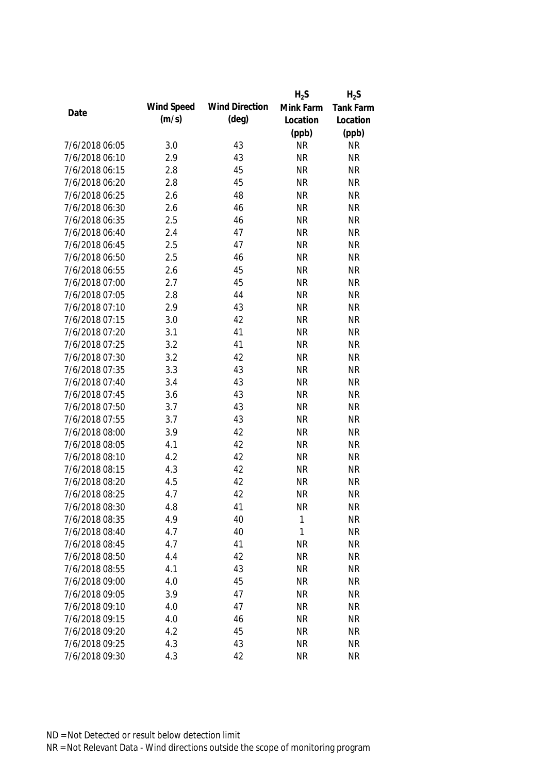|                |            |                       | $H_2S$       | $H_2S$    |
|----------------|------------|-----------------------|--------------|-----------|
|                | Wind Speed | <b>Wind Direction</b> | Mink Farm    | Tank Farm |
| Date           | (m/s)      | $(\text{deg})$        | Location     | Location  |
|                |            |                       | (ppb)        | (ppb)     |
| 7/6/2018 06:05 | 3.0        | 43                    | <b>NR</b>    | <b>NR</b> |
| 7/6/2018 06:10 | 2.9        | 43                    | <b>NR</b>    | <b>NR</b> |
| 7/6/2018 06:15 | 2.8        | 45                    | <b>NR</b>    | <b>NR</b> |
| 7/6/2018 06:20 | 2.8        | 45                    | <b>NR</b>    | <b>NR</b> |
| 7/6/2018 06:25 | 2.6        | 48                    | <b>NR</b>    | <b>NR</b> |
| 7/6/2018 06:30 | 2.6        | 46                    | <b>NR</b>    | <b>NR</b> |
| 7/6/2018 06:35 | 2.5        | 46                    | <b>NR</b>    | <b>NR</b> |
| 7/6/2018 06:40 | 2.4        | 47                    | <b>NR</b>    | <b>NR</b> |
| 7/6/2018 06:45 | 2.5        | 47                    | <b>NR</b>    | <b>NR</b> |
| 7/6/2018 06:50 | 2.5        | 46                    | <b>NR</b>    | <b>NR</b> |
| 7/6/2018 06:55 | 2.6        | 45                    | <b>NR</b>    | <b>NR</b> |
| 7/6/2018 07:00 | 2.7        | 45                    | <b>NR</b>    | <b>NR</b> |
| 7/6/2018 07:05 | 2.8        | 44                    | <b>NR</b>    | <b>NR</b> |
| 7/6/2018 07:10 | 2.9        | 43                    | <b>NR</b>    | <b>NR</b> |
| 7/6/2018 07:15 | 3.0        | 42                    | <b>NR</b>    | <b>NR</b> |
| 7/6/2018 07:20 | 3.1        | 41                    | <b>NR</b>    | <b>NR</b> |
| 7/6/2018 07:25 | 3.2        | 41                    | <b>NR</b>    | <b>NR</b> |
| 7/6/2018 07:30 | 3.2        | 42                    | <b>NR</b>    | <b>NR</b> |
| 7/6/2018 07:35 | 3.3        | 43                    | <b>NR</b>    | <b>NR</b> |
| 7/6/2018 07:40 | 3.4        | 43                    | <b>NR</b>    | <b>NR</b> |
| 7/6/2018 07:45 | 3.6        | 43                    | <b>NR</b>    | <b>NR</b> |
| 7/6/2018 07:50 | 3.7        | 43                    | <b>NR</b>    | <b>NR</b> |
| 7/6/2018 07:55 | 3.7        | 43                    | <b>NR</b>    | <b>NR</b> |
| 7/6/2018 08:00 | 3.9        | 42                    | <b>NR</b>    | <b>NR</b> |
| 7/6/2018 08:05 | 4.1        | 42                    | <b>NR</b>    | <b>NR</b> |
| 7/6/2018 08:10 | 4.2        | 42                    | <b>NR</b>    | <b>NR</b> |
| 7/6/2018 08:15 | 4.3        | 42                    | <b>NR</b>    | <b>NR</b> |
| 7/6/2018 08:20 | 4.5        | 42                    | <b>NR</b>    | <b>NR</b> |
| 7/6/2018 08:25 | 4.7        | 42                    | <b>NR</b>    | <b>NR</b> |
| 7/6/2018 08:30 | 4.8        | 41                    | <b>NR</b>    | <b>NR</b> |
| 7/6/2018 08:35 | 4.9        | 40                    | $\mathbf{1}$ | <b>NR</b> |
| 7/6/2018 08:40 | 4.7        | 40                    | 1            | <b>NR</b> |
| 7/6/2018 08:45 | 4.7        | 41                    | <b>NR</b>    | <b>NR</b> |
| 7/6/2018 08:50 | 4.4        | 42                    | <b>NR</b>    | <b>NR</b> |
| 7/6/2018 08:55 | 4.1        | 43                    | <b>NR</b>    | <b>NR</b> |
| 7/6/2018 09:00 | 4.0        | 45                    | <b>NR</b>    | <b>NR</b> |
| 7/6/2018 09:05 | 3.9        | 47                    | <b>NR</b>    | <b>NR</b> |
| 7/6/2018 09:10 | 4.0        | 47                    | <b>NR</b>    | <b>NR</b> |
| 7/6/2018 09:15 | 4.0        | 46                    | <b>NR</b>    | <b>NR</b> |
| 7/6/2018 09:20 | 4.2        | 45                    | <b>NR</b>    | <b>NR</b> |
| 7/6/2018 09:25 | 4.3        | 43                    | <b>NR</b>    | <b>NR</b> |
| 7/6/2018 09:30 | 4.3        | 42                    | <b>NR</b>    | <b>NR</b> |
|                |            |                       |              |           |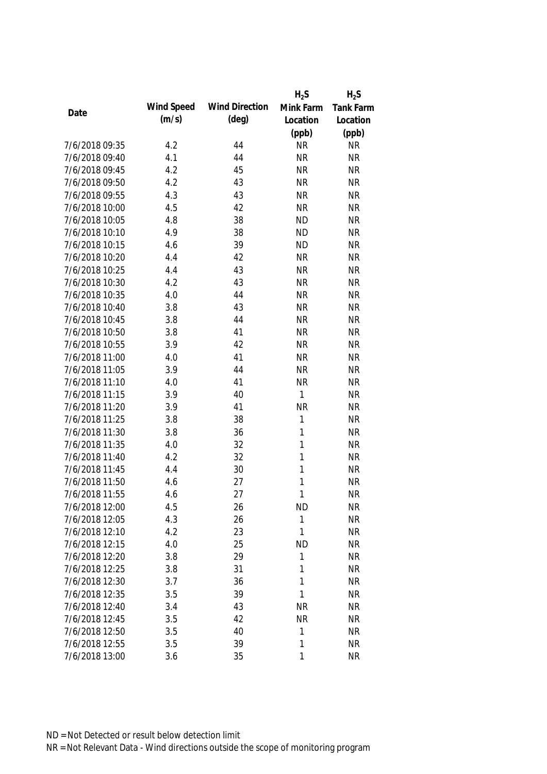|                |            |                       | $H_2S$       | $H_2S$           |
|----------------|------------|-----------------------|--------------|------------------|
|                | Wind Speed | <b>Wind Direction</b> | Mink Farm    | <b>Tank Farm</b> |
| Date           | (m/s)      | $(\text{deg})$        | Location     | Location         |
|                |            |                       | (ppb)        | (ppb)            |
| 7/6/2018 09:35 | 4.2        | 44                    | <b>NR</b>    | <b>NR</b>        |
| 7/6/2018 09:40 | 4.1        | 44                    | <b>NR</b>    | <b>NR</b>        |
| 7/6/2018 09:45 | 4.2        | 45                    | <b>NR</b>    | <b>NR</b>        |
| 7/6/2018 09:50 | 4.2        | 43                    | <b>NR</b>    | <b>NR</b>        |
| 7/6/2018 09:55 | 4.3        | 43                    | <b>NR</b>    | <b>NR</b>        |
| 7/6/2018 10:00 | 4.5        | 42                    | <b>NR</b>    | <b>NR</b>        |
| 7/6/2018 10:05 | 4.8        | 38                    | <b>ND</b>    | <b>NR</b>        |
| 7/6/2018 10:10 | 4.9        | 38                    | <b>ND</b>    | <b>NR</b>        |
| 7/6/2018 10:15 | 4.6        | 39                    | <b>ND</b>    | <b>NR</b>        |
| 7/6/2018 10:20 | 4.4        | 42                    | <b>NR</b>    | <b>NR</b>        |
| 7/6/2018 10:25 | 4.4        | 43                    | <b>NR</b>    | <b>NR</b>        |
| 7/6/2018 10:30 | 4.2        | 43                    | <b>NR</b>    | <b>NR</b>        |
| 7/6/2018 10:35 | 4.0        | 44                    | <b>NR</b>    | <b>NR</b>        |
| 7/6/2018 10:40 | 3.8        | 43                    | <b>NR</b>    | <b>NR</b>        |
| 7/6/2018 10:45 | 3.8        | 44                    | <b>NR</b>    | <b>NR</b>        |
| 7/6/2018 10:50 | 3.8        | 41                    | <b>NR</b>    | <b>NR</b>        |
| 7/6/2018 10:55 | 3.9        | 42                    | <b>NR</b>    | <b>NR</b>        |
| 7/6/2018 11:00 | 4.0        | 41                    | <b>NR</b>    | <b>NR</b>        |
| 7/6/2018 11:05 | 3.9        | 44                    | <b>NR</b>    | <b>NR</b>        |
| 7/6/2018 11:10 | 4.0        | 41                    | <b>NR</b>    | <b>NR</b>        |
| 7/6/2018 11:15 | 3.9        | 40                    | 1            | <b>NR</b>        |
| 7/6/2018 11:20 | 3.9        | 41                    | <b>NR</b>    | <b>NR</b>        |
| 7/6/2018 11:25 | 3.8        | 38                    | $\mathbf{1}$ | <b>NR</b>        |
| 7/6/2018 11:30 | 3.8        | 36                    | 1            | <b>NR</b>        |
| 7/6/2018 11:35 | 4.0        | 32                    | 1            | <b>NR</b>        |
| 7/6/2018 11:40 | 4.2        | 32                    | 1            | <b>NR</b>        |
| 7/6/2018 11:45 | 4.4        | 30                    | 1            | <b>NR</b>        |
| 7/6/2018 11:50 | 4.6        | 27                    | 1            | <b>NR</b>        |
| 7/6/2018 11:55 | 4.6        | 27                    | 1            | <b>NR</b>        |
| 7/6/2018 12:00 | 4.5        | 26                    | <b>ND</b>    | <b>NR</b>        |
| 7/6/2018 12:05 | 4.3        | 26                    | $\mathbf{1}$ | <b>NR</b>        |
| 7/6/2018 12:10 | 4.2        | 23                    | 1            | <b>NR</b>        |
| 7/6/2018 12:15 | 4.0        | 25                    | <b>ND</b>    | <b>NR</b>        |
| 7/6/2018 12:20 | 3.8        | 29                    | 1            | <b>NR</b>        |
| 7/6/2018 12:25 | 3.8        | 31                    | 1            | <b>NR</b>        |
| 7/6/2018 12:30 | 3.7        | 36                    | 1            | <b>NR</b>        |
| 7/6/2018 12:35 | 3.5        | 39                    | 1            | <b>NR</b>        |
| 7/6/2018 12:40 | 3.4        | 43                    | <b>NR</b>    | <b>NR</b>        |
| 7/6/2018 12:45 | 3.5        | 42                    | <b>NR</b>    | <b>NR</b>        |
| 7/6/2018 12:50 | 3.5        | 40                    | 1            | <b>NR</b>        |
| 7/6/2018 12:55 | 3.5        | 39                    | 1            | <b>NR</b>        |
| 7/6/2018 13:00 | 3.6        | 35                    | 1            | <b>NR</b>        |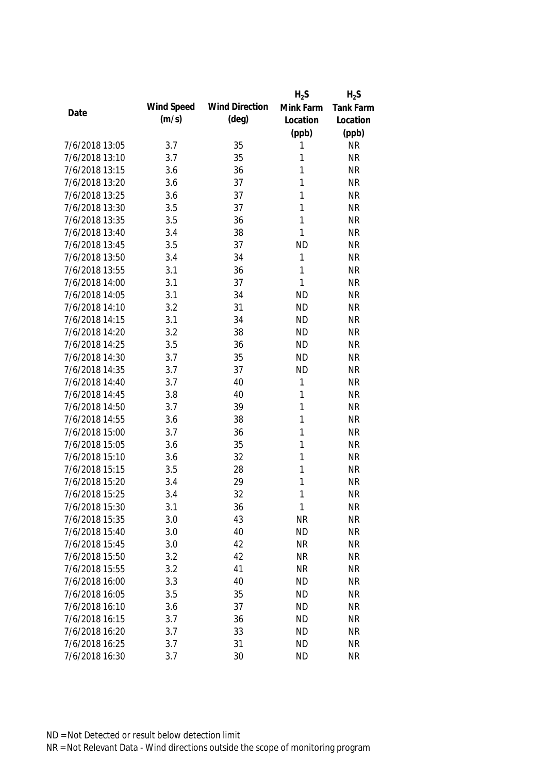|                |            |                       | $H_2S$       | $H_2S$           |
|----------------|------------|-----------------------|--------------|------------------|
|                | Wind Speed | <b>Wind Direction</b> | Mink Farm    | <b>Tank Farm</b> |
| Date           | (m/s)      | $(\text{deg})$        | Location     | Location         |
|                |            |                       | (ppb)        | (ppb)            |
| 7/6/2018 13:05 | 3.7        | 35                    | 1            | <b>NR</b>        |
| 7/6/2018 13:10 | 3.7        | 35                    | 1            | <b>NR</b>        |
| 7/6/2018 13:15 | 3.6        | 36                    | 1            | <b>NR</b>        |
| 7/6/2018 13:20 | 3.6        | 37                    | 1            | <b>NR</b>        |
| 7/6/2018 13:25 | 3.6        | 37                    | 1            | <b>NR</b>        |
| 7/6/2018 13:30 | 3.5        | 37                    | 1            | <b>NR</b>        |
| 7/6/2018 13:35 | 3.5        | 36                    | $\mathbf{1}$ | <b>NR</b>        |
| 7/6/2018 13:40 | 3.4        | 38                    | $\mathbf{1}$ | <b>NR</b>        |
| 7/6/2018 13:45 | 3.5        | 37                    | <b>ND</b>    | <b>NR</b>        |
| 7/6/2018 13:50 | 3.4        | 34                    | $\mathbf{1}$ | <b>NR</b>        |
| 7/6/2018 13:55 | 3.1        | 36                    | 1            | <b>NR</b>        |
| 7/6/2018 14:00 | 3.1        | 37                    | 1            | <b>NR</b>        |
| 7/6/2018 14:05 | 3.1        | 34                    | <b>ND</b>    | <b>NR</b>        |
| 7/6/2018 14:10 | 3.2        | 31                    | <b>ND</b>    | <b>NR</b>        |
| 7/6/2018 14:15 | 3.1        | 34                    | <b>ND</b>    | <b>NR</b>        |
| 7/6/2018 14:20 | 3.2        | 38                    | <b>ND</b>    | <b>NR</b>        |
| 7/6/2018 14:25 | 3.5        | 36                    | <b>ND</b>    | <b>NR</b>        |
| 7/6/2018 14:30 | 3.7        | 35                    | <b>ND</b>    | <b>NR</b>        |
| 7/6/2018 14:35 | 3.7        | 37                    | <b>ND</b>    | <b>NR</b>        |
| 7/6/2018 14:40 | 3.7        | 40                    | 1            | <b>NR</b>        |
| 7/6/2018 14:45 | 3.8        | 40                    | $\mathbf{1}$ | <b>NR</b>        |
| 7/6/2018 14:50 | 3.7        | 39                    | 1            | <b>NR</b>        |
| 7/6/2018 14:55 | 3.6        | 38                    | 1            | <b>NR</b>        |
| 7/6/2018 15:00 | 3.7        | 36                    | 1            | <b>NR</b>        |
| 7/6/2018 15:05 | 3.6        | 35                    | 1            | <b>NR</b>        |
| 7/6/2018 15:10 | 3.6        | 32                    | 1            | <b>NR</b>        |
| 7/6/2018 15:15 | 3.5        | 28                    | 1            | <b>NR</b>        |
| 7/6/2018 15:20 | 3.4        | 29                    | 1            | <b>NR</b>        |
| 7/6/2018 15:25 | 3.4        | 32                    | 1            | <b>NR</b>        |
| 7/6/2018 15:30 | 3.1        | 36                    | 1            | <b>NR</b>        |
| 7/6/2018 15:35 | 3.0        | 43                    | <b>NR</b>    | <b>NR</b>        |
| 7/6/2018 15:40 | 3.0        | 40                    | <b>ND</b>    | <b>NR</b>        |
| 7/6/2018 15:45 | 3.0        | 42                    | <b>NR</b>    | <b>NR</b>        |
| 7/6/2018 15:50 | 3.2        | 42                    | <b>NR</b>    | <b>NR</b>        |
| 7/6/2018 15:55 | 3.2        | 41                    | <b>NR</b>    | <b>NR</b>        |
| 7/6/2018 16:00 | 3.3        | 40                    | <b>ND</b>    | <b>NR</b>        |
| 7/6/2018 16:05 | 3.5        | 35                    | <b>ND</b>    | <b>NR</b>        |
| 7/6/2018 16:10 | 3.6        | 37                    | <b>ND</b>    | <b>NR</b>        |
| 7/6/2018 16:15 | 3.7        | 36                    | <b>ND</b>    | <b>NR</b>        |
| 7/6/2018 16:20 | 3.7        | 33                    | <b>ND</b>    | <b>NR</b>        |
| 7/6/2018 16:25 | 3.7        | 31                    | <b>ND</b>    | <b>NR</b>        |
| 7/6/2018 16:30 | 3.7        | 30                    | <b>ND</b>    | <b>NR</b>        |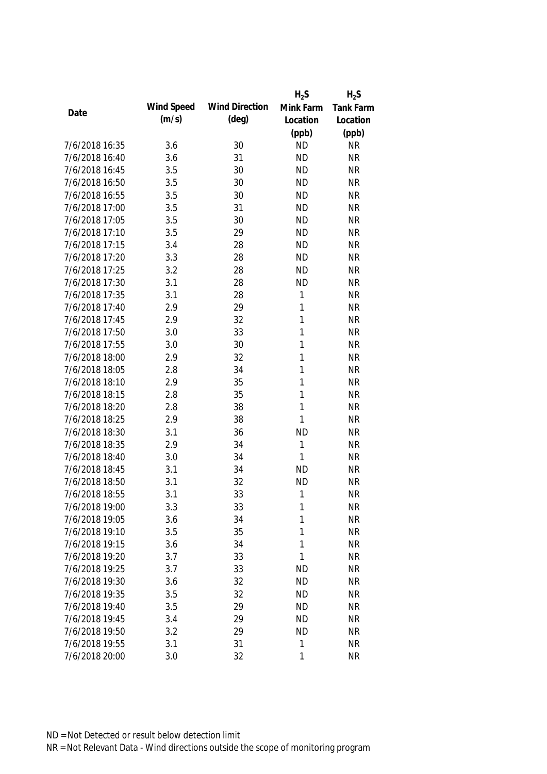|                |            |                       | $H_2S$       | $H_2S$           |
|----------------|------------|-----------------------|--------------|------------------|
|                | Wind Speed | <b>Wind Direction</b> | Mink Farm    | <b>Tank Farm</b> |
| Date           | (m/s)      | $(\text{deg})$        | Location     | Location         |
|                |            |                       | (ppb)        | (ppb)            |
| 7/6/2018 16:35 | 3.6        | 30                    | <b>ND</b>    | <b>NR</b>        |
| 7/6/2018 16:40 | 3.6        | 31                    | <b>ND</b>    | <b>NR</b>        |
| 7/6/2018 16:45 | 3.5        | 30                    | <b>ND</b>    | <b>NR</b>        |
| 7/6/2018 16:50 | 3.5        | 30                    | <b>ND</b>    | <b>NR</b>        |
| 7/6/2018 16:55 | 3.5        | 30                    | <b>ND</b>    | <b>NR</b>        |
| 7/6/2018 17:00 | 3.5        | 31                    | <b>ND</b>    | <b>NR</b>        |
| 7/6/2018 17:05 | 3.5        | 30                    | <b>ND</b>    | <b>NR</b>        |
| 7/6/2018 17:10 | 3.5        | 29                    | <b>ND</b>    | <b>NR</b>        |
| 7/6/2018 17:15 | 3.4        | 28                    | <b>ND</b>    | <b>NR</b>        |
| 7/6/2018 17:20 | 3.3        | 28                    | <b>ND</b>    | <b>NR</b>        |
| 7/6/2018 17:25 | 3.2        | 28                    | <b>ND</b>    | <b>NR</b>        |
| 7/6/2018 17:30 | 3.1        | 28                    | <b>ND</b>    | <b>NR</b>        |
| 7/6/2018 17:35 | 3.1        | 28                    | 1            | <b>NR</b>        |
| 7/6/2018 17:40 | 2.9        | 29                    | 1            | <b>NR</b>        |
| 7/6/2018 17:45 | 2.9        | 32                    | 1            | <b>NR</b>        |
| 7/6/2018 17:50 | 3.0        | 33                    | $\mathbf{1}$ | <b>NR</b>        |
| 7/6/2018 17:55 | 3.0        | 30                    | 1            | <b>NR</b>        |
| 7/6/2018 18:00 | 2.9        | 32                    | 1            | <b>NR</b>        |
| 7/6/2018 18:05 | 2.8        | 34                    | 1            | <b>NR</b>        |
| 7/6/2018 18:10 | 2.9        | 35                    | 1            | <b>NR</b>        |
| 7/6/2018 18:15 | 2.8        | 35                    | 1            | <b>NR</b>        |
| 7/6/2018 18:20 | 2.8        | 38                    | 1            | <b>NR</b>        |
| 7/6/2018 18:25 | 2.9        | 38                    | 1            | <b>NR</b>        |
| 7/6/2018 18:30 | 3.1        | 36                    | <b>ND</b>    | <b>NR</b>        |
| 7/6/2018 18:35 | 2.9        | 34                    | $\mathbf{1}$ | <b>NR</b>        |
| 7/6/2018 18:40 | 3.0        | 34                    | 1            | <b>NR</b>        |
| 7/6/2018 18:45 | 3.1        | 34                    | <b>ND</b>    | <b>NR</b>        |
| 7/6/2018 18:50 | 3.1        | 32                    | <b>ND</b>    | <b>NR</b>        |
| 7/6/2018 18:55 | 3.1        | 33                    | 1            | <b>NR</b>        |
| 7/6/2018 19:00 | 3.3        | 33                    | 1            | <b>NR</b>        |
| 7/6/2018 19:05 | 3.6        | 34                    | 1            | <b>NR</b>        |
| 7/6/2018 19:10 | 3.5        | 35                    | 1            | <b>NR</b>        |
| 7/6/2018 19:15 | 3.6        | 34                    | 1            | <b>NR</b>        |
| 7/6/2018 19:20 | 3.7        | 33                    | 1            | <b>NR</b>        |
| 7/6/2018 19:25 | 3.7        | 33                    | <b>ND</b>    | <b>NR</b>        |
| 7/6/2018 19:30 | 3.6        | 32                    | <b>ND</b>    | <b>NR</b>        |
| 7/6/2018 19:35 | 3.5        | 32                    | <b>ND</b>    | <b>NR</b>        |
| 7/6/2018 19:40 | 3.5        | 29                    | <b>ND</b>    | <b>NR</b>        |
| 7/6/2018 19:45 | 3.4        | 29                    | <b>ND</b>    | <b>NR</b>        |
| 7/6/2018 19:50 | 3.2        | 29                    | <b>ND</b>    | <b>NR</b>        |
| 7/6/2018 19:55 | 3.1        | 31                    | 1            | <b>NR</b>        |
| 7/6/2018 20:00 | 3.0        | 32                    | 1            | <b>NR</b>        |
|                |            |                       |              |                  |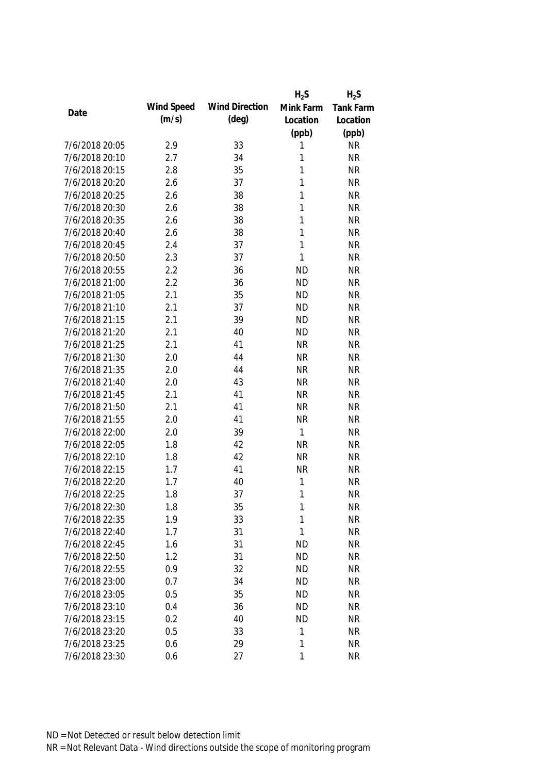|                |            |                       | $H_2S$       | $H_2S$           |
|----------------|------------|-----------------------|--------------|------------------|
|                | Wind Speed | <b>Wind Direction</b> | Mink Farm    | <b>Tank Farm</b> |
| Date           | (m/s)      | $(\text{deg})$        | Location     | Location         |
|                |            |                       | (ppb)        | (ppb)            |
| 7/6/2018 20:05 | 2.9        | 33                    | 1            | <b>NR</b>        |
| 7/6/2018 20:10 | 2.7        | 34                    | 1            | <b>NR</b>        |
| 7/6/2018 20:15 | 2.8        | 35                    | 1            | <b>NR</b>        |
| 7/6/2018 20:20 | 2.6        | 37                    | 1            | <b>NR</b>        |
| 7/6/2018 20:25 | 2.6        | 38                    | 1            | <b>NR</b>        |
| 7/6/2018 20:30 | 2.6        | 38                    | 1            | <b>NR</b>        |
| 7/6/2018 20:35 | 2.6        | 38                    | $\mathbf{1}$ | <b>NR</b>        |
| 7/6/2018 20:40 | 2.6        | 38                    | 1            | <b>NR</b>        |
| 7/6/2018 20:45 | 2.4        | 37                    | $\mathbf{1}$ | <b>NR</b>        |
| 7/6/2018 20:50 | 2.3        | 37                    | $\mathbf{1}$ | <b>NR</b>        |
| 7/6/2018 20:55 | 2.2        | 36                    | <b>ND</b>    | <b>NR</b>        |
| 7/6/2018 21:00 | 2.2        | 36                    | <b>ND</b>    | <b>NR</b>        |
| 7/6/2018 21:05 | 2.1        | 35                    | <b>ND</b>    | <b>NR</b>        |
| 7/6/2018 21:10 | 2.1        | 37                    | <b>ND</b>    | <b>NR</b>        |
| 7/6/2018 21:15 | 2.1        | 39                    | <b>ND</b>    | <b>NR</b>        |
| 7/6/2018 21:20 | 2.1        | 40                    | <b>ND</b>    | <b>NR</b>        |
| 7/6/2018 21:25 | 2.1        | 41                    | <b>NR</b>    | <b>NR</b>        |
| 7/6/2018 21:30 | 2.0        | 44                    | <b>NR</b>    | <b>NR</b>        |
| 7/6/2018 21:35 | 2.0        | 44                    | <b>NR</b>    | <b>NR</b>        |
| 7/6/2018 21:40 | 2.0        | 43                    | <b>NR</b>    | <b>NR</b>        |
| 7/6/2018 21:45 | 2.1        | 41                    | <b>NR</b>    | <b>NR</b>        |
| 7/6/2018 21:50 | 2.1        | 41                    | <b>NR</b>    | <b>NR</b>        |
| 7/6/2018 21:55 | 2.0        | 41                    | <b>NR</b>    | <b>NR</b>        |
| 7/6/2018 22:00 | 2.0        | 39                    | $\mathbf{1}$ | <b>NR</b>        |
| 7/6/2018 22:05 | 1.8        | 42                    | <b>NR</b>    | <b>NR</b>        |
| 7/6/2018 22:10 | 1.8        | 42                    | <b>NR</b>    | <b>NR</b>        |
| 7/6/2018 22:15 | 1.7        | 41                    | <b>NR</b>    | <b>NR</b>        |
| 7/6/2018 22:20 | 1.7        | 40                    | 1            | <b>NR</b>        |
| 7/6/2018 22:25 | 1.8        | 37                    | 1            | <b>NR</b>        |
| 7/6/2018 22:30 | 1.8        | 35                    | 1            | <b>NR</b>        |
| 7/6/2018 22:35 | 1.9        | 33                    | 1            | <b>NR</b>        |
| 7/6/2018 22:40 | 1.7        | 31                    | 1            | <b>NR</b>        |
| 7/6/2018 22:45 | 1.6        | 31                    | <b>ND</b>    | <b>NR</b>        |
| 7/6/2018 22:50 | 1.2        | 31                    | <b>ND</b>    | <b>NR</b>        |
| 7/6/2018 22:55 | 0.9        | 32                    | <b>ND</b>    | <b>NR</b>        |
| 7/6/2018 23:00 | 0.7        | 34                    | <b>ND</b>    | <b>NR</b>        |
| 7/6/2018 23:05 | 0.5        | 35                    | <b>ND</b>    | <b>NR</b>        |
| 7/6/2018 23:10 | 0.4        | 36                    | <b>ND</b>    | <b>NR</b>        |
| 7/6/2018 23:15 | 0.2        | 40                    | <b>ND</b>    | <b>NR</b>        |
| 7/6/2018 23:20 | 0.5        | 33                    | 1            | <b>NR</b>        |
| 7/6/2018 23:25 | 0.6        | 29                    | 1            | <b>NR</b>        |
| 7/6/2018 23:30 | 0.6        | 27                    | 1            | <b>NR</b>        |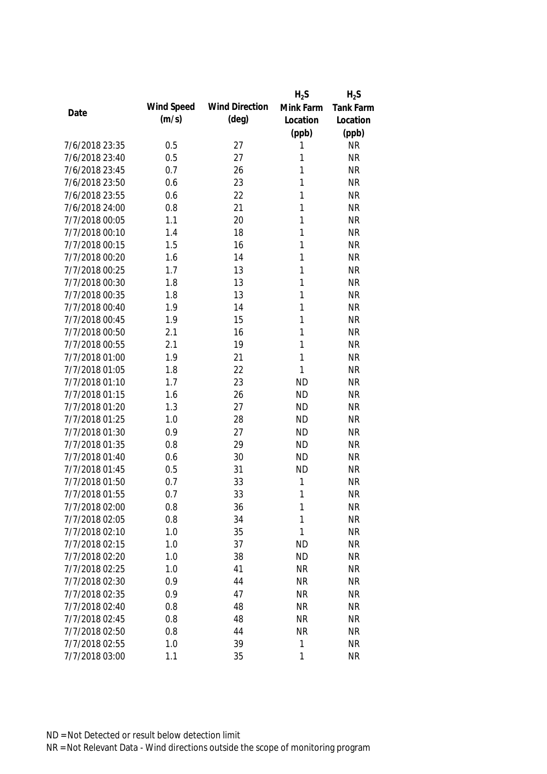|                |            |                       | $H_2S$    | $H_2S$           |
|----------------|------------|-----------------------|-----------|------------------|
|                | Wind Speed | <b>Wind Direction</b> | Mink Farm | <b>Tank Farm</b> |
| Date           | (m/s)      | $(\text{deg})$        | Location  | Location         |
|                |            |                       | (ppb)     | (ppb)            |
| 7/6/2018 23:35 | 0.5        | 27                    | 1         | <b>NR</b>        |
| 7/6/2018 23:40 | 0.5        | 27                    | 1         | <b>NR</b>        |
| 7/6/2018 23:45 | 0.7        | 26                    | 1         | <b>NR</b>        |
| 7/6/2018 23:50 | 0.6        | 23                    | 1         | <b>NR</b>        |
| 7/6/2018 23:55 | 0.6        | 22                    | 1         | <b>NR</b>        |
| 7/6/2018 24:00 | 0.8        | 21                    | 1         | <b>NR</b>        |
| 7/7/2018 00:05 | 1.1        | 20                    | 1         | <b>NR</b>        |
| 7/7/2018 00:10 | 1.4        | 18                    | 1         | <b>NR</b>        |
| 7/7/2018 00:15 | 1.5        | 16                    | 1         | <b>NR</b>        |
| 7/7/2018 00:20 | 1.6        | 14                    | 1         | <b>NR</b>        |
| 7/7/2018 00:25 | 1.7        | 13                    | 1         | <b>NR</b>        |
| 7/7/2018 00:30 | 1.8        | 13                    | 1         | <b>NR</b>        |
| 7/7/2018 00:35 | 1.8        | 13                    | 1         | <b>NR</b>        |
| 7/7/2018 00:40 | 1.9        | 14                    | 1         | <b>NR</b>        |
| 7/7/2018 00:45 | 1.9        | 15                    | 1         | <b>NR</b>        |
| 7/7/2018 00:50 | 2.1        | 16                    | 1         | <b>NR</b>        |
| 7/7/2018 00:55 | 2.1        | 19                    | 1         | <b>NR</b>        |
| 7/7/2018 01:00 | 1.9        | 21                    | 1         | <b>NR</b>        |
| 7/7/2018 01:05 | 1.8        | 22                    | 1         | <b>NR</b>        |
| 7/7/2018 01:10 | 1.7        | 23                    | <b>ND</b> | <b>NR</b>        |
| 7/7/2018 01:15 | 1.6        | 26                    | <b>ND</b> | <b>NR</b>        |
| 7/7/2018 01:20 | 1.3        | 27                    | <b>ND</b> | <b>NR</b>        |
| 7/7/2018 01:25 | 1.0        | 28                    | <b>ND</b> | <b>NR</b>        |
| 7/7/2018 01:30 | 0.9        | 27                    | <b>ND</b> | <b>NR</b>        |
| 7/7/2018 01:35 | 0.8        | 29                    | <b>ND</b> | <b>NR</b>        |
| 7/7/2018 01:40 | 0.6        | 30                    | <b>ND</b> | <b>NR</b>        |
| 7/7/2018 01:45 | 0.5        | 31                    | <b>ND</b> | <b>NR</b>        |
| 7/7/2018 01:50 | 0.7        | 33                    | 1         | <b>NR</b>        |
| 7/7/2018 01:55 | 0.7        | 33                    | 1         | <b>NR</b>        |
| 7/7/2018 02:00 | 0.8        | 36                    | 1         | <b>NR</b>        |
| 7/7/2018 02:05 | 0.8        | 34                    | 1         | <b>NR</b>        |
| 7/7/2018 02:10 | 1.0        | 35                    | 1         | <b>NR</b>        |
| 7/7/2018 02:15 | 1.0        | 37                    | <b>ND</b> | <b>NR</b>        |
| 7/7/2018 02:20 | 1.0        | 38                    | <b>ND</b> | <b>NR</b>        |
| 7/7/2018 02:25 | 1.0        | 41                    | <b>NR</b> | <b>NR</b>        |
| 7/7/2018 02:30 | 0.9        | 44                    | <b>NR</b> | <b>NR</b>        |
| 7/7/2018 02:35 | 0.9        | 47                    | <b>NR</b> | <b>NR</b>        |
| 7/7/2018 02:40 | 0.8        | 48                    | <b>NR</b> | <b>NR</b>        |
| 7/7/2018 02:45 | 0.8        | 48                    | <b>NR</b> | <b>NR</b>        |
| 7/7/2018 02:50 | 0.8        | 44                    | <b>NR</b> | <b>NR</b>        |
| 7/7/2018 02:55 | 1.0        | 39                    | 1         | <b>NR</b>        |
| 7/7/2018 03:00 | 1.1        | 35                    | 1         | <b>NR</b>        |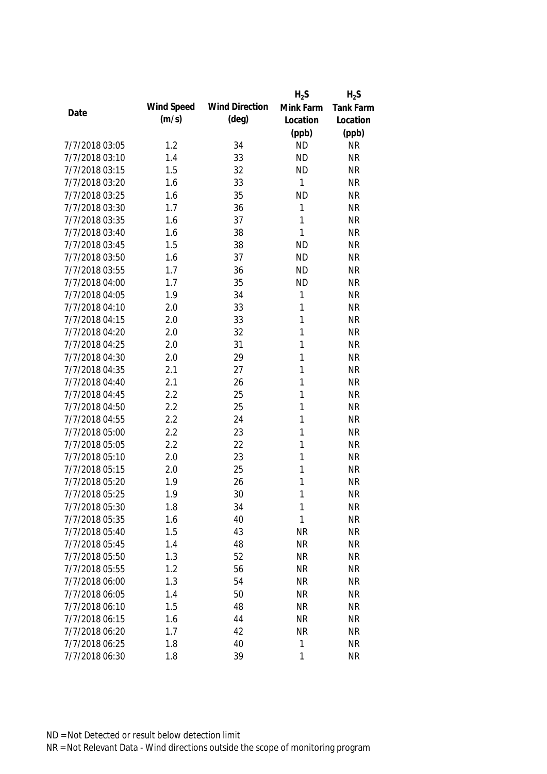|                |            |                       | $H_2S$       | $H_2S$           |
|----------------|------------|-----------------------|--------------|------------------|
| Date           | Wind Speed | <b>Wind Direction</b> | Mink Farm    | <b>Tank Farm</b> |
|                | (m/s)      | $(\text{deg})$        | Location     | Location         |
|                |            |                       | (ppb)        | (ppb)            |
| 7/7/2018 03:05 | 1.2        | 34                    | <b>ND</b>    | <b>NR</b>        |
| 7/7/2018 03:10 | 1.4        | 33                    | <b>ND</b>    | <b>NR</b>        |
| 7/7/2018 03:15 | 1.5        | 32                    | <b>ND</b>    | <b>NR</b>        |
| 7/7/2018 03:20 | 1.6        | 33                    | 1            | <b>NR</b>        |
| 7/7/2018 03:25 | 1.6        | 35                    | <b>ND</b>    | <b>NR</b>        |
| 7/7/2018 03:30 | 1.7        | 36                    | 1            | <b>NR</b>        |
| 7/7/2018 03:35 | 1.6        | 37                    | 1            | <b>NR</b>        |
| 7/7/2018 03:40 | 1.6        | 38                    | 1            | <b>NR</b>        |
| 7/7/2018 03:45 | 1.5        | 38                    | <b>ND</b>    | <b>NR</b>        |
| 7/7/2018 03:50 | 1.6        | 37                    | <b>ND</b>    | <b>NR</b>        |
| 7/7/2018 03:55 | 1.7        | 36                    | <b>ND</b>    | <b>NR</b>        |
| 7/7/2018 04:00 | 1.7        | 35                    | <b>ND</b>    | <b>NR</b>        |
| 7/7/2018 04:05 | 1.9        | 34                    | 1            | <b>NR</b>        |
| 7/7/2018 04:10 | 2.0        | 33                    | 1            | <b>NR</b>        |
| 7/7/2018 04:15 | 2.0        | 33                    | 1            | <b>NR</b>        |
| 7/7/2018 04:20 | 2.0        | 32                    | $\mathbf{1}$ | <b>NR</b>        |
| 7/7/2018 04:25 | 2.0        | 31                    | 1            | <b>NR</b>        |
| 7/7/2018 04:30 | 2.0        | 29                    | 1            | <b>NR</b>        |
| 7/7/2018 04:35 | 2.1        | 27                    | 1            | <b>NR</b>        |
| 7/7/2018 04:40 | 2.1        | 26                    | 1            | <b>NR</b>        |
| 7/7/2018 04:45 | 2.2        | 25                    | 1            | <b>NR</b>        |
| 7/7/2018 04:50 | 2.2        | 25                    | 1            | <b>NR</b>        |
| 7/7/2018 04:55 | 2.2        | 24                    | 1            | <b>NR</b>        |
| 7/7/2018 05:00 | 2.2        | 23                    | 1            | <b>NR</b>        |
| 7/7/2018 05:05 | 2.2        | 22                    | 1            | <b>NR</b>        |
| 7/7/2018 05:10 | 2.0        | 23                    | 1            | <b>NR</b>        |
| 7/7/2018 05:15 | 2.0        | 25                    | 1            | <b>NR</b>        |
| 7/7/2018 05:20 | 1.9        | 26                    | 1            | <b>NR</b>        |
| 7/7/2018 05:25 | 1.9        | 30                    | 1            | <b>NR</b>        |
| 7/7/2018 05:30 | 1.8        | 34                    | 1            | <b>NR</b>        |
| 7/7/2018 05:35 | 1.6        | 40                    | 1            | <b>NR</b>        |
| 7/7/2018 05:40 | 1.5        | 43                    | <b>NR</b>    | <b>NR</b>        |
| 7/7/2018 05:45 | 1.4        | 48                    | <b>NR</b>    | <b>NR</b>        |
| 7/7/2018 05:50 | 1.3        | 52                    | <b>NR</b>    | <b>NR</b>        |
| 7/7/2018 05:55 | 1.2        | 56                    | <b>NR</b>    | <b>NR</b>        |
| 7/7/2018 06:00 | 1.3        | 54                    | <b>NR</b>    | <b>NR</b>        |
| 7/7/2018 06:05 | 1.4        | 50                    | <b>NR</b>    | <b>NR</b>        |
| 7/7/2018 06:10 | 1.5        | 48                    | <b>NR</b>    | <b>NR</b>        |
| 7/7/2018 06:15 | 1.6        | 44                    | <b>NR</b>    | <b>NR</b>        |
| 7/7/2018 06:20 | 1.7        | 42                    | <b>NR</b>    | <b>NR</b>        |
| 7/7/2018 06:25 | 1.8        | 40                    | $\mathbf{1}$ | <b>NR</b>        |
| 7/7/2018 06:30 | 1.8        | 39                    | 1            | <b>NR</b>        |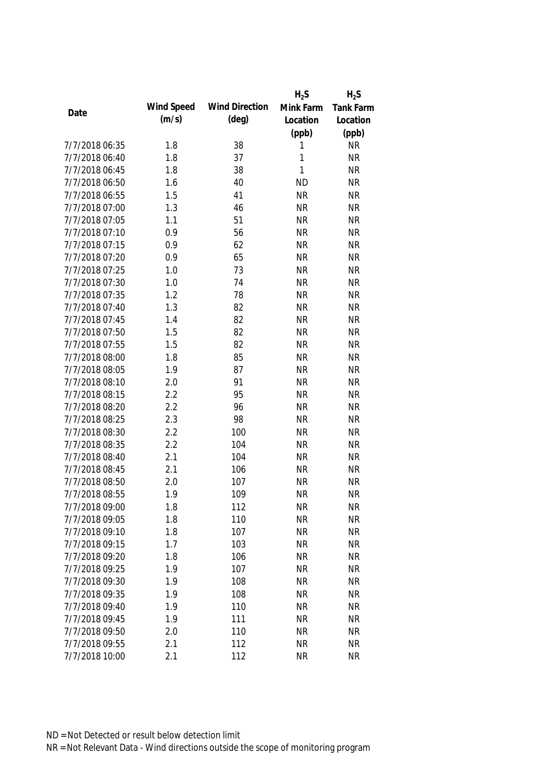|                |            |                       | $H_2S$    | $H_2S$           |
|----------------|------------|-----------------------|-----------|------------------|
|                | Wind Speed | <b>Wind Direction</b> | Mink Farm | <b>Tank Farm</b> |
| Date           | (m/s)      | $(\text{deg})$        | Location  | Location         |
|                |            |                       | (ppb)     | (ppb)            |
| 7/7/2018 06:35 | 1.8        | 38                    | 1         | <b>NR</b>        |
| 7/7/2018 06:40 | 1.8        | 37                    | 1         | <b>NR</b>        |
| 7/7/2018 06:45 | 1.8        | 38                    | 1         | <b>NR</b>        |
| 7/7/2018 06:50 | 1.6        | 40                    | <b>ND</b> | <b>NR</b>        |
| 7/7/2018 06:55 | 1.5        | 41                    | <b>NR</b> | <b>NR</b>        |
| 7/7/2018 07:00 | 1.3        | 46                    | <b>NR</b> | <b>NR</b>        |
| 7/7/2018 07:05 | 1.1        | 51                    | <b>NR</b> | <b>NR</b>        |
| 7/7/2018 07:10 | 0.9        | 56                    | <b>NR</b> | <b>NR</b>        |
| 7/7/2018 07:15 | 0.9        | 62                    | <b>NR</b> | <b>NR</b>        |
| 7/7/2018 07:20 | 0.9        | 65                    | <b>NR</b> | <b>NR</b>        |
| 7/7/2018 07:25 | 1.0        | 73                    | <b>NR</b> | <b>NR</b>        |
| 7/7/2018 07:30 | 1.0        | 74                    | <b>NR</b> | <b>NR</b>        |
| 7/7/2018 07:35 | 1.2        | 78                    | <b>NR</b> | <b>NR</b>        |
| 7/7/2018 07:40 | 1.3        | 82                    | <b>NR</b> | <b>NR</b>        |
| 7/7/2018 07:45 | 1.4        | 82                    | <b>NR</b> | <b>NR</b>        |
| 7/7/2018 07:50 | 1.5        | 82                    | <b>NR</b> | <b>NR</b>        |
| 7/7/2018 07:55 | 1.5        | 82                    | <b>NR</b> | <b>NR</b>        |
| 7/7/2018 08:00 | 1.8        | 85                    | <b>NR</b> | <b>NR</b>        |
| 7/7/2018 08:05 | 1.9        | 87                    | <b>NR</b> | <b>NR</b>        |
| 7/7/2018 08:10 | 2.0        | 91                    | <b>NR</b> | <b>NR</b>        |
| 7/7/2018 08:15 | 2.2        | 95                    | <b>NR</b> | <b>NR</b>        |
| 7/7/2018 08:20 | 2.2        | 96                    | <b>NR</b> | <b>NR</b>        |
| 7/7/2018 08:25 | 2.3        | 98                    | <b>NR</b> | <b>NR</b>        |
| 7/7/2018 08:30 | 2.2        | 100                   | <b>NR</b> | <b>NR</b>        |
| 7/7/2018 08:35 | 2.2        | 104                   | <b>NR</b> | <b>NR</b>        |
| 7/7/2018 08:40 | 2.1        | 104                   | <b>NR</b> | <b>NR</b>        |
| 7/7/2018 08:45 | 2.1        | 106                   | <b>NR</b> | <b>NR</b>        |
| 7/7/2018 08:50 | 2.0        | 107                   | <b>NR</b> | <b>NR</b>        |
| 7/7/2018 08:55 | 1.9        | 109                   | <b>NR</b> | <b>NR</b>        |
| 7/7/2018 09:00 | 1.8        | 112                   | <b>NR</b> | <b>NR</b>        |
| 7/7/2018 09:05 | 1.8        | 110                   | <b>NR</b> | <b>NR</b>        |
| 7/7/2018 09:10 | 1.8        | 107                   | <b>NR</b> | <b>NR</b>        |
| 7/7/2018 09:15 | 1.7        | 103                   | <b>NR</b> | <b>NR</b>        |
| 7/7/2018 09:20 | 1.8        | 106                   | <b>NR</b> | <b>NR</b>        |
| 7/7/2018 09:25 | 1.9        | 107                   | <b>NR</b> | <b>NR</b>        |
| 7/7/2018 09:30 | 1.9        | 108                   | <b>NR</b> | <b>NR</b>        |
| 7/7/2018 09:35 | 1.9        | 108                   | <b>NR</b> | <b>NR</b>        |
| 7/7/2018 09:40 | 1.9        | 110                   | <b>NR</b> | <b>NR</b>        |
| 7/7/2018 09:45 | 1.9        | 111                   | <b>NR</b> | <b>NR</b>        |
| 7/7/2018 09:50 | 2.0        | 110                   | <b>NR</b> | <b>NR</b>        |
| 7/7/2018 09:55 | 2.1        | 112                   | <b>NR</b> | <b>NR</b>        |
| 7/7/2018 10:00 | 2.1        | 112                   | <b>NR</b> | <b>NR</b>        |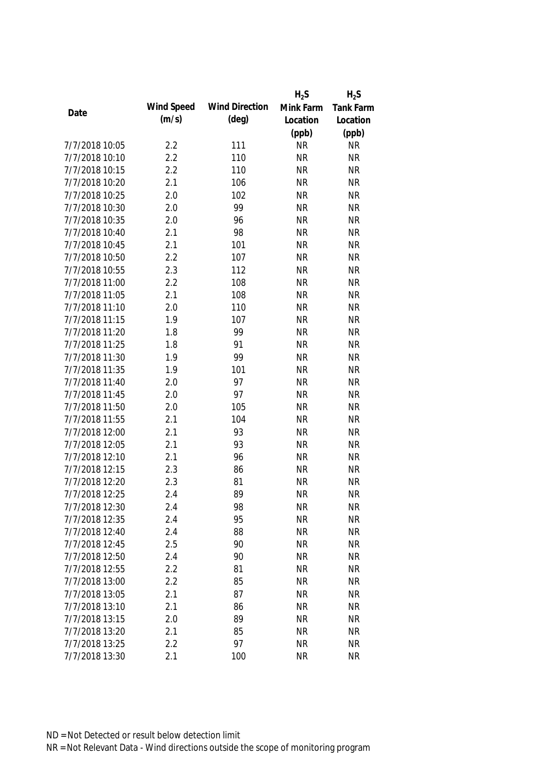|                |            |                       | $H_2S$    | $H_2S$           |
|----------------|------------|-----------------------|-----------|------------------|
|                | Wind Speed | <b>Wind Direction</b> | Mink Farm | <b>Tank Farm</b> |
| Date           | (m/s)      | $(\text{deg})$        | Location  | Location         |
|                |            |                       | (ppb)     | (ppb)            |
| 7/7/2018 10:05 | 2.2        | 111                   | <b>NR</b> | <b>NR</b>        |
| 7/7/2018 10:10 | 2.2        | 110                   | <b>NR</b> | <b>NR</b>        |
| 7/7/2018 10:15 | 2.2        | 110                   | <b>NR</b> | <b>NR</b>        |
| 7/7/2018 10:20 | 2.1        | 106                   | <b>NR</b> | <b>NR</b>        |
| 7/7/2018 10:25 | 2.0        | 102                   | <b>NR</b> | <b>NR</b>        |
| 7/7/2018 10:30 | 2.0        | 99                    | <b>NR</b> | <b>NR</b>        |
| 7/7/2018 10:35 | 2.0        | 96                    | <b>NR</b> | <b>NR</b>        |
| 7/7/2018 10:40 | 2.1        | 98                    | <b>NR</b> | <b>NR</b>        |
| 7/7/2018 10:45 | 2.1        | 101                   | <b>NR</b> | <b>NR</b>        |
| 7/7/2018 10:50 | 2.2        | 107                   | <b>NR</b> | <b>NR</b>        |
| 7/7/2018 10:55 | 2.3        | 112                   | <b>NR</b> | <b>NR</b>        |
| 7/7/2018 11:00 | 2.2        | 108                   | <b>NR</b> | <b>NR</b>        |
| 7/7/2018 11:05 | 2.1        | 108                   | <b>NR</b> | <b>NR</b>        |
| 7/7/2018 11:10 | 2.0        | 110                   | <b>NR</b> | <b>NR</b>        |
| 7/7/2018 11:15 | 1.9        | 107                   | <b>NR</b> | <b>NR</b>        |
| 7/7/2018 11:20 | 1.8        | 99                    | <b>NR</b> | <b>NR</b>        |
| 7/7/2018 11:25 | 1.8        | 91                    | <b>NR</b> | <b>NR</b>        |
| 7/7/2018 11:30 | 1.9        | 99                    | <b>NR</b> | <b>NR</b>        |
| 7/7/2018 11:35 | 1.9        | 101                   | <b>NR</b> | <b>NR</b>        |
| 7/7/2018 11:40 | 2.0        | 97                    | <b>NR</b> | <b>NR</b>        |
| 7/7/2018 11:45 | 2.0        | 97                    | <b>NR</b> | <b>NR</b>        |
| 7/7/2018 11:50 | 2.0        | 105                   | <b>NR</b> | <b>NR</b>        |
| 7/7/2018 11:55 | 2.1        | 104                   | <b>NR</b> | <b>NR</b>        |
| 7/7/2018 12:00 | 2.1        | 93                    | <b>NR</b> | <b>NR</b>        |
| 7/7/2018 12:05 | 2.1        | 93                    | <b>NR</b> | <b>NR</b>        |
| 7/7/2018 12:10 | 2.1        | 96                    | <b>NR</b> | <b>NR</b>        |
| 7/7/2018 12:15 | 2.3        | 86                    | <b>NR</b> | <b>NR</b>        |
| 7/7/2018 12:20 | 2.3        | 81                    | <b>NR</b> | <b>NR</b>        |
| 7/7/2018 12:25 | 2.4        | 89                    | <b>NR</b> | <b>NR</b>        |
| 7/7/2018 12:30 | 2.4        | 98                    | <b>NR</b> | <b>NR</b>        |
| 7/7/2018 12:35 | 2.4        | 95                    | <b>NR</b> | <b>NR</b>        |
| 7/7/2018 12:40 | 2.4        | 88                    | <b>NR</b> | <b>NR</b>        |
| 7/7/2018 12:45 | 2.5        | 90                    | <b>NR</b> | <b>NR</b>        |
| 7/7/2018 12:50 | 2.4        | 90                    | <b>NR</b> | <b>NR</b>        |
| 7/7/2018 12:55 | 2.2        | 81                    | <b>NR</b> | <b>NR</b>        |
| 7/7/2018 13:00 | 2.2        | 85                    | <b>NR</b> | <b>NR</b>        |
| 7/7/2018 13:05 | 2.1        | 87                    | <b>NR</b> | <b>NR</b>        |
| 7/7/2018 13:10 | 2.1        | 86                    | <b>NR</b> | <b>NR</b>        |
| 7/7/2018 13:15 | 2.0        | 89                    | <b>NR</b> | <b>NR</b>        |
| 7/7/2018 13:20 | 2.1        | 85                    | <b>NR</b> | <b>NR</b>        |
| 7/7/2018 13:25 | 2.2        | 97                    | <b>NR</b> | <b>NR</b>        |
| 7/7/2018 13:30 | 2.1        | 100                   | <b>NR</b> | <b>NR</b>        |
|                |            |                       |           |                  |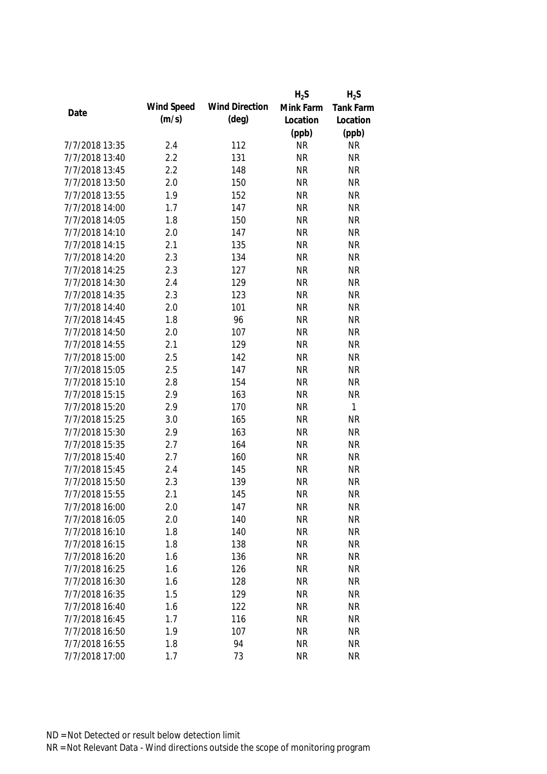|                |            |                       | $H_2S$    | $H_2S$           |
|----------------|------------|-----------------------|-----------|------------------|
|                | Wind Speed | <b>Wind Direction</b> | Mink Farm | <b>Tank Farm</b> |
| Date           | (m/s)      | $(\text{deg})$        | Location  | Location         |
|                |            |                       | (ppb)     | (ppb)            |
| 7/7/2018 13:35 | 2.4        | 112                   | <b>NR</b> | <b>NR</b>        |
| 7/7/2018 13:40 | 2.2        | 131                   | <b>NR</b> | <b>NR</b>        |
| 7/7/2018 13:45 | 2.2        | 148                   | <b>NR</b> | <b>NR</b>        |
| 7/7/2018 13:50 | 2.0        | 150                   | <b>NR</b> | <b>NR</b>        |
| 7/7/2018 13:55 | 1.9        | 152                   | <b>NR</b> | <b>NR</b>        |
| 7/7/2018 14:00 | 1.7        | 147                   | <b>NR</b> | <b>NR</b>        |
| 7/7/2018 14:05 | 1.8        | 150                   | <b>NR</b> | <b>NR</b>        |
| 7/7/2018 14:10 | 2.0        | 147                   | <b>NR</b> | <b>NR</b>        |
| 7/7/2018 14:15 | 2.1        | 135                   | <b>NR</b> | <b>NR</b>        |
| 7/7/2018 14:20 | 2.3        | 134                   | <b>NR</b> | <b>NR</b>        |
| 7/7/2018 14:25 | 2.3        | 127                   | <b>NR</b> | <b>NR</b>        |
| 7/7/2018 14:30 | 2.4        | 129                   | <b>NR</b> | <b>NR</b>        |
| 7/7/2018 14:35 | 2.3        | 123                   | <b>NR</b> | <b>NR</b>        |
| 7/7/2018 14:40 | 2.0        | 101                   | <b>NR</b> | <b>NR</b>        |
| 7/7/2018 14:45 | 1.8        | 96                    | <b>NR</b> | <b>NR</b>        |
| 7/7/2018 14:50 | 2.0        | 107                   | <b>NR</b> | <b>NR</b>        |
| 7/7/2018 14:55 | 2.1        | 129                   | <b>NR</b> | <b>NR</b>        |
| 7/7/2018 15:00 | 2.5        | 142                   | <b>NR</b> | <b>NR</b>        |
| 7/7/2018 15:05 | 2.5        | 147                   | <b>NR</b> | <b>NR</b>        |
| 7/7/2018 15:10 | 2.8        | 154                   | <b>NR</b> | <b>NR</b>        |
| 7/7/2018 15:15 | 2.9        | 163                   | <b>NR</b> | <b>NR</b>        |
| 7/7/2018 15:20 | 2.9        | 170                   | <b>NR</b> | $\mathbf{1}$     |
| 7/7/2018 15:25 | 3.0        | 165                   | <b>NR</b> | <b>NR</b>        |
| 7/7/2018 15:30 | 2.9        | 163                   | <b>NR</b> | <b>NR</b>        |
| 7/7/2018 15:35 | 2.7        | 164                   | <b>NR</b> | <b>NR</b>        |
| 7/7/2018 15:40 | 2.7        | 160                   | <b>NR</b> | <b>NR</b>        |
| 7/7/2018 15:45 | 2.4        | 145                   | <b>NR</b> | <b>NR</b>        |
| 7/7/2018 15:50 | 2.3        | 139                   | <b>NR</b> | <b>NR</b>        |
| 7/7/2018 15:55 | 2.1        | 145                   | <b>NR</b> | <b>NR</b>        |
| 7/7/2018 16:00 | 2.0        | 147                   | <b>NR</b> | <b>NR</b>        |
| 7/7/2018 16:05 | 2.0        | 140                   | <b>NR</b> | <b>NR</b>        |
| 7/7/2018 16:10 | 1.8        | 140                   | <b>NR</b> | <b>NR</b>        |
| 7/7/2018 16:15 | 1.8        | 138                   | <b>NR</b> | <b>NR</b>        |
| 7/7/2018 16:20 | 1.6        | 136                   | <b>NR</b> | <b>NR</b>        |
| 7/7/2018 16:25 | 1.6        | 126                   | <b>NR</b> | <b>NR</b>        |
| 7/7/2018 16:30 | 1.6        | 128                   | <b>NR</b> | <b>NR</b>        |
| 7/7/2018 16:35 | 1.5        | 129                   | <b>NR</b> | <b>NR</b>        |
| 7/7/2018 16:40 | 1.6        | 122                   | <b>NR</b> | <b>NR</b>        |
| 7/7/2018 16:45 | 1.7        | 116                   | <b>NR</b> | <b>NR</b>        |
| 7/7/2018 16:50 | 1.9        | 107                   | <b>NR</b> | <b>NR</b>        |
| 7/7/2018 16:55 | 1.8        | 94                    | <b>NR</b> | <b>NR</b>        |
| 7/7/2018 17:00 | 1.7        | 73                    | <b>NR</b> | <b>NR</b>        |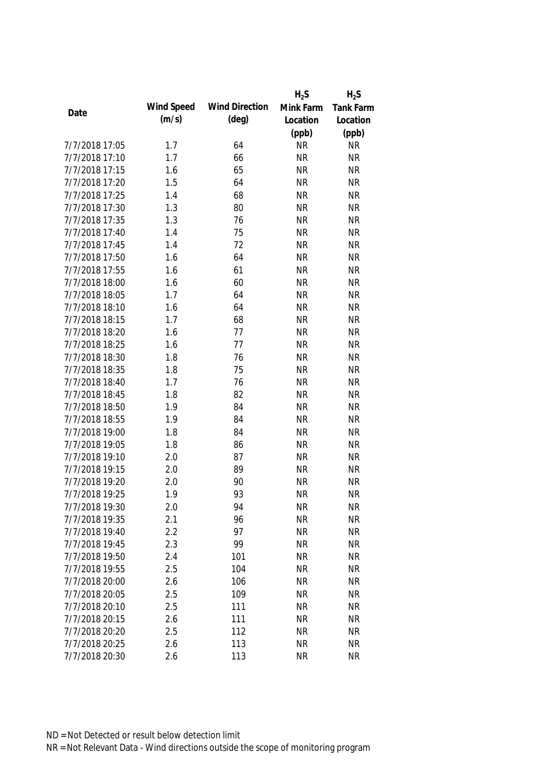|                |            |                       | $H_2S$    | $H_2S$           |
|----------------|------------|-----------------------|-----------|------------------|
|                | Wind Speed | <b>Wind Direction</b> | Mink Farm | <b>Tank Farm</b> |
| Date           | (m/s)      | $(\text{deg})$        | Location  | Location         |
|                |            |                       | (ppb)     | (ppb)            |
| 7/7/2018 17:05 | 1.7        | 64                    | <b>NR</b> | <b>NR</b>        |
| 7/7/2018 17:10 | 1.7        | 66                    | <b>NR</b> | <b>NR</b>        |
| 7/7/2018 17:15 | 1.6        | 65                    | <b>NR</b> | <b>NR</b>        |
| 7/7/2018 17:20 | 1.5        | 64                    | <b>NR</b> | <b>NR</b>        |
| 7/7/2018 17:25 | 1.4        | 68                    | <b>NR</b> | <b>NR</b>        |
| 7/7/2018 17:30 | 1.3        | 80                    | <b>NR</b> | <b>NR</b>        |
| 7/7/2018 17:35 | 1.3        | 76                    | <b>NR</b> | <b>NR</b>        |
| 7/7/2018 17:40 | 1.4        | 75                    | <b>NR</b> | <b>NR</b>        |
| 7/7/2018 17:45 | 1.4        | 72                    | <b>NR</b> | <b>NR</b>        |
| 7/7/2018 17:50 | 1.6        | 64                    | <b>NR</b> | <b>NR</b>        |
| 7/7/2018 17:55 | 1.6        | 61                    | <b>NR</b> | <b>NR</b>        |
| 7/7/2018 18:00 | 1.6        | 60                    | <b>NR</b> | <b>NR</b>        |
| 7/7/2018 18:05 | 1.7        | 64                    | <b>NR</b> | <b>NR</b>        |
| 7/7/2018 18:10 | 1.6        | 64                    | <b>NR</b> | <b>NR</b>        |
| 7/7/2018 18:15 | 1.7        | 68                    | <b>NR</b> | <b>NR</b>        |
| 7/7/2018 18:20 | 1.6        | 77                    | <b>NR</b> | <b>NR</b>        |
| 7/7/2018 18:25 | 1.6        | 77                    | <b>NR</b> | <b>NR</b>        |
| 7/7/2018 18:30 | 1.8        | 76                    | <b>NR</b> | <b>NR</b>        |
| 7/7/2018 18:35 | 1.8        | 75                    | <b>NR</b> | <b>NR</b>        |
| 7/7/2018 18:40 | 1.7        | 76                    | <b>NR</b> | <b>NR</b>        |
| 7/7/2018 18:45 | 1.8        | 82                    | <b>NR</b> | <b>NR</b>        |
| 7/7/2018 18:50 | 1.9        | 84                    | <b>NR</b> | <b>NR</b>        |
| 7/7/2018 18:55 | 1.9        | 84                    | <b>NR</b> | <b>NR</b>        |
| 7/7/2018 19:00 | 1.8        | 84                    | <b>NR</b> | <b>NR</b>        |
| 7/7/2018 19:05 | 1.8        | 86                    | <b>NR</b> | <b>NR</b>        |
| 7/7/2018 19:10 | 2.0        | 87                    | <b>NR</b> | <b>NR</b>        |
| 7/7/2018 19:15 | 2.0        | 89                    | <b>NR</b> | <b>NR</b>        |
| 7/7/2018 19:20 | 2.0        | 90                    | <b>NR</b> | <b>NR</b>        |
| 7/7/2018 19:25 | 1.9        | 93                    | <b>NR</b> | <b>NR</b>        |
| 7/7/2018 19:30 | 2.0        | 94                    | <b>NR</b> | <b>NR</b>        |
| 7/7/2018 19:35 | 2.1        | 96                    | <b>NR</b> | <b>NR</b>        |
| 7/7/2018 19:40 | 2.2        | 97                    | <b>NR</b> | <b>NR</b>        |
| 7/7/2018 19:45 | 2.3        | 99                    | <b>NR</b> | <b>NR</b>        |
| 7/7/2018 19:50 | 2.4        | 101                   | <b>NR</b> | <b>NR</b>        |
| 7/7/2018 19:55 | 2.5        | 104                   | <b>NR</b> | <b>NR</b>        |
| 7/7/2018 20:00 | 2.6        | 106                   | <b>NR</b> | <b>NR</b>        |
| 7/7/2018 20:05 | 2.5        | 109                   | <b>NR</b> | <b>NR</b>        |
| 7/7/2018 20:10 | 2.5        | 111                   | <b>NR</b> | <b>NR</b>        |
| 7/7/2018 20:15 | 2.6        | 111                   | <b>NR</b> | <b>NR</b>        |
| 7/7/2018 20:20 | 2.5        | 112                   | <b>NR</b> | <b>NR</b>        |
| 7/7/2018 20:25 | 2.6        | 113                   | <b>NR</b> | <b>NR</b>        |
| 7/7/2018 20:30 | 2.6        | 113                   | <b>NR</b> | <b>NR</b>        |